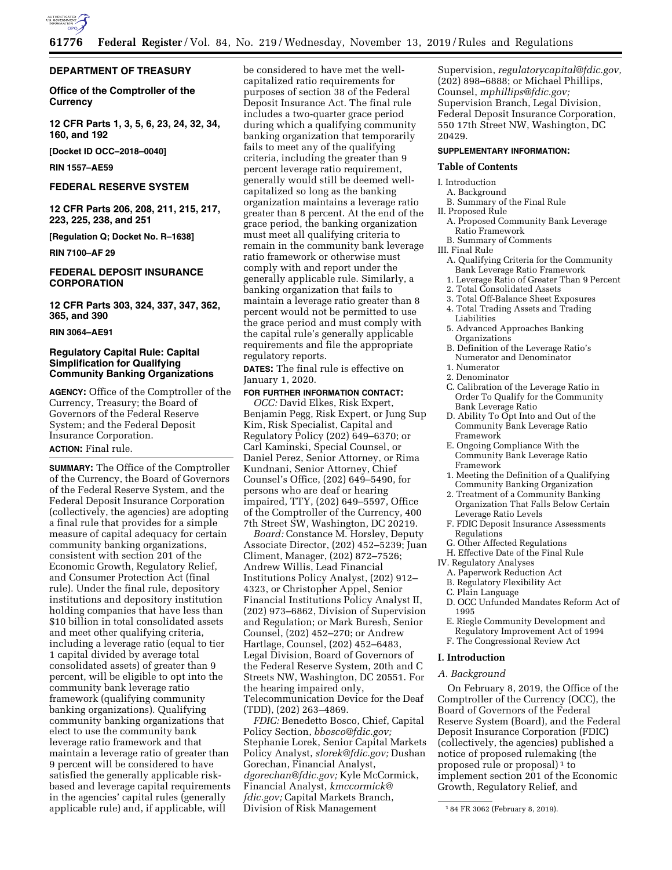

## **DEPARTMENT OF TREASURY**

**Office of the Comptroller of the Currency** 

**12 CFR Parts 1, 3, 5, 6, 23, 24, 32, 34, 160, and 192** 

**[Docket ID OCC–2018–0040]** 

**RIN 1557–AE59** 

# **FEDERAL RESERVE SYSTEM**

**12 CFR Parts 206, 208, 211, 215, 217, 223, 225, 238, and 251** 

**[Regulation Q; Docket No. R–1638]** 

**RIN 7100–AF 29** 

# **FEDERAL DEPOSIT INSURANCE CORPORATION**

**12 CFR Parts 303, 324, 337, 347, 362, 365, and 390** 

# **RIN 3064–AE91**

# **Regulatory Capital Rule: Capital Simplification for Qualifying Community Banking Organizations**

**AGENCY:** Office of the Comptroller of the Currency, Treasury; the Board of Governors of the Federal Reserve System; and the Federal Deposit Insurance Corporation.

# **ACTION:** Final rule.

**SUMMARY:** The Office of the Comptroller of the Currency, the Board of Governors of the Federal Reserve System, and the Federal Deposit Insurance Corporation (collectively, the agencies) are adopting a final rule that provides for a simple measure of capital adequacy for certain community banking organizations, consistent with section 201 of the Economic Growth, Regulatory Relief, and Consumer Protection Act (final rule). Under the final rule, depository institutions and depository institution holding companies that have less than \$10 billion in total consolidated assets and meet other qualifying criteria, including a leverage ratio (equal to tier 1 capital divided by average total consolidated assets) of greater than 9 percent, will be eligible to opt into the community bank leverage ratio framework (qualifying community banking organizations). Qualifying community banking organizations that elect to use the community bank leverage ratio framework and that maintain a leverage ratio of greater than 9 percent will be considered to have satisfied the generally applicable riskbased and leverage capital requirements in the agencies' capital rules (generally applicable rule) and, if applicable, will

be considered to have met the wellcapitalized ratio requirements for purposes of section 38 of the Federal Deposit Insurance Act. The final rule includes a two-quarter grace period during which a qualifying community banking organization that temporarily fails to meet any of the qualifying criteria, including the greater than 9 percent leverage ratio requirement, generally would still be deemed wellcapitalized so long as the banking organization maintains a leverage ratio greater than 8 percent. At the end of the grace period, the banking organization must meet all qualifying criteria to remain in the community bank leverage ratio framework or otherwise must comply with and report under the generally applicable rule. Similarly, a banking organization that fails to maintain a leverage ratio greater than 8 percent would not be permitted to use the grace period and must comply with the capital rule's generally applicable requirements and file the appropriate regulatory reports.

**DATES:** The final rule is effective on January 1, 2020.

# **FOR FURTHER INFORMATION CONTACT:**

*OCC:* David Elkes, Risk Expert, Benjamin Pegg, Risk Expert, or Jung Sup Kim, Risk Specialist, Capital and Regulatory Policy (202) 649–6370; or Carl Kaminski, Special Counsel, or Daniel Perez, Senior Attorney, or Rima Kundnani, Senior Attorney, Chief Counsel's Office, (202) 649–5490, for persons who are deaf or hearing impaired, TTY, (202) 649–5597, Office of the Comptroller of the Currency, 400 7th Street SW, Washington, DC 20219.

*Board:* Constance M. Horsley, Deputy Associate Director, (202) 452–5239; Juan Climent, Manager, (202) 872–7526; Andrew Willis, Lead Financial Institutions Policy Analyst, (202) 912– 4323, or Christopher Appel, Senior Financial Institutions Policy Analyst II, (202) 973–6862, Division of Supervision and Regulation; or Mark Buresh, Senior Counsel, (202) 452–270; or Andrew Hartlage, Counsel, (202) 452–6483, Legal Division, Board of Governors of the Federal Reserve System, 20th and C Streets NW, Washington, DC 20551. For the hearing impaired only, Telecommunication Device for the Deaf (TDD), (202) 263–4869.

*FDIC:* Benedetto Bosco, Chief, Capital Policy Section, *[bbosco@fdic.gov;](mailto:bbosco@fdic.gov)*  Stephanie Lorek, Senior Capital Markets Policy Analyst, *[slorek@fdic.gov;](mailto:slorek@fdic.gov)* Dushan Gorechan, Financial Analyst, *[dgorechan@fdic.gov;](mailto:dgorechan@fdic.gov)* Kyle McCormick, Financial Analyst, *[kmccormick@](mailto:kmccormick@fdic.gov) [fdic.gov;](mailto:kmccormick@fdic.gov)* Capital Markets Branch, Division of Risk Management

Supervision, *[regulatorycapital@fdic.gov,](mailto:regulatorycapital@fdic.gov)*  (202) 898–6888; or Michael Phillips, Counsel, *[mphillips@fdic.gov;](mailto:mphillips@fdic.gov)*  Supervision Branch, Legal Division, Federal Deposit Insurance Corporation, 550 17th Street NW, Washington, DC 20429.

# **SUPPLEMENTARY INFORMATION:**

### **Table of Contents**

- I. Introduction
	- A. Background
- B. Summary of the Final Rule II. Proposed Rule
- A. Proposed Community Bank Leverage
- Ratio Framework B. Summary of Comments

# III. Final Rule

- A. Qualifying Criteria for the Community Bank Leverage Ratio Framework
- 1. Leverage Ratio of Greater Than 9 Percent
- 2. Total Consolidated Assets
- 3. Total Off-Balance Sheet Exposures 4. Total Trading Assets and Trading Liabilities
- 5. Advanced Approaches Banking Organizations
- B. Definition of the Leverage Ratio's Numerator and Denominator
- 1. Numerator
- 2. Denominator
- C. Calibration of the Leverage Ratio in Order To Qualify for the Community Bank Leverage Ratio
- D. Ability To Opt Into and Out of the Community Bank Leverage Ratio Framework
- E. Ongoing Compliance With the Community Bank Leverage Ratio Framework
- 1. Meeting the Definition of a Qualifying Community Banking Organization
- 2. Treatment of a Community Banking Organization That Falls Below Certain Leverage Ratio Levels
- F. FDIC Deposit Insurance Assessments Regulations
- G. Other Affected Regulations
	- H. Effective Date of the Final Rule
- IV. Regulatory Analyses
	- A. Paperwork Reduction Act
	- B. Regulatory Flexibility Act
- C. Plain Language
- D. OCC Unfunded Mandates Reform Act of 1995
- E. Riegle Community Development and Regulatory Improvement Act of 1994
- F. The Congressional Review Act

#### **I. Introduction**

#### *A. Background*

On February 8, 2019, the Office of the Comptroller of the Currency (OCC), the Board of Governors of the Federal Reserve System (Board), and the Federal Deposit Insurance Corporation (FDIC) (collectively, the agencies) published a notice of proposed rulemaking (the proposed rule or proposal) 1 to implement section 201 of the Economic Growth, Regulatory Relief, and

<sup>1</sup> 84 FR 3062 (February 8, 2019).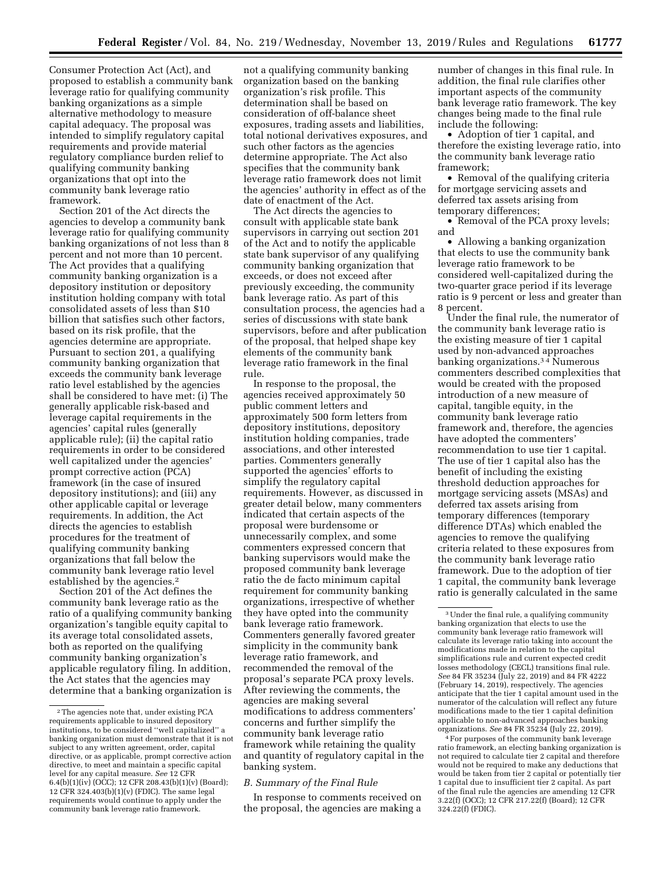Consumer Protection Act (Act), and proposed to establish a community bank leverage ratio for qualifying community banking organizations as a simple alternative methodology to measure capital adequacy. The proposal was intended to simplify regulatory capital requirements and provide material regulatory compliance burden relief to qualifying community banking organizations that opt into the community bank leverage ratio framework.

Section 201 of the Act directs the agencies to develop a community bank leverage ratio for qualifying community banking organizations of not less than 8 percent and not more than 10 percent. The Act provides that a qualifying community banking organization is a depository institution or depository institution holding company with total consolidated assets of less than \$10 billion that satisfies such other factors, based on its risk profile, that the agencies determine are appropriate. Pursuant to section 201, a qualifying community banking organization that exceeds the community bank leverage ratio level established by the agencies shall be considered to have met: (i) The generally applicable risk-based and leverage capital requirements in the agencies' capital rules (generally applicable rule); (ii) the capital ratio requirements in order to be considered well capitalized under the agencies' prompt corrective action (PCA) framework (in the case of insured depository institutions); and (iii) any other applicable capital or leverage requirements. In addition, the Act directs the agencies to establish procedures for the treatment of qualifying community banking organizations that fall below the community bank leverage ratio level established by the agencies.2

Section 201 of the Act defines the community bank leverage ratio as the ratio of a qualifying community banking organization's tangible equity capital to its average total consolidated assets, both as reported on the qualifying community banking organization's applicable regulatory filing. In addition, the Act states that the agencies may determine that a banking organization is

not a qualifying community banking organization based on the banking organization's risk profile. This determination shall be based on consideration of off-balance sheet exposures, trading assets and liabilities, total notional derivatives exposures, and such other factors as the agencies determine appropriate. The Act also specifies that the community bank leverage ratio framework does not limit the agencies' authority in effect as of the date of enactment of the Act.

The Act directs the agencies to consult with applicable state bank supervisors in carrying out section 201 of the Act and to notify the applicable state bank supervisor of any qualifying community banking organization that exceeds, or does not exceed after previously exceeding, the community bank leverage ratio. As part of this consultation process, the agencies had a series of discussions with state bank supervisors, before and after publication of the proposal, that helped shape key elements of the community bank leverage ratio framework in the final rule.

In response to the proposal, the agencies received approximately 50 public comment letters and approximately 500 form letters from depository institutions, depository institution holding companies, trade associations, and other interested parties. Commenters generally supported the agencies' efforts to simplify the regulatory capital requirements. However, as discussed in greater detail below, many commenters indicated that certain aspects of the proposal were burdensome or unnecessarily complex, and some commenters expressed concern that banking supervisors would make the proposed community bank leverage ratio the de facto minimum capital requirement for community banking organizations, irrespective of whether they have opted into the community bank leverage ratio framework. Commenters generally favored greater simplicity in the community bank leverage ratio framework, and recommended the removal of the proposal's separate PCA proxy levels. After reviewing the comments, the agencies are making several modifications to address commenters' concerns and further simplify the community bank leverage ratio framework while retaining the quality and quantity of regulatory capital in the banking system.

### *B. Summary of the Final Rule*

In response to comments received on the proposal, the agencies are making a

number of changes in this final rule. In addition, the final rule clarifies other important aspects of the community bank leverage ratio framework. The key changes being made to the final rule include the following:

• Adoption of tier 1 capital, and therefore the existing leverage ratio, into the community bank leverage ratio framework;

• Removal of the qualifying criteria for mortgage servicing assets and deferred tax assets arising from temporary differences;

• Removal of the PCA proxy levels; and

• Allowing a banking organization that elects to use the community bank leverage ratio framework to be considered well-capitalized during the two-quarter grace period if its leverage ratio is 9 percent or less and greater than 8 percent.

Under the final rule, the numerator of the community bank leverage ratio is the existing measure of tier 1 capital used by non-advanced approaches banking organizations.3 4 Numerous commenters described complexities that would be created with the proposed introduction of a new measure of capital, tangible equity, in the community bank leverage ratio framework and, therefore, the agencies have adopted the commenters' recommendation to use tier 1 capital. The use of tier 1 capital also has the benefit of including the existing threshold deduction approaches for mortgage servicing assets (MSAs) and deferred tax assets arising from temporary differences (temporary difference DTAs) which enabled the agencies to remove the qualifying criteria related to these exposures from the community bank leverage ratio framework. Due to the adoption of tier 1 capital, the community bank leverage ratio is generally calculated in the same

4For purposes of the community bank leverage ratio framework, an electing banking organization is not required to calculate tier 2 capital and therefore would not be required to make any deductions that would be taken from tier 2 capital or potentially tier 1 capital due to insufficient tier 2 capital. As part of the final rule the agencies are amending 12 CFR 3.22(f) (OCC); 12 CFR 217.22(f) (Board); 12 CFR 324.22(f) (FDIC).

 $^{\rm 2}$  The agencies note that, under existing PCA requirements applicable to insured depository institutions, to be considered ''well capitalized'' a banking organization must demonstrate that it is not subject to any written agreement, order, capital directive, or as applicable, prompt corrective action directive, to meet and maintain a specific capital level for any capital measure. *See* 12 CFR 6.4(b)(1)(iv) (OCC); 12 CFR 208.43(b)(1)(v) (Board); 12 CFR 324.403(b)(1)(v) (FDIC). The same legal requirements would continue to apply under the community bank leverage ratio framework.

<sup>3</sup>Under the final rule, a qualifying community banking organization that elects to use the community bank leverage ratio framework will calculate its leverage ratio taking into account the modifications made in relation to the capital simplifications rule and current expected credit losses methodology (CECL) transitions final rule. *See* 84 FR 35234 (July 22, 2019) and 84 FR 4222 (February 14, 2019), respectively. The agencies anticipate that the tier 1 capital amount used in the numerator of the calculation will reflect any future modifications made to the tier 1 capital definition applicable to non-advanced approaches banking organizations. *See* 84 FR 35234 (July 22, 2019).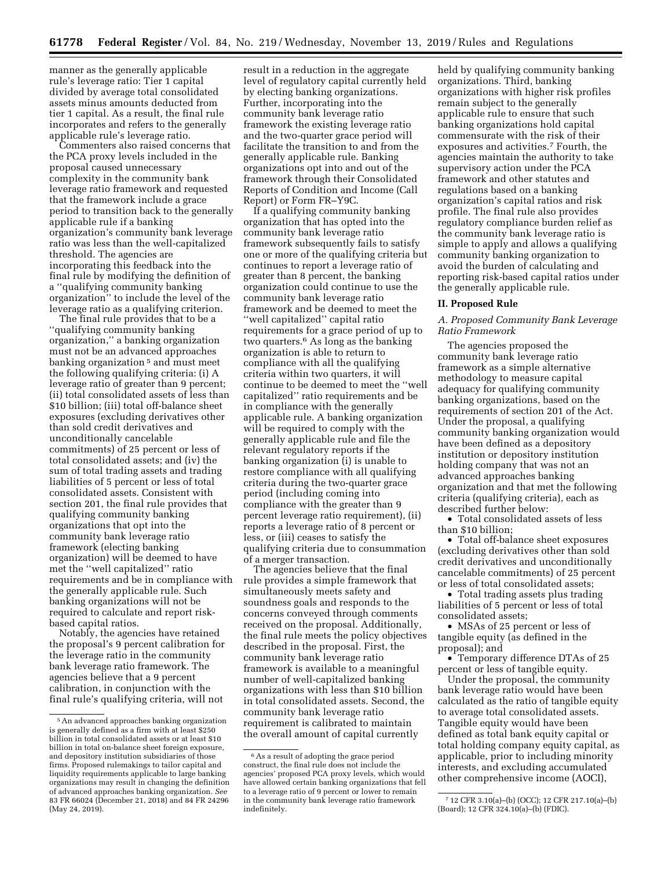manner as the generally applicable rule's leverage ratio: Tier 1 capital divided by average total consolidated assets minus amounts deducted from tier 1 capital. As a result, the final rule incorporates and refers to the generally applicable rule's leverage ratio.

Commenters also raised concerns that the PCA proxy levels included in the proposal caused unnecessary complexity in the community bank leverage ratio framework and requested that the framework include a grace period to transition back to the generally applicable rule if a banking organization's community bank leverage ratio was less than the well-capitalized threshold. The agencies are incorporating this feedback into the final rule by modifying the definition of a ''qualifying community banking organization'' to include the level of the leverage ratio as a qualifying criterion.

The final rule provides that to be a ''qualifying community banking organization,'' a banking organization must not be an advanced approaches banking organization 5 and must meet the following qualifying criteria: (i) A leverage ratio of greater than 9 percent; (ii) total consolidated assets of less than \$10 billion; (iii) total off-balance sheet exposures (excluding derivatives other than sold credit derivatives and unconditionally cancelable commitments) of 25 percent or less of total consolidated assets; and (iv) the sum of total trading assets and trading liabilities of 5 percent or less of total consolidated assets. Consistent with section 201, the final rule provides that qualifying community banking organizations that opt into the community bank leverage ratio framework (electing banking organization) will be deemed to have met the ''well capitalized'' ratio requirements and be in compliance with the generally applicable rule. Such banking organizations will not be required to calculate and report riskbased capital ratios.

Notably, the agencies have retained the proposal's 9 percent calibration for the leverage ratio in the community bank leverage ratio framework. The agencies believe that a 9 percent calibration, in conjunction with the final rule's qualifying criteria, will not

result in a reduction in the aggregate level of regulatory capital currently held by electing banking organizations. Further, incorporating into the community bank leverage ratio framework the existing leverage ratio and the two-quarter grace period will facilitate the transition to and from the generally applicable rule. Banking organizations opt into and out of the framework through their Consolidated Reports of Condition and Income (Call Report) or Form FR–Y9C.

If a qualifying community banking organization that has opted into the community bank leverage ratio framework subsequently fails to satisfy one or more of the qualifying criteria but continues to report a leverage ratio of greater than 8 percent, the banking organization could continue to use the community bank leverage ratio framework and be deemed to meet the ''well capitalized'' capital ratio requirements for a grace period of up to two quarters.6 As long as the banking organization is able to return to compliance with all the qualifying criteria within two quarters, it will continue to be deemed to meet the ''well capitalized'' ratio requirements and be in compliance with the generally applicable rule. A banking organization will be required to comply with the generally applicable rule and file the relevant regulatory reports if the banking organization (i) is unable to restore compliance with all qualifying criteria during the two-quarter grace period (including coming into compliance with the greater than 9 percent leverage ratio requirement), (ii) reports a leverage ratio of 8 percent or less, or (iii) ceases to satisfy the qualifying criteria due to consummation of a merger transaction.

The agencies believe that the final rule provides a simple framework that simultaneously meets safety and soundness goals and responds to the concerns conveyed through comments received on the proposal. Additionally, the final rule meets the policy objectives described in the proposal. First, the community bank leverage ratio framework is available to a meaningful number of well-capitalized banking organizations with less than \$10 billion in total consolidated assets. Second, the community bank leverage ratio requirement is calibrated to maintain the overall amount of capital currently

held by qualifying community banking organizations. Third, banking organizations with higher risk profiles remain subject to the generally applicable rule to ensure that such banking organizations hold capital commensurate with the risk of their exposures and activities.7 Fourth, the agencies maintain the authority to take supervisory action under the PCA framework and other statutes and regulations based on a banking organization's capital ratios and risk profile. The final rule also provides regulatory compliance burden relief as the community bank leverage ratio is simple to apply and allows a qualifying community banking organization to avoid the burden of calculating and reporting risk-based capital ratios under the generally applicable rule.

#### **II. Proposed Rule**

*A. Proposed Community Bank Leverage Ratio Framework* 

The agencies proposed the community bank leverage ratio framework as a simple alternative methodology to measure capital adequacy for qualifying community banking organizations, based on the requirements of section 201 of the Act. Under the proposal, a qualifying community banking organization would have been defined as a depository institution or depository institution holding company that was not an advanced approaches banking organization and that met the following criteria (qualifying criteria), each as described further below:

• Total consolidated assets of less than \$10 billion;

• Total off-balance sheet exposures (excluding derivatives other than sold credit derivatives and unconditionally cancelable commitments) of 25 percent or less of total consolidated assets;

• Total trading assets plus trading liabilities of 5 percent or less of total consolidated assets;

• MSAs of 25 percent or less of tangible equity (as defined in the proposal); and

• Temporary difference DTAs of 25 percent or less of tangible equity.

Under the proposal, the community bank leverage ratio would have been calculated as the ratio of tangible equity to average total consolidated assets. Tangible equity would have been defined as total bank equity capital or total holding company equity capital, as applicable, prior to including minority interests, and excluding accumulated other comprehensive income (AOCI),

<sup>5</sup>An advanced approaches banking organization is generally defined as a firm with at least \$250 billion in total consolidated assets or at least \$10 billion in total on-balance sheet foreign exposure, and depository institution subsidiaries of those firms. Proposed rulemakings to tailor capital and liquidity requirements applicable to large banking organizations may result in changing the definition of advanced approaches banking organization. *See*  83 FR 66024 (December 21, 2018) and 84 FR 24296 (May 24, 2019).

<sup>6</sup>As a result of adopting the grace period construct, the final rule does not include the agencies' proposed PCA proxy levels, which would have allowed certain banking organizations that fell to a leverage ratio of 9 percent or lower to remain in the community bank leverage ratio framework indefinitely.

<sup>7</sup> 12 CFR 3.10(a)–(b) (OCC); 12 CFR 217.10(a)–(b) (Board); 12 CFR 324.10(a)–(b) (FDIC).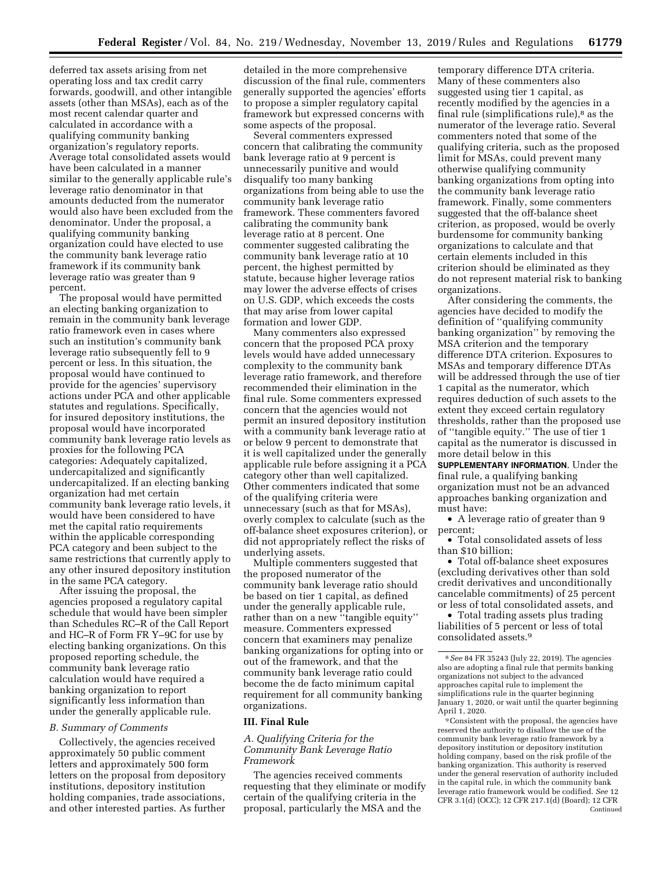deferred tax assets arising from net operating loss and tax credit carry forwards, goodwill, and other intangible assets (other than MSAs), each as of the most recent calendar quarter and calculated in accordance with a qualifying community banking organization's regulatory reports. Average total consolidated assets would have been calculated in a manner similar to the generally applicable rule's leverage ratio denominator in that amounts deducted from the numerator would also have been excluded from the denominator. Under the proposal, a qualifying community banking organization could have elected to use the community bank leverage ratio framework if its community bank leverage ratio was greater than 9 percent.

The proposal would have permitted an electing banking organization to remain in the community bank leverage ratio framework even in cases where such an institution's community bank leverage ratio subsequently fell to 9 percent or less. In this situation, the proposal would have continued to provide for the agencies' supervisory actions under PCA and other applicable statutes and regulations. Specifically, for insured depository institutions, the proposal would have incorporated community bank leverage ratio levels as proxies for the following PCA categories: Adequately capitalized, undercapitalized and significantly undercapitalized. If an electing banking organization had met certain community bank leverage ratio levels, it would have been considered to have met the capital ratio requirements within the applicable corresponding PCA category and been subject to the same restrictions that currently apply to any other insured depository institution in the same PCA category.

After issuing the proposal, the agencies proposed a regulatory capital schedule that would have been simpler than Schedules RC–R of the Call Report and HC–R of Form FR Y–9C for use by electing banking organizations. On this proposed reporting schedule, the community bank leverage ratio calculation would have required a banking organization to report significantly less information than under the generally applicable rule.

### *B. Summary of Comments*

Collectively, the agencies received approximately 50 public comment letters and approximately 500 form letters on the proposal from depository institutions, depository institution holding companies, trade associations, and other interested parties. As further

detailed in the more comprehensive discussion of the final rule, commenters generally supported the agencies' efforts to propose a simpler regulatory capital framework but expressed concerns with some aspects of the proposal.

Several commenters expressed concern that calibrating the community bank leverage ratio at 9 percent is unnecessarily punitive and would disqualify too many banking organizations from being able to use the community bank leverage ratio framework. These commenters favored calibrating the community bank leverage ratio at 8 percent. One commenter suggested calibrating the community bank leverage ratio at 10 percent, the highest permitted by statute, because higher leverage ratios may lower the adverse effects of crises on U.S. GDP, which exceeds the costs that may arise from lower capital formation and lower GDP.

Many commenters also expressed concern that the proposed PCA proxy levels would have added unnecessary complexity to the community bank leverage ratio framework, and therefore recommended their elimination in the final rule. Some commenters expressed concern that the agencies would not permit an insured depository institution with a community bank leverage ratio at or below 9 percent to demonstrate that it is well capitalized under the generally applicable rule before assigning it a PCA category other than well capitalized. Other commenters indicated that some of the qualifying criteria were unnecessary (such as that for MSAs), overly complex to calculate (such as the off-balance sheet exposures criterion), or did not appropriately reflect the risks of underlying assets.

Multiple commenters suggested that the proposed numerator of the community bank leverage ratio should be based on tier 1 capital, as defined under the generally applicable rule, rather than on a new ''tangible equity'' measure. Commenters expressed concern that examiners may penalize banking organizations for opting into or out of the framework, and that the community bank leverage ratio could become the de facto minimum capital requirement for all community banking organizations.

#### **III. Final Rule**

*A. Qualifying Criteria for the Community Bank Leverage Ratio Framework* 

The agencies received comments requesting that they eliminate or modify certain of the qualifying criteria in the proposal, particularly the MSA and the

temporary difference DTA criteria. Many of these commenters also suggested using tier 1 capital, as recently modified by the agencies in a final rule (simplifications rule), $^8$  as the numerator of the leverage ratio. Several commenters noted that some of the qualifying criteria, such as the proposed limit for MSAs, could prevent many otherwise qualifying community banking organizations from opting into the community bank leverage ratio framework. Finally, some commenters suggested that the off-balance sheet criterion, as proposed, would be overly burdensome for community banking organizations to calculate and that certain elements included in this criterion should be eliminated as they do not represent material risk to banking organizations.

After considering the comments, the agencies have decided to modify the definition of ''qualifying community banking organization'' by removing the MSA criterion and the temporary difference DTA criterion. Exposures to MSAs and temporary difference DTAs will be addressed through the use of tier 1 capital as the numerator, which requires deduction of such assets to the extent they exceed certain regulatory thresholds, rather than the proposed use of ''tangible equity.'' The use of tier 1 capital as the numerator is discussed in more detail below in this

**SUPPLEMENTARY INFORMATION**. Under the final rule, a qualifying banking organization must not be an advanced approaches banking organization and must have:

• A leverage ratio of greater than 9 percent;

• Total consolidated assets of less than \$10 billion;

• Total off-balance sheet exposures (excluding derivatives other than sold credit derivatives and unconditionally cancelable commitments) of 25 percent or less of total consolidated assets, and

• Total trading assets plus trading liabilities of 5 percent or less of total consolidated assets.9

9Consistent with the proposal, the agencies have reserved the authority to disallow the use of the community bank leverage ratio framework by a depository institution or depository institution holding company, based on the risk profile of the banking organization. This authority is reserved under the general reservation of authority included in the capital rule, in which the community bank leverage ratio framework would be codified. *See* 12 CFR 3.1(d) (OCC); 12 CFR 217.1(d) (Board); 12 CFR Continued

<sup>8</sup>*See* 84 FR 35243 (July 22, 2019). The agencies also are adopting a final rule that permits banking organizations not subject to the advanced approaches capital rule to implement the simplifications rule in the quarter beginning January 1, 2020, or wait until the quarter beginning April 1, 2020.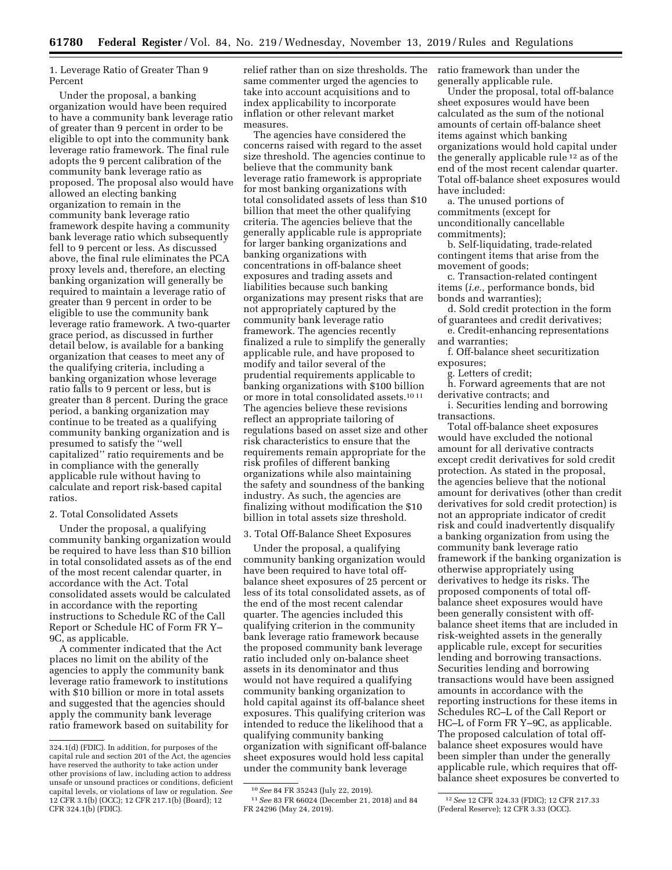1. Leverage Ratio of Greater Than 9 Percent

Under the proposal, a banking organization would have been required to have a community bank leverage ratio of greater than 9 percent in order to be eligible to opt into the community bank leverage ratio framework. The final rule adopts the 9 percent calibration of the community bank leverage ratio as proposed. The proposal also would have allowed an electing banking organization to remain in the community bank leverage ratio framework despite having a community bank leverage ratio which subsequently fell to 9 percent or less. As discussed above, the final rule eliminates the PCA proxy levels and, therefore, an electing banking organization will generally be required to maintain a leverage ratio of greater than 9 percent in order to be eligible to use the community bank leverage ratio framework. A two-quarter grace period, as discussed in further detail below, is available for a banking organization that ceases to meet any of the qualifying criteria, including a banking organization whose leverage ratio falls to 9 percent or less, but is greater than 8 percent. During the grace period, a banking organization may continue to be treated as a qualifying community banking organization and is presumed to satisfy the ''well capitalized'' ratio requirements and be in compliance with the generally applicable rule without having to calculate and report risk-based capital ratios.

## 2. Total Consolidated Assets

Under the proposal, a qualifying community banking organization would be required to have less than \$10 billion in total consolidated assets as of the end of the most recent calendar quarter, in accordance with the Act. Total consolidated assets would be calculated in accordance with the reporting instructions to Schedule RC of the Call Report or Schedule HC of Form FR Y– 9C, as applicable.

A commenter indicated that the Act places no limit on the ability of the agencies to apply the community bank leverage ratio framework to institutions with \$10 billion or more in total assets and suggested that the agencies should apply the community bank leverage ratio framework based on suitability for relief rather than on size thresholds. The same commenter urged the agencies to take into account acquisitions and to index applicability to incorporate inflation or other relevant market measures.

The agencies have considered the concerns raised with regard to the asset size threshold. The agencies continue to believe that the community bank leverage ratio framework is appropriate for most banking organizations with total consolidated assets of less than \$10 billion that meet the other qualifying criteria. The agencies believe that the generally applicable rule is appropriate for larger banking organizations and banking organizations with concentrations in off-balance sheet exposures and trading assets and liabilities because such banking organizations may present risks that are not appropriately captured by the community bank leverage ratio framework. The agencies recently finalized a rule to simplify the generally applicable rule, and have proposed to modify and tailor several of the prudential requirements applicable to banking organizations with \$100 billion or more in total consolidated assets.10 11 The agencies believe these revisions reflect an appropriate tailoring of regulations based on asset size and other risk characteristics to ensure that the requirements remain appropriate for the risk profiles of different banking organizations while also maintaining the safety and soundness of the banking industry. As such, the agencies are finalizing without modification the \$10 billion in total assets size threshold.

#### 3. Total Off-Balance Sheet Exposures

Under the proposal, a qualifying community banking organization would have been required to have total offbalance sheet exposures of 25 percent or less of its total consolidated assets, as of the end of the most recent calendar quarter. The agencies included this qualifying criterion in the community bank leverage ratio framework because the proposed community bank leverage ratio included only on-balance sheet assets in its denominator and thus would not have required a qualifying community banking organization to hold capital against its off-balance sheet exposures. This qualifying criterion was intended to reduce the likelihood that a qualifying community banking organization with significant off-balance sheet exposures would hold less capital under the community bank leverage

ratio framework than under the generally applicable rule.

Under the proposal, total off-balance sheet exposures would have been calculated as the sum of the notional amounts of certain off-balance sheet items against which banking organizations would hold capital under the generally applicable rule<sup>12</sup> as of the end of the most recent calendar quarter. Total off-balance sheet exposures would have included:

a. The unused portions of commitments (except for unconditionally cancellable commitments);

b. Self-liquidating, trade-related contingent items that arise from the movement of goods;

c. Transaction-related contingent items (*i.e.,* performance bonds, bid bonds and warranties);

d. Sold credit protection in the form of guarantees and credit derivatives;

e. Credit-enhancing representations

and warranties; f. Off-balance sheet securitization exposures;

g. Letters of credit;

h. Forward agreements that are not derivative contracts; and

i. Securities lending and borrowing transactions.

Total off-balance sheet exposures would have excluded the notional amount for all derivative contracts except credit derivatives for sold credit protection. As stated in the proposal, the agencies believe that the notional amount for derivatives (other than credit derivatives for sold credit protection) is not an appropriate indicator of credit risk and could inadvertently disqualify a banking organization from using the community bank leverage ratio framework if the banking organization is otherwise appropriately using derivatives to hedge its risks. The proposed components of total offbalance sheet exposures would have been generally consistent with offbalance sheet items that are included in risk-weighted assets in the generally applicable rule, except for securities lending and borrowing transactions. Securities lending and borrowing transactions would have been assigned amounts in accordance with the reporting instructions for these items in Schedules RC–L of the Call Report or HC–L of Form FR Y–9C, as applicable. The proposed calculation of total offbalance sheet exposures would have been simpler than under the generally applicable rule, which requires that offbalance sheet exposures be converted to

<sup>324.1(</sup>d) (FDIC). In addition, for purposes of the capital rule and section 201 of the Act, the agencies have reserved the authority to take action under other provisions of law, including action to address unsafe or unsound practices or conditions, deficient capital levels, or violations of law or regulation. *See*  12 CFR 3.1(b) (OCC); 12 CFR 217.1(b) (Board); 12 CFR 324.1(b) (FDIC).

<sup>10</sup>*See* 84 FR 35243 (July 22, 2019).

<sup>11</sup>*See* 83 FR 66024 (December 21, 2018) and 84 FR 24296 (May 24, 2019).

<sup>12</sup>*See* 12 CFR 324.33 (FDIC); 12 CFR 217.33 (Federal Reserve); 12 CFR 3.33 (OCC).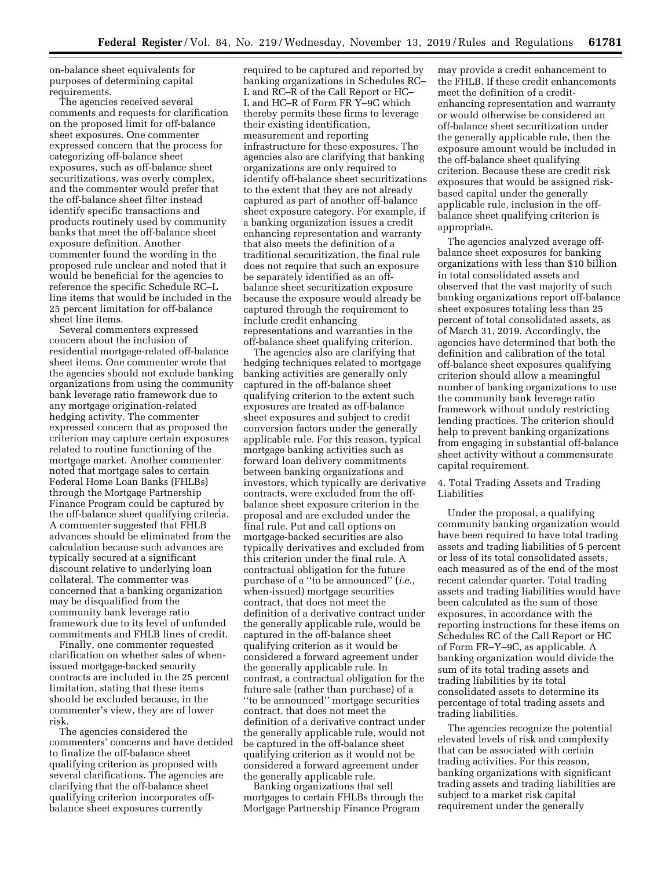on-balance sheet equivalents for purposes of determining capital requirements.

The agencies received several comments and requests for clarification on the proposed limit for off-balance sheet exposures. One commenter expressed concern that the process for categorizing off-balance sheet exposures, such as off-balance sheet securitizations, was overly complex, and the commenter would prefer that the off-balance sheet filter instead identify specific transactions and products routinely used by community banks that meet the off-balance sheet exposure definition. Another commenter found the wording in the proposed rule unclear and noted that it would be beneficial for the agencies to reference the specific Schedule RC–L line items that would be included in the 25 percent limitation for off-balance sheet line items.

Several commenters expressed concern about the inclusion of residential mortgage-related off-balance sheet items. One commenter wrote that the agencies should not exclude banking organizations from using the community bank leverage ratio framework due to any mortgage origination-related hedging activity. The commenter expressed concern that as proposed the criterion may capture certain exposures related to routine functioning of the mortgage market. Another commenter noted that mortgage sales to certain Federal Home Loan Banks (FHLBs) through the Mortgage Partnership Finance Program could be captured by the off-balance sheet qualifying criteria. A commenter suggested that FHLB advances should be eliminated from the calculation because such advances are typically secured at a significant discount relative to underlying loan collateral. The commenter was concerned that a banking organization may be disqualified from the community bank leverage ratio framework due to its level of unfunded commitments and FHLB lines of credit.

Finally, one commenter requested clarification on whether sales of whenissued mortgage-backed security contracts are included in the 25 percent limitation, stating that these items should be excluded because, in the commenter's view, they are of lower risk.

The agencies considered the commenters' concerns and have decided to finalize the off-balance sheet qualifying criterion as proposed with several clarifications. The agencies are clarifying that the off-balance sheet qualifying criterion incorporates offbalance sheet exposures currently

required to be captured and reported by banking organizations in Schedules RC– L and RC–R of the Call Report or HC– L and HC–R of Form FR Y–9C which thereby permits these firms to leverage their existing identification, measurement and reporting infrastructure for these exposures. The agencies also are clarifying that banking organizations are only required to identify off-balance sheet securitizations to the extent that they are not already captured as part of another off-balance sheet exposure category. For example, if a banking organization issues a credit enhancing representation and warranty that also meets the definition of a traditional securitization, the final rule does not require that such an exposure be separately identified as an offbalance sheet securitization exposure because the exposure would already be captured through the requirement to include credit enhancing representations and warranties in the off-balance sheet qualifying criterion.

The agencies also are clarifying that hedging techniques related to mortgage banking activities are generally only captured in the off-balance sheet qualifying criterion to the extent such exposures are treated as off-balance sheet exposures and subject to credit conversion factors under the generally applicable rule. For this reason, typical mortgage banking activities such as forward loan delivery commitments between banking organizations and investors, which typically are derivative contracts, were excluded from the offbalance sheet exposure criterion in the proposal and are excluded under the final rule. Put and call options on mortgage-backed securities are also typically derivatives and excluded from this criterion under the final rule. A contractual obligation for the future purchase of a ''to be announced'' (*i.e.,*  when-issued) mortgage securities contract, that does not meet the definition of a derivative contract under the generally applicable rule, would be captured in the off-balance sheet qualifying criterion as it would be considered a forward agreement under the generally applicable rule. In contrast, a contractual obligation for the future sale (rather than purchase) of a ''to be announced'' mortgage securities contract, that does not meet the definition of a derivative contract under the generally applicable rule, would not be captured in the off-balance sheet qualifying criterion as it would not be considered a forward agreement under the generally applicable rule.

Banking organizations that sell mortgages to certain FHLBs through the Mortgage Partnership Finance Program

may provide a credit enhancement to the FHLB. If these credit enhancements meet the definition of a creditenhancing representation and warranty or would otherwise be considered an off-balance sheet securitization under the generally applicable rule, then the exposure amount would be included in the off-balance sheet qualifying criterion. Because these are credit risk exposures that would be assigned riskbased capital under the generally applicable rule, inclusion in the offbalance sheet qualifying criterion is appropriate.

The agencies analyzed average offbalance sheet exposures for banking organizations with less than \$10 billion in total consolidated assets and observed that the vast majority of such banking organizations report off-balance sheet exposures totaling less than 25 percent of total consolidated assets, as of March 31, 2019. Accordingly, the agencies have determined that both the definition and calibration of the total off-balance sheet exposures qualifying criterion should allow a meaningful number of banking organizations to use the community bank leverage ratio framework without unduly restricting lending practices. The criterion should help to prevent banking organizations from engaging in substantial off-balance sheet activity without a commensurate capital requirement.

# 4. Total Trading Assets and Trading Liabilities

Under the proposal, a qualifying community banking organization would have been required to have total trading assets and trading liabilities of 5 percent or less of its total consolidated assets, each measured as of the end of the most recent calendar quarter. Total trading assets and trading liabilities would have been calculated as the sum of those exposures, in accordance with the reporting instructions for these items on Schedules RC of the Call Report or HC of Form FR–Y–9C, as applicable. A banking organization would divide the sum of its total trading assets and trading liabilities by its total consolidated assets to determine its percentage of total trading assets and trading liabilities.

The agencies recognize the potential elevated levels of risk and complexity that can be associated with certain trading activities. For this reason, banking organizations with significant trading assets and trading liabilities are subject to a market risk capital requirement under the generally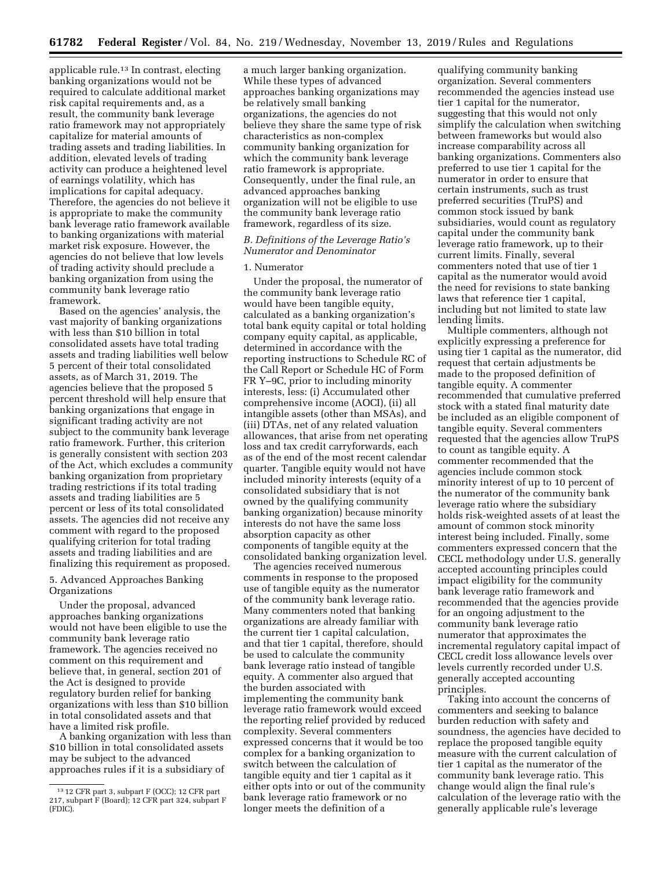applicable rule.13 In contrast, electing banking organizations would not be required to calculate additional market risk capital requirements and, as a result, the community bank leverage ratio framework may not appropriately capitalize for material amounts of trading assets and trading liabilities. In addition, elevated levels of trading activity can produce a heightened level of earnings volatility, which has implications for capital adequacy. Therefore, the agencies do not believe it is appropriate to make the community bank leverage ratio framework available to banking organizations with material market risk exposure. However, the agencies do not believe that low levels of trading activity should preclude a banking organization from using the community bank leverage ratio framework.

Based on the agencies' analysis, the vast majority of banking organizations with less than \$10 billion in total consolidated assets have total trading assets and trading liabilities well below 5 percent of their total consolidated assets, as of March 31, 2019. The agencies believe that the proposed 5 percent threshold will help ensure that banking organizations that engage in significant trading activity are not subject to the community bank leverage ratio framework. Further, this criterion is generally consistent with section 203 of the Act, which excludes a community banking organization from proprietary trading restrictions if its total trading assets and trading liabilities are 5 percent or less of its total consolidated assets. The agencies did not receive any comment with regard to the proposed qualifying criterion for total trading assets and trading liabilities and are finalizing this requirement as proposed.

# 5. Advanced Approaches Banking Organizations

Under the proposal, advanced approaches banking organizations would not have been eligible to use the community bank leverage ratio framework. The agencies received no comment on this requirement and believe that, in general, section 201 of the Act is designed to provide regulatory burden relief for banking organizations with less than \$10 billion in total consolidated assets and that have a limited risk profile.

A banking organization with less than \$10 billion in total consolidated assets may be subject to the advanced approaches rules if it is a subsidiary of

a much larger banking organization. While these types of advanced approaches banking organizations may be relatively small banking organizations, the agencies do not believe they share the same type of risk characteristics as non-complex community banking organization for which the community bank leverage ratio framework is appropriate. Consequently, under the final rule, an advanced approaches banking organization will not be eligible to use the community bank leverage ratio framework, regardless of its size.

## *B. Definitions of the Leverage Ratio's Numerator and Denominator*

#### 1. Numerator

Under the proposal, the numerator of the community bank leverage ratio would have been tangible equity, calculated as a banking organization's total bank equity capital or total holding company equity capital, as applicable, determined in accordance with the reporting instructions to Schedule RC of the Call Report or Schedule HC of Form FR Y–9C, prior to including minority interests, less: (i) Accumulated other comprehensive income (AOCI), (ii) all intangible assets (other than MSAs), and (iii) DTAs, net of any related valuation allowances, that arise from net operating loss and tax credit carryforwards, each as of the end of the most recent calendar quarter. Tangible equity would not have included minority interests (equity of a consolidated subsidiary that is not owned by the qualifying community banking organization) because minority interests do not have the same loss absorption capacity as other components of tangible equity at the consolidated banking organization level.

The agencies received numerous comments in response to the proposed use of tangible equity as the numerator of the community bank leverage ratio. Many commenters noted that banking organizations are already familiar with the current tier 1 capital calculation, and that tier 1 capital, therefore, should be used to calculate the community bank leverage ratio instead of tangible equity. A commenter also argued that the burden associated with implementing the community bank leverage ratio framework would exceed the reporting relief provided by reduced complexity. Several commenters expressed concerns that it would be too complex for a banking organization to switch between the calculation of tangible equity and tier 1 capital as it either opts into or out of the community bank leverage ratio framework or no longer meets the definition of a

qualifying community banking organization. Several commenters recommended the agencies instead use tier 1 capital for the numerator, suggesting that this would not only simplify the calculation when switching between frameworks but would also increase comparability across all banking organizations. Commenters also preferred to use tier 1 capital for the numerator in order to ensure that certain instruments, such as trust preferred securities (TruPS) and common stock issued by bank subsidiaries, would count as regulatory capital under the community bank leverage ratio framework, up to their current limits. Finally, several commenters noted that use of tier 1 capital as the numerator would avoid the need for revisions to state banking laws that reference tier 1 capital, including but not limited to state law lending limits.

Multiple commenters, although not explicitly expressing a preference for using tier 1 capital as the numerator, did request that certain adjustments be made to the proposed definition of tangible equity. A commenter recommended that cumulative preferred stock with a stated final maturity date be included as an eligible component of tangible equity. Several commenters requested that the agencies allow TruPS to count as tangible equity. A commenter recommended that the agencies include common stock minority interest of up to 10 percent of the numerator of the community bank leverage ratio where the subsidiary holds risk-weighted assets of at least the amount of common stock minority interest being included. Finally, some commenters expressed concern that the CECL methodology under U.S. generally accepted accounting principles could impact eligibility for the community bank leverage ratio framework and recommended that the agencies provide for an ongoing adjustment to the community bank leverage ratio numerator that approximates the incremental regulatory capital impact of CECL credit loss allowance levels over levels currently recorded under U.S. generally accepted accounting principles.

Taking into account the concerns of commenters and seeking to balance burden reduction with safety and soundness, the agencies have decided to replace the proposed tangible equity measure with the current calculation of tier 1 capital as the numerator of the community bank leverage ratio. This change would align the final rule's calculation of the leverage ratio with the generally applicable rule's leverage

<sup>13</sup> 12 CFR part 3, subpart F (OCC); 12 CFR part 217, subpart F (Board); 12 CFR part 324, subpart F (FDIC).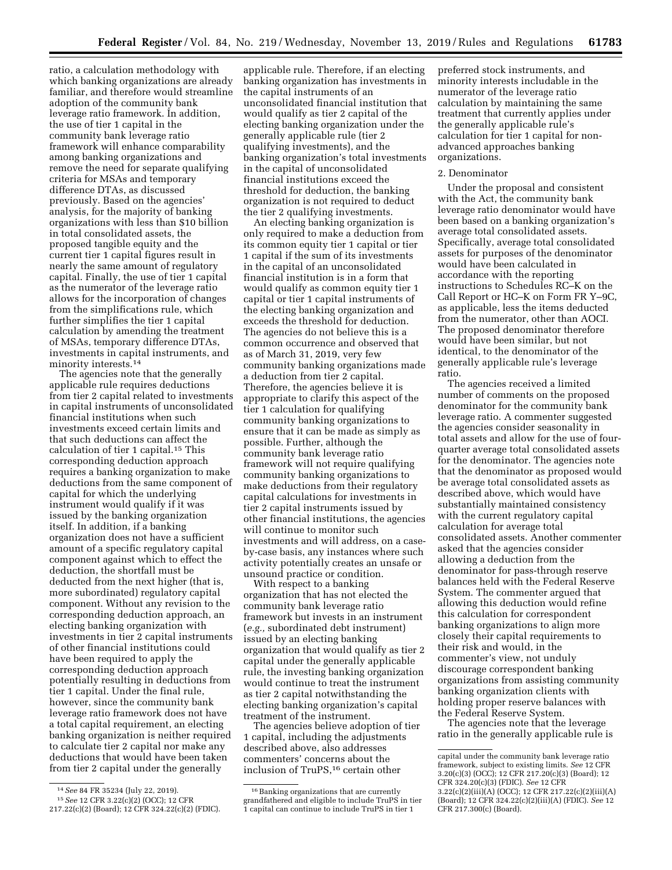ratio, a calculation methodology with which banking organizations are already familiar, and therefore would streamline adoption of the community bank leverage ratio framework. In addition, the use of tier 1 capital in the community bank leverage ratio framework will enhance comparability among banking organizations and remove the need for separate qualifying criteria for MSAs and temporary difference DTAs, as discussed previously. Based on the agencies' analysis, for the majority of banking organizations with less than \$10 billion in total consolidated assets, the proposed tangible equity and the current tier 1 capital figures result in nearly the same amount of regulatory capital. Finally, the use of tier 1 capital as the numerator of the leverage ratio allows for the incorporation of changes from the simplifications rule, which further simplifies the tier 1 capital calculation by amending the treatment of MSAs, temporary difference DTAs, investments in capital instruments, and minority interests.14

The agencies note that the generally applicable rule requires deductions from tier 2 capital related to investments in capital instruments of unconsolidated financial institutions when such investments exceed certain limits and that such deductions can affect the calculation of tier 1 capital.15 This corresponding deduction approach requires a banking organization to make deductions from the same component of capital for which the underlying instrument would qualify if it was issued by the banking organization itself. In addition, if a banking organization does not have a sufficient amount of a specific regulatory capital component against which to effect the deduction, the shortfall must be deducted from the next higher (that is, more subordinated) regulatory capital component. Without any revision to the corresponding deduction approach, an electing banking organization with investments in tier 2 capital instruments of other financial institutions could have been required to apply the corresponding deduction approach potentially resulting in deductions from tier 1 capital. Under the final rule, however, since the community bank leverage ratio framework does not have a total capital requirement, an electing banking organization is neither required to calculate tier 2 capital nor make any deductions that would have been taken from tier 2 capital under the generally

applicable rule. Therefore, if an electing banking organization has investments in the capital instruments of an unconsolidated financial institution that would qualify as tier 2 capital of the electing banking organization under the generally applicable rule (tier 2 qualifying investments), and the banking organization's total investments in the capital of unconsolidated financial institutions exceed the threshold for deduction, the banking organization is not required to deduct the tier 2 qualifying investments.

An electing banking organization is only required to make a deduction from its common equity tier 1 capital or tier 1 capital if the sum of its investments in the capital of an unconsolidated financial institution is in a form that would qualify as common equity tier 1 capital or tier 1 capital instruments of the electing banking organization and exceeds the threshold for deduction. The agencies do not believe this is a common occurrence and observed that as of March 31, 2019, very few community banking organizations made a deduction from tier 2 capital. Therefore, the agencies believe it is appropriate to clarify this aspect of the tier 1 calculation for qualifying community banking organizations to ensure that it can be made as simply as possible. Further, although the community bank leverage ratio framework will not require qualifying community banking organizations to make deductions from their regulatory capital calculations for investments in tier 2 capital instruments issued by other financial institutions, the agencies will continue to monitor such investments and will address, on a caseby-case basis, any instances where such activity potentially creates an unsafe or unsound practice or condition.

With respect to a banking organization that has not elected the community bank leverage ratio framework but invests in an instrument (*e.g.,* subordinated debt instrument) issued by an electing banking organization that would qualify as tier 2 capital under the generally applicable rule, the investing banking organization would continue to treat the instrument as tier 2 capital notwithstanding the electing banking organization's capital treatment of the instrument.

The agencies believe adoption of tier 1 capital, including the adjustments described above, also addresses commenters' concerns about the inclusion of TruPS,16 certain other

preferred stock instruments, and minority interests includable in the numerator of the leverage ratio calculation by maintaining the same treatment that currently applies under the generally applicable rule's calculation for tier 1 capital for nonadvanced approaches banking organizations.

# 2. Denominator

Under the proposal and consistent with the Act, the community bank leverage ratio denominator would have been based on a banking organization's average total consolidated assets. Specifically, average total consolidated assets for purposes of the denominator would have been calculated in accordance with the reporting instructions to Schedules RC–K on the Call Report or HC–K on Form FR Y–9C, as applicable, less the items deducted from the numerator, other than AOCI. The proposed denominator therefore would have been similar, but not identical, to the denominator of the generally applicable rule's leverage ratio.

The agencies received a limited number of comments on the proposed denominator for the community bank leverage ratio. A commenter suggested the agencies consider seasonality in total assets and allow for the use of fourquarter average total consolidated assets for the denominator. The agencies note that the denominator as proposed would be average total consolidated assets as described above, which would have substantially maintained consistency with the current regulatory capital calculation for average total consolidated assets. Another commenter asked that the agencies consider allowing a deduction from the denominator for pass-through reserve balances held with the Federal Reserve System. The commenter argued that allowing this deduction would refine this calculation for correspondent banking organizations to align more closely their capital requirements to their risk and would, in the commenter's view, not unduly discourage correspondent banking organizations from assisting community banking organization clients with holding proper reserve balances with the Federal Reserve System.

The agencies note that the leverage ratio in the generally applicable rule is

<sup>14</sup>*See* 84 FR 35234 (July 22, 2019). 15*See* 12 CFR 3.22(c)(2) (OCC); 12 CFR

<sup>217.22(</sup>c)(2) (Board); 12 CFR 324.22(c)(2) (FDIC).

<sup>&</sup>lt;sup>16</sup> Banking organizations that are currently grandfathered and eligible to include TruPS in tier 1 capital can continue to include TruPS in tier 1

capital under the community bank leverage ratio framework, subject to existing limits. *See* 12 CFR 3.20(c)(3) (OCC); 12 CFR 217.20(c)(3) (Board); 12 CFR 324.20(c)(3) (FDIC). *See* 12 CFR 3.22(c)(2)(iii)(A) (OCC); 12 CFR 217.22(c)(2)(iii)(A) (Board); 12 CFR 324.22(c)(2)(iii)(A) (FDIC). *See* 12 CFR 217.300(c) (Board).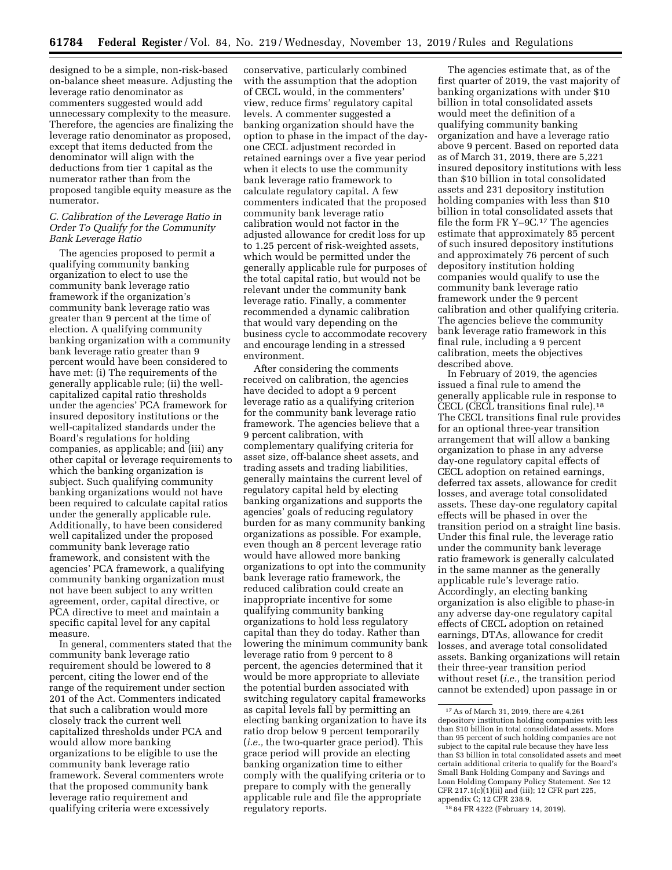designed to be a simple, non-risk-based on-balance sheet measure. Adjusting the leverage ratio denominator as commenters suggested would add unnecessary complexity to the measure. Therefore, the agencies are finalizing the leverage ratio denominator as proposed, except that items deducted from the denominator will align with the deductions from tier 1 capital as the numerator rather than from the proposed tangible equity measure as the numerator.

# *C. Calibration of the Leverage Ratio in Order To Qualify for the Community Bank Leverage Ratio*

The agencies proposed to permit a qualifying community banking organization to elect to use the community bank leverage ratio framework if the organization's community bank leverage ratio was greater than 9 percent at the time of election. A qualifying community banking organization with a community bank leverage ratio greater than 9 percent would have been considered to have met: (i) The requirements of the generally applicable rule; (ii) the wellcapitalized capital ratio thresholds under the agencies' PCA framework for insured depository institutions or the well-capitalized standards under the Board's regulations for holding companies, as applicable; and (iii) any other capital or leverage requirements to which the banking organization is subject. Such qualifying community banking organizations would not have been required to calculate capital ratios under the generally applicable rule. Additionally, to have been considered well capitalized under the proposed community bank leverage ratio framework, and consistent with the agencies' PCA framework, a qualifying community banking organization must not have been subject to any written agreement, order, capital directive, or PCA directive to meet and maintain a specific capital level for any capital measure.

In general, commenters stated that the community bank leverage ratio requirement should be lowered to 8 percent, citing the lower end of the range of the requirement under section 201 of the Act. Commenters indicated that such a calibration would more closely track the current well capitalized thresholds under PCA and would allow more banking organizations to be eligible to use the community bank leverage ratio framework. Several commenters wrote that the proposed community bank leverage ratio requirement and qualifying criteria were excessively

conservative, particularly combined with the assumption that the adoption of CECL would, in the commenters' view, reduce firms' regulatory capital levels. A commenter suggested a banking organization should have the option to phase in the impact of the dayone CECL adjustment recorded in retained earnings over a five year period when it elects to use the community bank leverage ratio framework to calculate regulatory capital. A few commenters indicated that the proposed community bank leverage ratio calibration would not factor in the adjusted allowance for credit loss for up to 1.25 percent of risk-weighted assets, which would be permitted under the generally applicable rule for purposes of the total capital ratio, but would not be relevant under the community bank leverage ratio. Finally, a commenter recommended a dynamic calibration that would vary depending on the business cycle to accommodate recovery and encourage lending in a stressed environment.

After considering the comments received on calibration, the agencies have decided to adopt a 9 percent leverage ratio as a qualifying criterion for the community bank leverage ratio framework. The agencies believe that a 9 percent calibration, with complementary qualifying criteria for asset size, off-balance sheet assets, and trading assets and trading liabilities, generally maintains the current level of regulatory capital held by electing banking organizations and supports the agencies' goals of reducing regulatory burden for as many community banking organizations as possible. For example, even though an 8 percent leverage ratio would have allowed more banking organizations to opt into the community bank leverage ratio framework, the reduced calibration could create an inappropriate incentive for some qualifying community banking organizations to hold less regulatory capital than they do today. Rather than lowering the minimum community bank leverage ratio from 9 percent to 8 percent, the agencies determined that it would be more appropriate to alleviate the potential burden associated with switching regulatory capital frameworks as capital levels fall by permitting an electing banking organization to have its ratio drop below 9 percent temporarily (*i.e.,* the two-quarter grace period). This grace period will provide an electing banking organization time to either comply with the qualifying criteria or to prepare to comply with the generally applicable rule and file the appropriate regulatory reports.

The agencies estimate that, as of the first quarter of 2019, the vast majority of banking organizations with under \$10 billion in total consolidated assets would meet the definition of a qualifying community banking organization and have a leverage ratio above 9 percent. Based on reported data as of March 31, 2019, there are 5,221 insured depository institutions with less than \$10 billion in total consolidated assets and 231 depository institution holding companies with less than \$10 billion in total consolidated assets that file the form FR Y–9C.17 The agencies estimate that approximately 85 percent of such insured depository institutions and approximately 76 percent of such depository institution holding companies would qualify to use the community bank leverage ratio framework under the 9 percent calibration and other qualifying criteria. The agencies believe the community bank leverage ratio framework in this final rule, including a 9 percent calibration, meets the objectives described above.

In February of 2019, the agencies issued a final rule to amend the generally applicable rule in response to CECL (CECL transitions final rule).18 The CECL transitions final rule provides for an optional three-year transition arrangement that will allow a banking organization to phase in any adverse day-one regulatory capital effects of CECL adoption on retained earnings, deferred tax assets, allowance for credit losses, and average total consolidated assets. These day-one regulatory capital effects will be phased in over the transition period on a straight line basis. Under this final rule, the leverage ratio under the community bank leverage ratio framework is generally calculated in the same manner as the generally applicable rule's leverage ratio. Accordingly, an electing banking organization is also eligible to phase-in any adverse day-one regulatory capital effects of CECL adoption on retained earnings, DTAs, allowance for credit losses, and average total consolidated assets. Banking organizations will retain their three-year transition period without reset (*i.e.,* the transition period cannot be extended) upon passage in or

<sup>17</sup>As of March 31, 2019, there are 4,261 depository institution holding companies with less than \$10 billion in total consolidated assets. More than 95 percent of such holding companies are not subject to the capital rule because they have less than \$3 billion in total consolidated assets and meet certain additional criteria to qualify for the Board's Small Bank Holding Company and Savings and Loan Holding Company Policy Statement. *See* 12 CFR 217.1(c)(1)(ii) and (iii); 12 CFR part 225, appendix C; 12 CFR 238.9.

<sup>18</sup> 84 FR 4222 (February 14, 2019).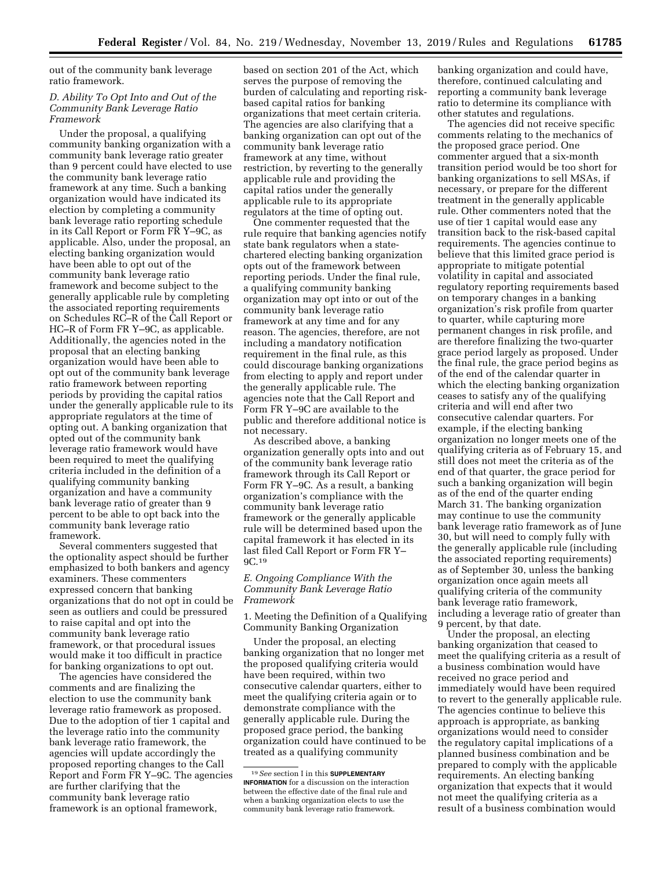out of the community bank leverage ratio framework.

# *D. Ability To Opt Into and Out of the Community Bank Leverage Ratio Framework*

Under the proposal, a qualifying community banking organization with a community bank leverage ratio greater than 9 percent could have elected to use the community bank leverage ratio framework at any time. Such a banking organization would have indicated its election by completing a community bank leverage ratio reporting schedule in its Call Report or Form FR Y–9C, as applicable. Also, under the proposal, an electing banking organization would have been able to opt out of the community bank leverage ratio framework and become subject to the generally applicable rule by completing the associated reporting requirements on Schedules RC–R of the Call Report or HC–R of Form FR Y–9C, as applicable. Additionally, the agencies noted in the proposal that an electing banking organization would have been able to opt out of the community bank leverage ratio framework between reporting periods by providing the capital ratios under the generally applicable rule to its appropriate regulators at the time of opting out. A banking organization that opted out of the community bank leverage ratio framework would have been required to meet the qualifying criteria included in the definition of a qualifying community banking organization and have a community bank leverage ratio of greater than 9 percent to be able to opt back into the community bank leverage ratio framework.

Several commenters suggested that the optionality aspect should be further emphasized to both bankers and agency examiners. These commenters expressed concern that banking organizations that do not opt in could be seen as outliers and could be pressured to raise capital and opt into the community bank leverage ratio framework, or that procedural issues would make it too difficult in practice for banking organizations to opt out.

The agencies have considered the comments and are finalizing the election to use the community bank leverage ratio framework as proposed. Due to the adoption of tier 1 capital and the leverage ratio into the community bank leverage ratio framework, the agencies will update accordingly the proposed reporting changes to the Call Report and Form FR Y–9C. The agencies are further clarifying that the community bank leverage ratio framework is an optional framework,

based on section 201 of the Act, which serves the purpose of removing the burden of calculating and reporting riskbased capital ratios for banking organizations that meet certain criteria. The agencies are also clarifying that a banking organization can opt out of the community bank leverage ratio framework at any time, without restriction, by reverting to the generally applicable rule and providing the capital ratios under the generally applicable rule to its appropriate regulators at the time of opting out.

One commenter requested that the rule require that banking agencies notify state bank regulators when a statechartered electing banking organization opts out of the framework between reporting periods. Under the final rule, a qualifying community banking organization may opt into or out of the community bank leverage ratio framework at any time and for any reason. The agencies, therefore, are not including a mandatory notification requirement in the final rule, as this could discourage banking organizations from electing to apply and report under the generally applicable rule. The agencies note that the Call Report and Form FR Y–9C are available to the public and therefore additional notice is not necessary.

As described above, a banking organization generally opts into and out of the community bank leverage ratio framework through its Call Report or Form FR Y–9C. As a result, a banking organization's compliance with the community bank leverage ratio framework or the generally applicable rule will be determined based upon the capital framework it has elected in its last filed Call Report or Form FR Y– 9C.19

### *E. Ongoing Compliance With the Community Bank Leverage Ratio Framework*

1. Meeting the Definition of a Qualifying Community Banking Organization

Under the proposal, an electing banking organization that no longer met the proposed qualifying criteria would have been required, within two consecutive calendar quarters, either to meet the qualifying criteria again or to demonstrate compliance with the generally applicable rule. During the proposed grace period, the banking organization could have continued to be treated as a qualifying community

banking organization and could have, therefore, continued calculating and reporting a community bank leverage ratio to determine its compliance with other statutes and regulations.

The agencies did not receive specific comments relating to the mechanics of the proposed grace period. One commenter argued that a six-month transition period would be too short for banking organizations to sell MSAs, if necessary, or prepare for the different treatment in the generally applicable rule. Other commenters noted that the use of tier 1 capital would ease any transition back to the risk-based capital requirements. The agencies continue to believe that this limited grace period is appropriate to mitigate potential volatility in capital and associated regulatory reporting requirements based on temporary changes in a banking organization's risk profile from quarter to quarter, while capturing more permanent changes in risk profile, and are therefore finalizing the two-quarter grace period largely as proposed. Under the final rule, the grace period begins as of the end of the calendar quarter in which the electing banking organization ceases to satisfy any of the qualifying criteria and will end after two consecutive calendar quarters. For example, if the electing banking organization no longer meets one of the qualifying criteria as of February 15, and still does not meet the criteria as of the end of that quarter, the grace period for such a banking organization will begin as of the end of the quarter ending March 31. The banking organization may continue to use the community bank leverage ratio framework as of June 30, but will need to comply fully with the generally applicable rule (including the associated reporting requirements) as of September 30, unless the banking organization once again meets all qualifying criteria of the community bank leverage ratio framework, including a leverage ratio of greater than 9 percent, by that date.

Under the proposal, an electing banking organization that ceased to meet the qualifying criteria as a result of a business combination would have received no grace period and immediately would have been required to revert to the generally applicable rule. The agencies continue to believe this approach is appropriate, as banking organizations would need to consider the regulatory capital implications of a planned business combination and be prepared to comply with the applicable requirements. An electing banking organization that expects that it would not meet the qualifying criteria as a result of a business combination would

<sup>19</sup>*See* section I in this **SUPPLEMENTARY INFORMATION** for a discussion on the interaction between the effective date of the final rule and when a banking organization elects to use the community bank leverage ratio framework.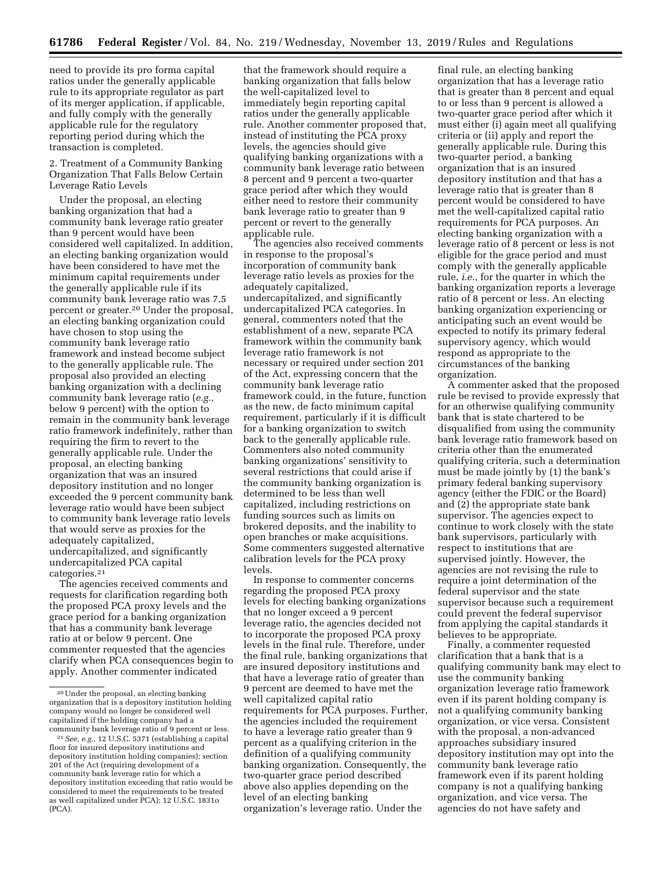need to provide its pro forma capital ratios under the generally applicable rule to its appropriate regulator as part of its merger application, if applicable, and fully comply with the generally applicable rule for the regulatory reporting period during which the transaction is completed.

2. Treatment of a Community Banking Organization That Falls Below Certain Leverage Ratio Levels

Under the proposal, an electing banking organization that had a community bank leverage ratio greater than 9 percent would have been considered well capitalized. In addition, an electing banking organization would have been considered to have met the minimum capital requirements under the generally applicable rule if its community bank leverage ratio was 7.5 percent or greater.20 Under the proposal, an electing banking organization could have chosen to stop using the community bank leverage ratio framework and instead become subject to the generally applicable rule. The proposal also provided an electing banking organization with a declining community bank leverage ratio (*e.g.,*  below 9 percent) with the option to remain in the community bank leverage ratio framework indefinitely, rather than requiring the firm to revert to the generally applicable rule. Under the proposal, an electing banking organization that was an insured depository institution and no longer exceeded the 9 percent community bank leverage ratio would have been subject to community bank leverage ratio levels that would serve as proxies for the adequately capitalized, undercapitalized, and significantly undercapitalized PCA capital categories.21

The agencies received comments and requests for clarification regarding both the proposed PCA proxy levels and the grace period for a banking organization that has a community bank leverage ratio at or below 9 percent. One commenter requested that the agencies clarify when PCA consequences begin to apply. Another commenter indicated

that the framework should require a banking organization that falls below the well-capitalized level to immediately begin reporting capital ratios under the generally applicable rule. Another commenter proposed that, instead of instituting the PCA proxy levels, the agencies should give qualifying banking organizations with a community bank leverage ratio between 8 percent and 9 percent a two-quarter grace period after which they would either need to restore their community bank leverage ratio to greater than 9 percent or revert to the generally applicable rule.

The agencies also received comments in response to the proposal's incorporation of community bank leverage ratio levels as proxies for the adequately capitalized, undercapitalized, and significantly undercapitalized PCA categories. In general, commenters noted that the establishment of a new, separate PCA framework within the community bank leverage ratio framework is not necessary or required under section 201 of the Act, expressing concern that the community bank leverage ratio framework could, in the future, function as the new, de facto minimum capital requirement, particularly if it is difficult for a banking organization to switch back to the generally applicable rule. Commenters also noted community banking organizations' sensitivity to several restrictions that could arise if the community banking organization is determined to be less than well capitalized, including restrictions on funding sources such as limits on brokered deposits, and the inability to open branches or make acquisitions. Some commenters suggested alternative calibration levels for the PCA proxy levels.

In response to commenter concerns regarding the proposed PCA proxy levels for electing banking organizations that no longer exceed a 9 percent leverage ratio, the agencies decided not to incorporate the proposed PCA proxy levels in the final rule. Therefore, under the final rule, banking organizations that are insured depository institutions and that have a leverage ratio of greater than 9 percent are deemed to have met the well capitalized capital ratio requirements for PCA purposes. Further, the agencies included the requirement to have a leverage ratio greater than 9 percent as a qualifying criterion in the definition of a qualifying community banking organization. Consequently, the two-quarter grace period described above also applies depending on the level of an electing banking organization's leverage ratio. Under the

final rule, an electing banking organization that has a leverage ratio that is greater than 8 percent and equal to or less than 9 percent is allowed a two-quarter grace period after which it must either (i) again meet all qualifying criteria or (ii) apply and report the generally applicable rule. During this two-quarter period, a banking organization that is an insured depository institution and that has a leverage ratio that is greater than 8 percent would be considered to have met the well-capitalized capital ratio requirements for PCA purposes. An electing banking organization with a leverage ratio of 8 percent or less is not eligible for the grace period and must comply with the generally applicable rule, *i.e.*, for the quarter in which the banking organization reports a leverage ratio of 8 percent or less. An electing banking organization experiencing or anticipating such an event would be expected to notify its primary federal supervisory agency, which would respond as appropriate to the circumstances of the banking organization.

A commenter asked that the proposed rule be revised to provide expressly that for an otherwise qualifying community bank that is state chartered to be disqualified from using the community bank leverage ratio framework based on criteria other than the enumerated qualifying criteria, such a determination must be made jointly by (1) the bank's primary federal banking supervisory agency (either the FDIC or the Board) and (2) the appropriate state bank supervisor. The agencies expect to continue to work closely with the state bank supervisors, particularly with respect to institutions that are supervised jointly. However, the agencies are not revising the rule to require a joint determination of the federal supervisor and the state supervisor because such a requirement could prevent the federal supervisor from applying the capital standards it believes to be appropriate.

Finally, a commenter requested clarification that a bank that is a qualifying community bank may elect to use the community banking organization leverage ratio framework even if its parent holding company is not a qualifying community banking organization, or vice versa. Consistent with the proposal, a non-advanced approaches subsidiary insured depository institution may opt into the community bank leverage ratio framework even if its parent holding company is not a qualifying banking organization, and vice versa. The agencies do not have safety and

<sup>20</sup>Under the proposal, an electing banking organization that is a depository institution holding company would no longer be considered well capitalized if the holding company had a community bank leverage ratio of 9 percent or less.

<sup>21</sup>*See, e.g.,* 12 U.S.C. 5371 (establishing a capital floor for insured depository institutions and depository institution holding companies); section 201 of the Act (requiring development of a community bank leverage ratio for which a depository institution exceeding that ratio would be considered to meet the requirements to be treated as well capitalized under PCA); 12 U.S.C. 1831o (PCA).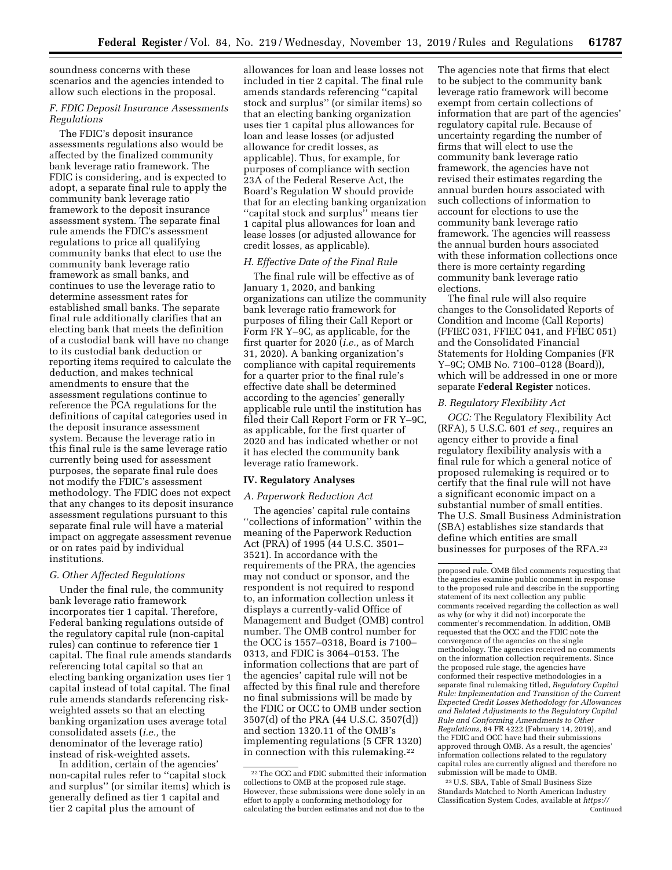soundness concerns with these scenarios and the agencies intended to allow such elections in the proposal.

# *F. FDIC Deposit Insurance Assessments Regulations*

The FDIC's deposit insurance assessments regulations also would be affected by the finalized community bank leverage ratio framework. The FDIC is considering, and is expected to adopt, a separate final rule to apply the community bank leverage ratio framework to the deposit insurance assessment system. The separate final rule amends the FDIC's assessment regulations to price all qualifying community banks that elect to use the community bank leverage ratio framework as small banks, and continues to use the leverage ratio to determine assessment rates for established small banks. The separate final rule additionally clarifies that an electing bank that meets the definition of a custodial bank will have no change to its custodial bank deduction or reporting items required to calculate the deduction, and makes technical amendments to ensure that the assessment regulations continue to reference the PCA regulations for the definitions of capital categories used in the deposit insurance assessment system. Because the leverage ratio in this final rule is the same leverage ratio currently being used for assessment purposes, the separate final rule does not modify the FDIC's assessment methodology. The FDIC does not expect that any changes to its deposit insurance assessment regulations pursuant to this separate final rule will have a material impact on aggregate assessment revenue or on rates paid by individual institutions.

### *G. Other Affected Regulations*

Under the final rule, the community bank leverage ratio framework incorporates tier 1 capital. Therefore, Federal banking regulations outside of the regulatory capital rule (non-capital rules) can continue to reference tier 1 capital. The final rule amends standards referencing total capital so that an electing banking organization uses tier 1 capital instead of total capital. The final rule amends standards referencing riskweighted assets so that an electing banking organization uses average total consolidated assets (*i.e.,* the denominator of the leverage ratio) instead of risk-weighted assets.

In addition, certain of the agencies' non-capital rules refer to ''capital stock and surplus'' (or similar items) which is generally defined as tier 1 capital and tier 2 capital plus the amount of

allowances for loan and lease losses not included in tier 2 capital. The final rule amends standards referencing ''capital stock and surplus'' (or similar items) so that an electing banking organization uses tier 1 capital plus allowances for loan and lease losses (or adjusted allowance for credit losses, as applicable). Thus, for example, for purposes of compliance with section 23A of the Federal Reserve Act, the Board's Regulation W should provide that for an electing banking organization ''capital stock and surplus'' means tier 1 capital plus allowances for loan and lease losses (or adjusted allowance for credit losses, as applicable).

## *H. Effective Date of the Final Rule*

The final rule will be effective as of January 1, 2020, and banking organizations can utilize the community bank leverage ratio framework for purposes of filing their Call Report or Form FR Y–9C, as applicable, for the first quarter for 2020 (*i.e.,* as of March 31, 2020). A banking organization's compliance with capital requirements for a quarter prior to the final rule's effective date shall be determined according to the agencies' generally applicable rule until the institution has filed their Call Report Form or FR Y–9C, as applicable, for the first quarter of 2020 and has indicated whether or not it has elected the community bank leverage ratio framework.

### **IV. Regulatory Analyses**

# *A. Paperwork Reduction Act*

The agencies' capital rule contains ''collections of information'' within the meaning of the Paperwork Reduction Act (PRA) of 1995 (44 U.S.C. 3501– 3521). In accordance with the requirements of the PRA, the agencies may not conduct or sponsor, and the respondent is not required to respond to, an information collection unless it displays a currently-valid Office of Management and Budget (OMB) control number. The OMB control number for the OCC is 1557–0318, Board is 7100– 0313, and FDIC is 3064–0153. The information collections that are part of the agencies' capital rule will not be affected by this final rule and therefore no final submissions will be made by the FDIC or OCC to OMB under section 3507(d) of the PRA (44 U.S.C. 3507(d)) and section 1320.11 of the OMB's implementing regulations (5 CFR 1320) in connection with this rulemaking.22

The agencies note that firms that elect to be subject to the community bank leverage ratio framework will become exempt from certain collections of information that are part of the agencies' regulatory capital rule. Because of uncertainty regarding the number of firms that will elect to use the community bank leverage ratio framework, the agencies have not revised their estimates regarding the annual burden hours associated with such collections of information to account for elections to use the community bank leverage ratio framework. The agencies will reassess the annual burden hours associated with these information collections once there is more certainty regarding community bank leverage ratio elections.

The final rule will also require changes to the Consolidated Reports of Condition and Income (Call Reports) (FFIEC 031, FFIEC 041, and FFIEC 051) and the Consolidated Financial Statements for Holding Companies (FR Y–9C; OMB No. 7100–0128 (Board)), which will be addressed in one or more separate **Federal Register** notices.

#### *B. Regulatory Flexibility Act*

*OCC:* The Regulatory Flexibility Act (RFA), 5 U.S.C. 601 *et seq.,* requires an agency either to provide a final regulatory flexibility analysis with a final rule for which a general notice of proposed rulemaking is required or to certify that the final rule will not have a significant economic impact on a substantial number of small entities. The U.S. Small Business Administration (SBA) establishes size standards that define which entities are small businesses for purposes of the RFA.23

proposed rule. OMB filed comments requesting that the agencies examine public comment in response to the proposed rule and describe in the supporting statement of its next collection any public comments received regarding the collection as well as why (or why it did not) incorporate the commenter's recommendation. In addition, OMB requested that the OCC and the FDIC note the convergence of the agencies on the single methodology. The agencies received no comments on the information collection requirements. Since the proposed rule stage, the agencies have conformed their respective methodologies in a separate final rulemaking titled, *Regulatory Capital Rule: Implementation and Transition of the Current Expected Credit Losses Methodology for Allowances and Related Adjustments to the Regulatory Capital Rule and Conforming Amendments to Other Regulations,* 84 FR 4222 (February 14, 2019), and the FDIC and OCC have had their submissions approved through OMB. As a result, the agencies' information collections related to the regulatory capital rules are currently aligned and therefore no submission will be made to OMB.

23U.S. SBA, Table of Small Business Size Standards Matched to North American Industry Classification System Codes, available at *[https://](https://www.sba.gov/sites/default/files/files/Size_Standards_Table.pdf)*  Continued

<sup>22</sup>The OCC and FDIC submitted their information collections to OMB at the proposed rule stage. However, these submissions were done solely in an effort to apply a conforming methodology for calculating the burden estimates and not due to the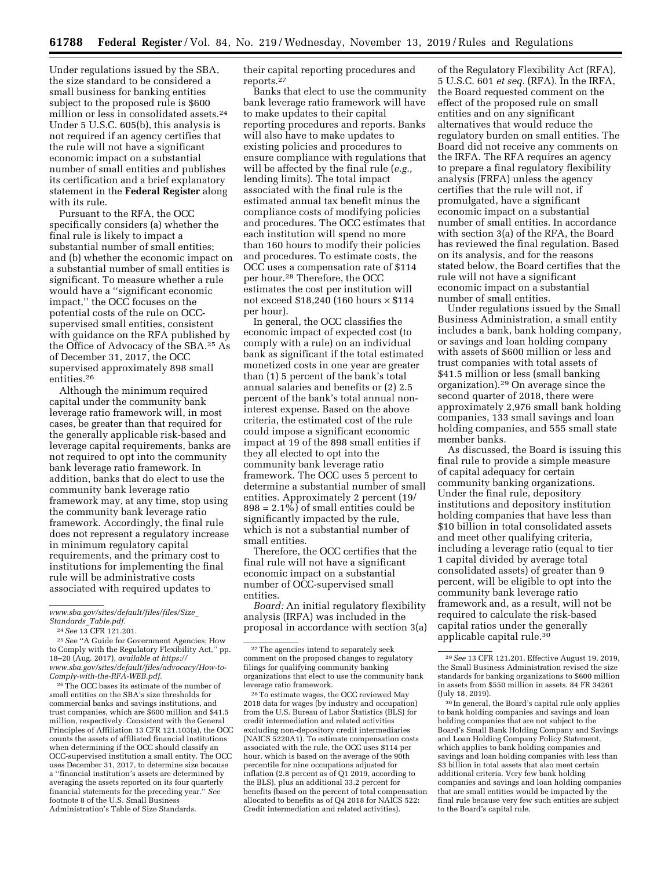Under regulations issued by the SBA, the size standard to be considered a small business for banking entities subject to the proposed rule is \$600 million or less in consolidated assets.24 Under 5 U.S.C. 605(b), this analysis is not required if an agency certifies that the rule will not have a significant economic impact on a substantial number of small entities and publishes its certification and a brief explanatory statement in the **Federal Register** along with its rule.

Pursuant to the RFA, the OCC specifically considers (a) whether the final rule is likely to impact a substantial number of small entities; and (b) whether the economic impact on a substantial number of small entities is significant. To measure whether a rule would have a ''significant economic impact,'' the OCC focuses on the potential costs of the rule on OCCsupervised small entities, consistent with guidance on the RFA published by the Office of Advocacy of the SBA.25 As of December 31, 2017, the OCC supervised approximately 898 small entities.26

Although the minimum required capital under the community bank leverage ratio framework will, in most cases, be greater than that required for the generally applicable risk-based and leverage capital requirements, banks are not required to opt into the community bank leverage ratio framework. In addition, banks that do elect to use the community bank leverage ratio framework may, at any time, stop using the community bank leverage ratio framework. Accordingly, the final rule does not represent a regulatory increase in minimum regulatory capital requirements, and the primary cost to institutions for implementing the final rule will be administrative costs associated with required updates to

*[www.sba.gov/sites/default/files/files/Size](https://www.sba.gov/sites/default/files/files/Size_Standards_Table.pdf)*\_ *Standards*\_*[Table.pdf.](https://www.sba.gov/sites/default/files/files/Size_Standards_Table.pdf)* 

25*See* ''A Guide for Government Agencies; How to Comply with the Regulatory Flexibility Act,'' pp. 18–20 (Aug. 2017), *available at [https://](https://www.sba.gov/sites/default/files/advocacy/How-to-Comply-with-the-RFA-WEB.pdf) [www.sba.gov/sites/default/files/advocacy/How-to-](https://www.sba.gov/sites/default/files/advocacy/How-to-Comply-with-the-RFA-WEB.pdf)[Comply-with-the-RFA-WEB.pdf.](https://www.sba.gov/sites/default/files/advocacy/How-to-Comply-with-the-RFA-WEB.pdf)* 

26The OCC bases its estimate of the number of small entities on the SBA's size thresholds for commercial banks and savings institutions, and trust companies, which are \$600 million and \$41.5 million, respectively. Consistent with the General Principles of Affiliation 13 CFR 121.103(a), the OCC counts the assets of affiliated financial institutions when determining if the OCC should classify an OCC-supervised institution a small entity. The OCC uses December 31, 2017, to determine size because a ''financial institution's assets are determined by averaging the assets reported on its four quarterly financial statements for the preceding year.'' *See*  footnote 8 of the U.S. Small Business Administration's Table of Size Standards.

their capital reporting procedures and reports.27

Banks that elect to use the community bank leverage ratio framework will have to make updates to their capital reporting procedures and reports. Banks will also have to make updates to existing policies and procedures to ensure compliance with regulations that will be affected by the final rule (*e.g.,*  lending limits). The total impact associated with the final rule is the estimated annual tax benefit minus the compliance costs of modifying policies and procedures. The OCC estimates that each institution will spend no more than 160 hours to modify their policies and procedures. To estimate costs, the OCC uses a compensation rate of \$114 per hour.28 Therefore, the OCC estimates the cost per institution will not exceed \$18,240 (160 hours × \$114 per hour).

In general, the OCC classifies the economic impact of expected cost (to comply with a rule) on an individual bank as significant if the total estimated monetized costs in one year are greater than (1) 5 percent of the bank's total annual salaries and benefits or (2) 2.5 percent of the bank's total annual noninterest expense. Based on the above criteria, the estimated cost of the rule could impose a significant economic impact at 19 of the 898 small entities if they all elected to opt into the community bank leverage ratio framework. The OCC uses 5 percent to determine a substantial number of small entities. Approximately 2 percent (19/  $898 = 2.1\%$ ) of small entities could be significantly impacted by the rule, which is not a substantial number of small entities.

Therefore, the OCC certifies that the final rule will not have a significant economic impact on a substantial number of OCC-supervised small entities.

*Board:* An initial regulatory flexibility analysis (IRFA) was included in the proposal in accordance with section 3(a)

28To estimate wages, the OCC reviewed May 2018 data for wages (by industry and occupation) from the U.S. Bureau of Labor Statistics (BLS) for credit intermediation and related activities excluding non-depository credit intermediaries (NAICS 5220A1). To estimate compensation costs associated with the rule, the OCC uses \$114 per hour, which is based on the average of the 90th percentile for nine occupations adjusted for inflation (2.8 percent as of Q1 2019, according to the BLS), plus an additional 33.2 percent for benefits (based on the percent of total compensation allocated to benefits as of Q4 2018 for NAICS 522: Credit intermediation and related activities).

of the Regulatory Flexibility Act (RFA), 5 U.S.C. 601 *et seq.* (RFA). In the IRFA, the Board requested comment on the effect of the proposed rule on small entities and on any significant alternatives that would reduce the regulatory burden on small entities. The Board did not receive any comments on the IRFA. The RFA requires an agency to prepare a final regulatory flexibility analysis (FRFA) unless the agency certifies that the rule will not, if promulgated, have a significant economic impact on a substantial number of small entities. In accordance with section 3(a) of the RFA, the Board has reviewed the final regulation. Based on its analysis, and for the reasons stated below, the Board certifies that the rule will not have a significant economic impact on a substantial number of small entities.

Under regulations issued by the Small Business Administration, a small entity includes a bank, bank holding company, or savings and loan holding company with assets of \$600 million or less and trust companies with total assets of \$41.5 million or less (small banking organization).29 On average since the second quarter of 2018, there were approximately 2,976 small bank holding companies, 133 small savings and loan holding companies, and 555 small state member banks.

As discussed, the Board is issuing this final rule to provide a simple measure of capital adequacy for certain community banking organizations. Under the final rule, depository institutions and depository institution holding companies that have less than \$10 billion in total consolidated assets and meet other qualifying criteria, including a leverage ratio (equal to tier 1 capital divided by average total consolidated assets) of greater than 9 percent, will be eligible to opt into the community bank leverage ratio framework and, as a result, will not be required to calculate the risk-based capital ratios under the generally applicable capital rule.30

30 In general, the Board's capital rule only applies to bank holding companies and savings and loan holding companies that are not subject to the Board's Small Bank Holding Company and Savings and Loan Holding Company Policy Statement, which applies to bank holding companies and savings and loan holding companies with less than \$3 billion in total assets that also meet certain additional criteria. Very few bank holding companies and savings and loan holding companies that are small entities would be impacted by the final rule because very few such entities are subject to the Board's capital rule.

<sup>24</sup>*See* 13 CFR 121.201.

<sup>&</sup>lt;sup>27</sup>The agencies intend to separately seek comment on the proposed changes to regulatory filings for qualifying community banking organizations that elect to use the community bank leverage ratio framework.

<sup>29</sup>*See* 13 CFR 121.201. Effective August 19, 2019, the Small Business Administration revised the size standards for banking organizations to \$600 million in assets from \$550 million in assets. 84 FR 34261 (July 18, 2019).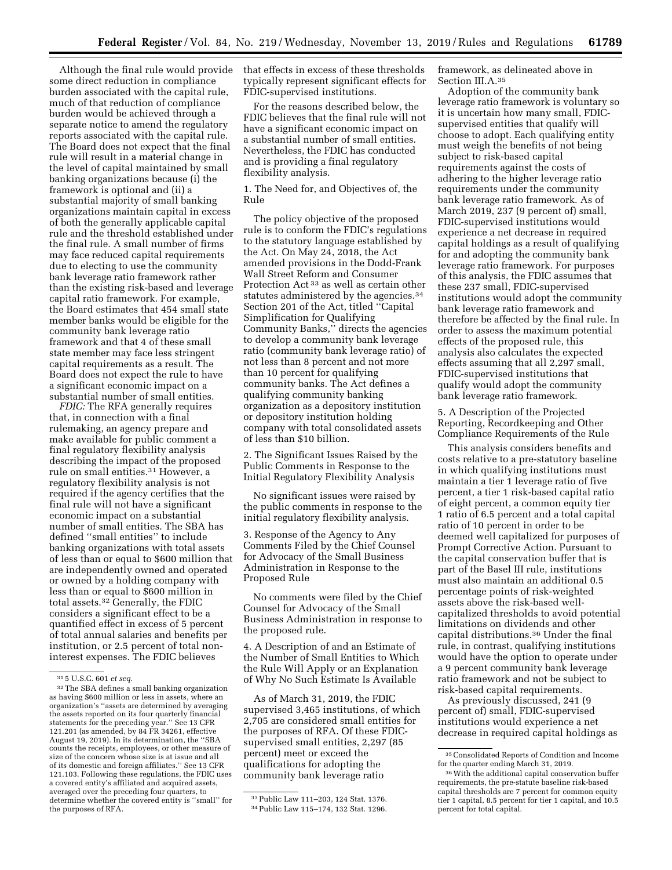Although the final rule would provide some direct reduction in compliance burden associated with the capital rule, much of that reduction of compliance burden would be achieved through a separate notice to amend the regulatory reports associated with the capital rule. The Board does not expect that the final rule will result in a material change in the level of capital maintained by small banking organizations because (i) the framework is optional and (ii) a substantial majority of small banking organizations maintain capital in excess of both the generally applicable capital rule and the threshold established under the final rule. A small number of firms may face reduced capital requirements due to electing to use the community bank leverage ratio framework rather than the existing risk-based and leverage capital ratio framework. For example, the Board estimates that 454 small state member banks would be eligible for the community bank leverage ratio framework and that 4 of these small state member may face less stringent capital requirements as a result. The Board does not expect the rule to have a significant economic impact on a substantial number of small entities.

*FDIC:* The RFA generally requires that, in connection with a final rulemaking, an agency prepare and make available for public comment a final regulatory flexibility analysis describing the impact of the proposed rule on small entities.31 However, a regulatory flexibility analysis is not required if the agency certifies that the final rule will not have a significant economic impact on a substantial number of small entities. The SBA has defined ''small entities'' to include banking organizations with total assets of less than or equal to \$600 million that are independently owned and operated or owned by a holding company with less than or equal to \$600 million in total assets.32 Generally, the FDIC considers a significant effect to be a quantified effect in excess of 5 percent of total annual salaries and benefits per institution, or 2.5 percent of total noninterest expenses. The FDIC believes

that effects in excess of these thresholds typically represent significant effects for FDIC-supervised institutions.

For the reasons described below, the FDIC believes that the final rule will not have a significant economic impact on a substantial number of small entities. Nevertheless, the FDIC has conducted and is providing a final regulatory flexibility analysis.

1. The Need for, and Objectives of, the Rule

The policy objective of the proposed rule is to conform the FDIC's regulations to the statutory language established by the Act. On May 24, 2018, the Act amended provisions in the Dodd-Frank Wall Street Reform and Consumer Protection Act 33 as well as certain other statutes administered by the agencies.<sup>34</sup> Section 201 of the Act, titled ''Capital Simplification for Qualifying Community Banks,'' directs the agencies to develop a community bank leverage ratio (community bank leverage ratio) of not less than 8 percent and not more than 10 percent for qualifying community banks. The Act defines a qualifying community banking organization as a depository institution or depository institution holding company with total consolidated assets of less than \$10 billion.

2. The Significant Issues Raised by the Public Comments in Response to the Initial Regulatory Flexibility Analysis

No significant issues were raised by the public comments in response to the initial regulatory flexibility analysis.

3. Response of the Agency to Any Comments Filed by the Chief Counsel for Advocacy of the Small Business Administration in Response to the Proposed Rule

No comments were filed by the Chief Counsel for Advocacy of the Small Business Administration in response to the proposed rule.

4. A Description of and an Estimate of the Number of Small Entities to Which the Rule Will Apply or an Explanation of Why No Such Estimate Is Available

As of March 31, 2019, the FDIC supervised 3,465 institutions, of which 2,705 are considered small entities for the purposes of RFA. Of these FDICsupervised small entities, 2,297 (85 percent) meet or exceed the qualifications for adopting the community bank leverage ratio

framework, as delineated above in Section III.A.35

Adoption of the community bank leverage ratio framework is voluntary so it is uncertain how many small, FDICsupervised entities that qualify will choose to adopt. Each qualifying entity must weigh the benefits of not being subject to risk-based capital requirements against the costs of adhering to the higher leverage ratio requirements under the community bank leverage ratio framework. As of March 2019, 237 (9 percent of) small, FDIC-supervised institutions would experience a net decrease in required capital holdings as a result of qualifying for and adopting the community bank leverage ratio framework. For purposes of this analysis, the FDIC assumes that these 237 small, FDIC-supervised institutions would adopt the community bank leverage ratio framework and therefore be affected by the final rule. In order to assess the maximum potential effects of the proposed rule, this analysis also calculates the expected effects assuming that all 2,297 small, FDIC-supervised institutions that qualify would adopt the community bank leverage ratio framework.

5. A Description of the Projected Reporting, Recordkeeping and Other Compliance Requirements of the Rule

This analysis considers benefits and costs relative to a pre-statutory baseline in which qualifying institutions must maintain a tier 1 leverage ratio of five percent, a tier 1 risk-based capital ratio of eight percent, a common equity tier 1 ratio of 6.5 percent and a total capital ratio of 10 percent in order to be deemed well capitalized for purposes of Prompt Corrective Action. Pursuant to the capital conservation buffer that is part of the Basel III rule, institutions must also maintain an additional 0.5 percentage points of risk-weighted assets above the risk-based wellcapitalized thresholds to avoid potential limitations on dividends and other capital distributions.36 Under the final rule, in contrast, qualifying institutions would have the option to operate under a 9 percent community bank leverage ratio framework and not be subject to risk-based capital requirements.

As previously discussed, 241 (9 percent of) small, FDIC-supervised institutions would experience a net decrease in required capital holdings as

<sup>31</sup> 5 U.S.C. 601 *et seq.* 

 $^{\rm 32}\rm{The\ SBA}$  defines a small banking organization as having \$600 million or less in assets, where an organization's ''assets are determined by averaging the assets reported on its four quarterly financial statements for the preceding year.'' See 13 CFR 121.201 (as amended, by 84 FR 34261, effective August 19, 2019). In its determination, the ''SBA counts the receipts, employees, or other measure of size of the concern whose size is at issue and all of its domestic and foreign affiliates.'' See 13 CFR 121.103. Following these regulations, the FDIC uses a covered entity's affiliated and acquired assets, averaged over the preceding four quarters, to determine whether the covered entity is ''small'' for the purposes of RFA.

<sup>33</sup>Public Law 111–203, 124 Stat. 1376.

<sup>34</sup>Public Law 115–174, 132 Stat. 1296.

 $^{\rm 35}$  Consolidated Reports of Condition and Income for the quarter ending March 31, 2019.

<sup>36</sup>With the additional capital conservation buffer requirements, the pre-statute baseline risk-based capital thresholds are 7 percent for common equity tier 1 capital, 8.5 percent for tier 1 capital, and 10.5 percent for total capital.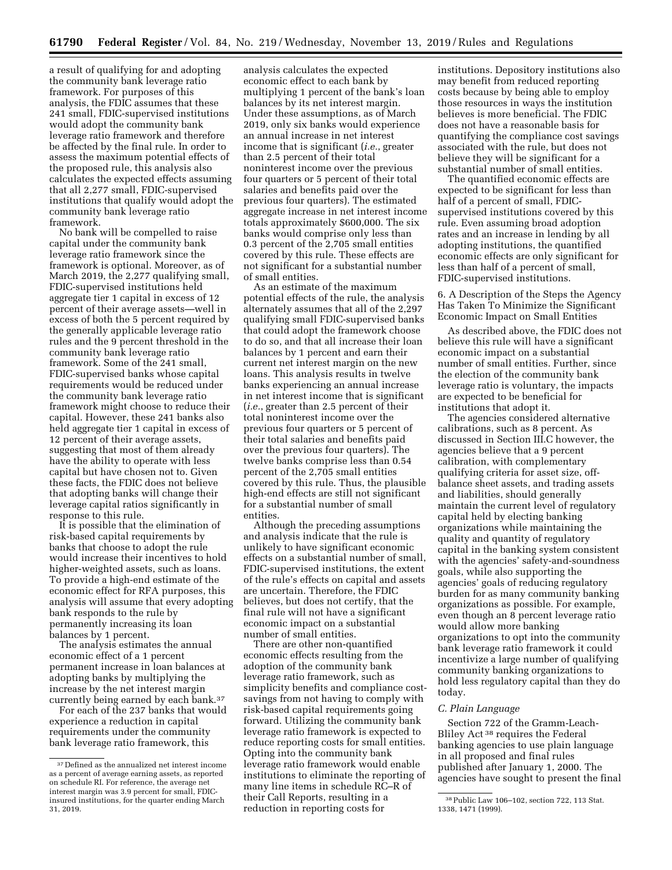a result of qualifying for and adopting the community bank leverage ratio framework. For purposes of this analysis, the FDIC assumes that these 241 small, FDIC-supervised institutions would adopt the community bank leverage ratio framework and therefore be affected by the final rule. In order to assess the maximum potential effects of the proposed rule, this analysis also calculates the expected effects assuming that all 2,277 small, FDIC-supervised institutions that qualify would adopt the community bank leverage ratio framework.

No bank will be compelled to raise capital under the community bank leverage ratio framework since the framework is optional. Moreover, as of March 2019, the 2,277 qualifying small, FDIC-supervised institutions held aggregate tier 1 capital in excess of 12 percent of their average assets—well in excess of both the 5 percent required by the generally applicable leverage ratio rules and the 9 percent threshold in the community bank leverage ratio framework. Some of the 241 small, FDIC-supervised banks whose capital requirements would be reduced under the community bank leverage ratio framework might choose to reduce their capital. However, these 241 banks also held aggregate tier 1 capital in excess of 12 percent of their average assets, suggesting that most of them already have the ability to operate with less capital but have chosen not to. Given these facts, the FDIC does not believe that adopting banks will change their leverage capital ratios significantly in response to this rule.

It is possible that the elimination of risk-based capital requirements by banks that choose to adopt the rule would increase their incentives to hold higher-weighted assets, such as loans. To provide a high-end estimate of the economic effect for RFA purposes, this analysis will assume that every adopting bank responds to the rule by permanently increasing its loan balances by 1 percent.

The analysis estimates the annual economic effect of a 1 percent permanent increase in loan balances at adopting banks by multiplying the increase by the net interest margin currently being earned by each bank.37

For each of the 237 banks that would experience a reduction in capital requirements under the community bank leverage ratio framework, this

analysis calculates the expected economic effect to each bank by multiplying 1 percent of the bank's loan balances by its net interest margin. Under these assumptions, as of March 2019, only six banks would experience an annual increase in net interest income that is significant (*i.e.*, greater than 2.5 percent of their total noninterest income over the previous four quarters or 5 percent of their total salaries and benefits paid over the previous four quarters). The estimated aggregate increase in net interest income totals approximately \$600,000. The six banks would comprise only less than 0.3 percent of the 2,705 small entities covered by this rule. These effects are not significant for a substantial number of small entities.

As an estimate of the maximum potential effects of the rule, the analysis alternately assumes that all of the 2,297 qualifying small FDIC-supervised banks that could adopt the framework choose to do so, and that all increase their loan balances by 1 percent and earn their current net interest margin on the new loans. This analysis results in twelve banks experiencing an annual increase in net interest income that is significant (*i.e.*, greater than 2.5 percent of their total noninterest income over the previous four quarters or 5 percent of their total salaries and benefits paid over the previous four quarters). The twelve banks comprise less than 0.54 percent of the 2,705 small entities covered by this rule. Thus, the plausible high-end effects are still not significant for a substantial number of small entities.

Although the preceding assumptions and analysis indicate that the rule is unlikely to have significant economic effects on a substantial number of small, FDIC-supervised institutions, the extent of the rule's effects on capital and assets are uncertain. Therefore, the FDIC believes, but does not certify, that the final rule will not have a significant economic impact on a substantial number of small entities.

There are other non-quantified economic effects resulting from the adoption of the community bank leverage ratio framework, such as simplicity benefits and compliance costsavings from not having to comply with risk-based capital requirements going forward. Utilizing the community bank leverage ratio framework is expected to reduce reporting costs for small entities. Opting into the community bank leverage ratio framework would enable institutions to eliminate the reporting of many line items in schedule RC–R of their Call Reports, resulting in a reduction in reporting costs for

institutions. Depository institutions also may benefit from reduced reporting costs because by being able to employ those resources in ways the institution believes is more beneficial. The FDIC does not have a reasonable basis for quantifying the compliance cost savings associated with the rule, but does not believe they will be significant for a substantial number of small entities.

The quantified economic effects are expected to be significant for less than half of a percent of small, FDICsupervised institutions covered by this rule. Even assuming broad adoption rates and an increase in lending by all adopting institutions, the quantified economic effects are only significant for less than half of a percent of small, FDIC-supervised institutions.

6. A Description of the Steps the Agency Has Taken To Minimize the Significant Economic Impact on Small Entities

As described above, the FDIC does not believe this rule will have a significant economic impact on a substantial number of small entities. Further, since the election of the community bank leverage ratio is voluntary, the impacts are expected to be beneficial for institutions that adopt it.

The agencies considered alternative calibrations, such as 8 percent. As discussed in Section III.C however, the agencies believe that a 9 percent calibration, with complementary qualifying criteria for asset size, offbalance sheet assets, and trading assets and liabilities, should generally maintain the current level of regulatory capital held by electing banking organizations while maintaining the quality and quantity of regulatory capital in the banking system consistent with the agencies' safety-and-soundness goals, while also supporting the agencies' goals of reducing regulatory burden for as many community banking organizations as possible. For example, even though an 8 percent leverage ratio would allow more banking organizations to opt into the community bank leverage ratio framework it could incentivize a large number of qualifying community banking organizations to hold less regulatory capital than they do today.

# *C. Plain Language*

Section 722 of the Gramm-Leach-Bliley Act 38 requires the Federal banking agencies to use plain language in all proposed and final rules published after January 1, 2000. The agencies have sought to present the final

<sup>&</sup>lt;sup>37</sup> Defined as the annualized net interest income as a percent of average earning assets, as reported on schedule RI. For reference, the average net interest margin was 3.9 percent for small, FDICinsured institutions, for the quarter ending March 31, 2019.

<sup>38</sup>Public Law 106–102, section 722, 113 Stat. 1338, 1471 (1999).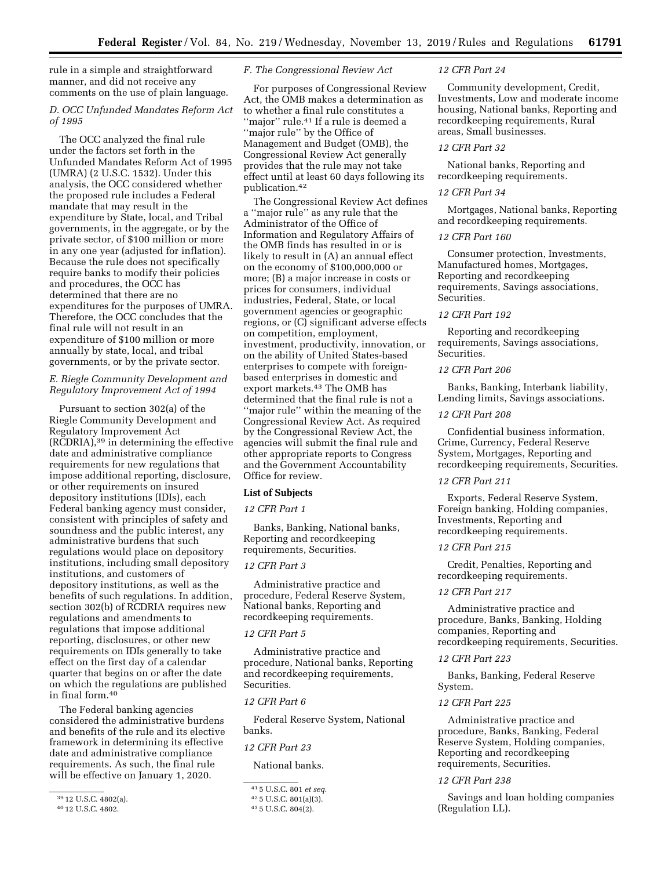rule in a simple and straightforward manner, and did not receive any comments on the use of plain language.

# *D. OCC Unfunded Mandates Reform Act of 1995*

The OCC analyzed the final rule under the factors set forth in the Unfunded Mandates Reform Act of 1995 (UMRA) (2 U.S.C. 1532). Under this analysis, the OCC considered whether the proposed rule includes a Federal mandate that may result in the expenditure by State, local, and Tribal governments, in the aggregate, or by the private sector, of \$100 million or more in any one year (adjusted for inflation). Because the rule does not specifically require banks to modify their policies and procedures, the OCC has determined that there are no expenditures for the purposes of UMRA. Therefore, the OCC concludes that the final rule will not result in an expenditure of \$100 million or more annually by state, local, and tribal governments, or by the private sector.

# *E. Riegle Community Development and Regulatory Improvement Act of 1994*

Pursuant to section 302(a) of the Riegle Community Development and Regulatory Improvement Act (RCDRIA),39 in determining the effective date and administrative compliance requirements for new regulations that impose additional reporting, disclosure, or other requirements on insured depository institutions (IDIs), each Federal banking agency must consider, consistent with principles of safety and soundness and the public interest, any administrative burdens that such regulations would place on depository institutions, including small depository institutions, and customers of depository institutions, as well as the benefits of such regulations. In addition, section 302(b) of RCDRIA requires new regulations and amendments to regulations that impose additional reporting, disclosures, or other new requirements on IDIs generally to take effect on the first day of a calendar quarter that begins on or after the date on which the regulations are published in final form.40

The Federal banking agencies considered the administrative burdens and benefits of the rule and its elective framework in determining its effective date and administrative compliance requirements. As such, the final rule will be effective on January 1, 2020.

*F. The Congressional Review Act* 

For purposes of Congressional Review Act, the OMB makes a determination as to whether a final rule constitutes a "major" rule.<sup>41</sup> If a rule is deemed a ''major rule'' by the Office of Management and Budget (OMB), the Congressional Review Act generally provides that the rule may not take effect until at least 60 days following its publication.42

The Congressional Review Act defines a ''major rule'' as any rule that the Administrator of the Office of Information and Regulatory Affairs of the OMB finds has resulted in or is likely to result in (A) an annual effect on the economy of \$100,000,000 or more; (B) a major increase in costs or prices for consumers, individual industries, Federal, State, or local government agencies or geographic regions, or (C) significant adverse effects on competition, employment, investment, productivity, innovation, or on the ability of United States-based enterprises to compete with foreignbased enterprises in domestic and export markets.<sup>43</sup> The OMB has determined that the final rule is not a ''major rule'' within the meaning of the Congressional Review Act. As required by the Congressional Review Act, the agencies will submit the final rule and other appropriate reports to Congress and the Government Accountability Office for review.

#### **List of Subjects**

#### *12 CFR Part 1*

Banks, Banking, National banks, Reporting and recordkeeping requirements, Securities.

# *12 CFR Part 3*

Administrative practice and procedure, Federal Reserve System, National banks, Reporting and recordkeeping requirements.

#### *12 CFR Part 5*

Administrative practice and procedure, National banks, Reporting and recordkeeping requirements, Securities.

### *12 CFR Part 6*

Federal Reserve System, National banks.

## *12 CFR Part 23*

National banks.

#### *12 CFR Part 24*

Community development, Credit, Investments, Low and moderate income housing, National banks, Reporting and recordkeeping requirements, Rural areas, Small businesses.

#### *12 CFR Part 32*

National banks, Reporting and recordkeeping requirements.

### *12 CFR Part 34*

Mortgages, National banks, Reporting and recordkeeping requirements.

#### *12 CFR Part 160*

Consumer protection, Investments, Manufactured homes, Mortgages, Reporting and recordkeeping requirements, Savings associations, Securities.

#### *12 CFR Part 192*

Reporting and recordkeeping requirements, Savings associations, Securities.

### *12 CFR Part 206*

Banks, Banking, Interbank liability, Lending limits, Savings associations.

#### *12 CFR Part 208*

Confidential business information, Crime, Currency, Federal Reserve System, Mortgages, Reporting and recordkeeping requirements, Securities.

### *12 CFR Part 211*

Exports, Federal Reserve System, Foreign banking, Holding companies, Investments, Reporting and recordkeeping requirements.

### *12 CFR Part 215*

Credit, Penalties, Reporting and recordkeeping requirements.

### *12 CFR Part 217*

Administrative practice and procedure, Banks, Banking, Holding companies, Reporting and recordkeeping requirements, Securities.

# *12 CFR Part 223*

Banks, Banking, Federal Reserve System.

### *12 CFR Part 225*

Administrative practice and procedure, Banks, Banking, Federal Reserve System, Holding companies, Reporting and recordkeeping requirements, Securities.

### *12 CFR Part 238*

Savings and loan holding companies (Regulation LL).

 $3912$  U.S.C. 4802(a).

<sup>40</sup> 12 U.S.C. 4802.

<sup>41</sup> 5 U.S.C. 801 *et seq.* 

<sup>42</sup> 5 U.S.C. 801(a)(3).

<sup>43</sup> 5 U.S.C. 804(2).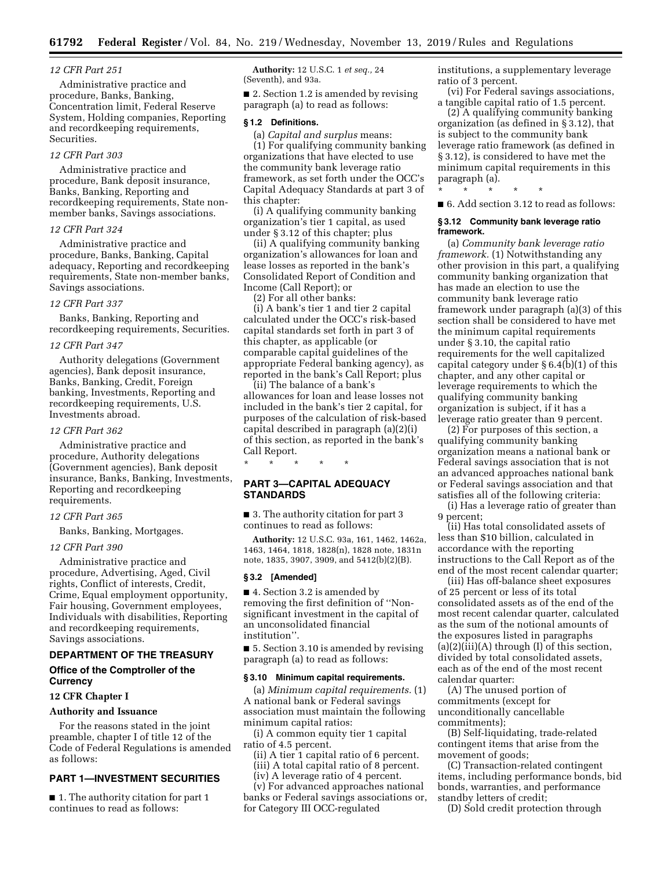## *12 CFR Part 251*

Administrative practice and procedure, Banks, Banking, Concentration limit, Federal Reserve System, Holding companies, Reporting and recordkeeping requirements, Securities.

#### *12 CFR Part 303*

Administrative practice and procedure, Bank deposit insurance, Banks, Banking, Reporting and recordkeeping requirements, State nonmember banks, Savings associations.

## *12 CFR Part 324*

Administrative practice and procedure, Banks, Banking, Capital adequacy, Reporting and recordkeeping requirements, State non-member banks, Savings associations.

### *12 CFR Part 337*

Banks, Banking, Reporting and recordkeeping requirements, Securities.

### *12 CFR Part 347*

Authority delegations (Government agencies), Bank deposit insurance, Banks, Banking, Credit, Foreign banking, Investments, Reporting and recordkeeping requirements, U.S. Investments abroad.

#### *12 CFR Part 362*

Administrative practice and procedure, Authority delegations (Government agencies), Bank deposit insurance, Banks, Banking, Investments, Reporting and recordkeeping requirements.

#### *12 CFR Part 365*

Banks, Banking, Mortgages.

#### *12 CFR Part 390*

Administrative practice and procedure, Advertising, Aged, Civil rights, Conflict of interests, Credit, Crime, Equal employment opportunity, Fair housing, Government employees, Individuals with disabilities, Reporting and recordkeeping requirements, Savings associations.

### **DEPARTMENT OF THE TREASURY**

# **Office of the Comptroller of the Currency**

## **12 CFR Chapter I**

### **Authority and Issuance**

For the reasons stated in the joint preamble, chapter I of title 12 of the Code of Federal Regulations is amended as follows:

# **PART 1—INVESTMENT SECURITIES**

■ 1. The authority citation for part 1 continues to read as follows:

**Authority:** 12 U.S.C. 1 *et seq.,* 24 (Seventh), and 93a.

■ 2. Section 1.2 is amended by revising paragraph (a) to read as follows:

#### **§ 1.2 Definitions.**

(a) *Capital and surplus* means:

(1) For qualifying community banking organizations that have elected to use the community bank leverage ratio framework, as set forth under the OCC's Capital Adequacy Standards at part 3 of this chapter:

(i) A qualifying community banking organization's tier 1 capital, as used under § 3.12 of this chapter; plus

(ii) A qualifying community banking organization's allowances for loan and lease losses as reported in the bank's Consolidated Report of Condition and Income (Call Report); or

(2) For all other banks:

(i) A bank's tier 1 and tier 2 capital calculated under the OCC's risk-based capital standards set forth in part 3 of this chapter, as applicable (or comparable capital guidelines of the appropriate Federal banking agency), as reported in the bank's Call Report; plus

(ii) The balance of a bank's allowances for loan and lease losses not included in the bank's tier 2 capital, for purposes of the calculation of risk-based capital described in paragraph (a)(2)(i) of this section, as reported in the bank's Call Report.

\* \* \* \* \*

# **PART 3—CAPITAL ADEQUACY STANDARDS**

■ 3. The authority citation for part 3 continues to read as follows:

**Authority:** 12 U.S.C. 93a, 161, 1462, 1462a, 1463, 1464, 1818, 1828(n), 1828 note, 1831n note, 1835, 3907, 3909, and 5412(b)(2)(B).

#### **§ 3.2 [Amended]**

■ 4. Section 3.2 is amended by removing the first definition of ''Nonsignificant investment in the capital of an unconsolidated financial institution''.

■ 5. Section 3.10 is amended by revising paragraph (a) to read as follows:

#### **§ 3.10 Minimum capital requirements.**

(a) *Minimum capital requirements.* (1) A national bank or Federal savings association must maintain the following minimum capital ratios:

(i) A common equity tier 1 capital ratio of 4.5 percent.

(ii) A tier 1 capital ratio of 6 percent. (iii) A total capital ratio of 8 percent.

(iv) A leverage ratio of 4 percent.

(v) For advanced approaches national banks or Federal savings associations or, for Category III OCC-regulated

institutions, a supplementary leverage ratio of 3 percent.

(vi) For Federal savings associations, a tangible capital ratio of 1.5 percent.

(2) A qualifying community banking organization (as defined in § 3.12), that is subject to the community bank leverage ratio framework (as defined in § 3.12), is considered to have met the minimum capital requirements in this paragraph (a).

\* \* \* \* \*

■ 6. Add section 3.12 to read as follows:

#### **§ 3.12 Community bank leverage ratio framework.**

(a) *Community bank leverage ratio framework.* (1) Notwithstanding any other provision in this part, a qualifying community banking organization that has made an election to use the community bank leverage ratio framework under paragraph (a)(3) of this section shall be considered to have met the minimum capital requirements under § 3.10, the capital ratio requirements for the well capitalized capital category under § 6.4(b)(1) of this chapter, and any other capital or leverage requirements to which the qualifying community banking organization is subject, if it has a leverage ratio greater than 9 percent.

(2) For purposes of this section, a qualifying community banking organization means a national bank or Federal savings association that is not an advanced approaches national bank or Federal savings association and that satisfies all of the following criteria:

(i) Has a leverage ratio of greater than 9 percent;

(ii) Has total consolidated assets of less than \$10 billion, calculated in accordance with the reporting instructions to the Call Report as of the end of the most recent calendar quarter;

(iii) Has off-balance sheet exposures of 25 percent or less of its total consolidated assets as of the end of the most recent calendar quarter, calculated as the sum of the notional amounts of the exposures listed in paragraphs  $(a)(2)(iii)(A)$  through  $(I)$  of this section, divided by total consolidated assets, each as of the end of the most recent calendar quarter:

(A) The unused portion of commitments (except for unconditionally cancellable commitments);

(B) Self-liquidating, trade-related contingent items that arise from the movement of goods;

(C) Transaction-related contingent items, including performance bonds, bid bonds, warranties, and performance standby letters of credit;

(D) Sold credit protection through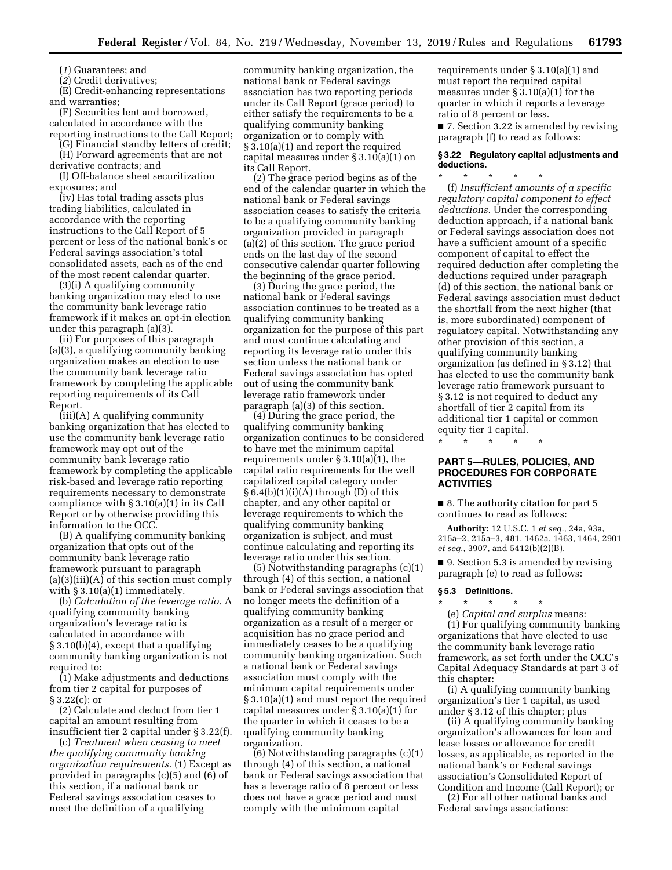(*1*) Guarantees; and

(*2*) Credit derivatives;

(E) Credit-enhancing representations and warranties;

(F) Securities lent and borrowed, calculated in accordance with the reporting instructions to the Call Report;

(G) Financial standby letters of credit;

(H) Forward agreements that are not

derivative contracts; and (I) Off-balance sheet securitization exposures; and

(iv) Has total trading assets plus trading liabilities, calculated in accordance with the reporting instructions to the Call Report of 5 percent or less of the national bank's or Federal savings association's total consolidated assets, each as of the end of the most recent calendar quarter.

(3)(i) A qualifying community banking organization may elect to use the community bank leverage ratio framework if it makes an opt-in election under this paragraph (a)(3).

(ii) For purposes of this paragraph (a)(3), a qualifying community banking organization makes an election to use the community bank leverage ratio framework by completing the applicable reporting requirements of its Call Report.

(iii)(A) A qualifying community banking organization that has elected to use the community bank leverage ratio framework may opt out of the community bank leverage ratio framework by completing the applicable risk-based and leverage ratio reporting requirements necessary to demonstrate compliance with § 3.10(a)(1) in its Call Report or by otherwise providing this information to the OCC.

(B) A qualifying community banking organization that opts out of the community bank leverage ratio framework pursuant to paragraph (a)(3)(iii)(A) of this section must comply with § 3.10(a)(1) immediately.

(b) *Calculation of the leverage ratio.* A qualifying community banking organization's leverage ratio is calculated in accordance with § 3.10(b)(4), except that a qualifying community banking organization is not required to:

(1) Make adjustments and deductions from tier 2 capital for purposes of § 3.22(c); or

(2) Calculate and deduct from tier 1 capital an amount resulting from insufficient tier 2 capital under § 3.22(f).

(c) *Treatment when ceasing to meet the qualifying community banking organization requirements.* (1) Except as provided in paragraphs (c)(5) and (6) of this section, if a national bank or Federal savings association ceases to meet the definition of a qualifying

community banking organization, the national bank or Federal savings association has two reporting periods under its Call Report (grace period) to either satisfy the requirements to be a qualifying community banking organization or to comply with § 3.10(a)(1) and report the required capital measures under § 3.10(a)(1) on its Call Report.

(2) The grace period begins as of the end of the calendar quarter in which the national bank or Federal savings association ceases to satisfy the criteria to be a qualifying community banking organization provided in paragraph (a)(2) of this section. The grace period ends on the last day of the second consecutive calendar quarter following the beginning of the grace period.

(3) During the grace period, the national bank or Federal savings association continues to be treated as a qualifying community banking organization for the purpose of this part and must continue calculating and reporting its leverage ratio under this section unless the national bank or Federal savings association has opted out of using the community bank leverage ratio framework under paragraph (a)(3) of this section.

(4) During the grace period, the qualifying community banking organization continues to be considered to have met the minimum capital requirements under § 3.10(a)(1), the capital ratio requirements for the well capitalized capital category under  $§ 6.4(b)(1)(i)(A)$  through (D) of this chapter, and any other capital or leverage requirements to which the qualifying community banking organization is subject, and must continue calculating and reporting its leverage ratio under this section.

(5) Notwithstanding paragraphs (c)(1) through (4) of this section, a national bank or Federal savings association that no longer meets the definition of a qualifying community banking organization as a result of a merger or acquisition has no grace period and immediately ceases to be a qualifying community banking organization. Such a national bank or Federal savings association must comply with the minimum capital requirements under § 3.10(a)(1) and must report the required capital measures under § 3.10(a)(1) for the quarter in which it ceases to be a qualifying community banking organization.

(6) Notwithstanding paragraphs (c)(1) through (4) of this section, a national bank or Federal savings association that has a leverage ratio of 8 percent or less does not have a grace period and must comply with the minimum capital

requirements under § 3.10(a)(1) and must report the required capital measures under § 3.10(a)(1) for the quarter in which it reports a leverage ratio of 8 percent or less.

■ 7. Section 3.22 is amended by revising paragraph (f) to read as follows:

### **§ 3.22 Regulatory capital adjustments and deductions.**

\* \* \* \* \* (f) *Insufficient amounts of a specific regulatory capital component to effect deductions.* Under the corresponding deduction approach, if a national bank or Federal savings association does not have a sufficient amount of a specific component of capital to effect the required deduction after completing the deductions required under paragraph (d) of this section, the national bank or Federal savings association must deduct the shortfall from the next higher (that is, more subordinated) component of regulatory capital. Notwithstanding any other provision of this section, a qualifying community banking organization (as defined in § 3.12) that has elected to use the community bank leverage ratio framework pursuant to § 3.12 is not required to deduct any shortfall of tier 2 capital from its additional tier 1 capital or common equity tier 1 capital.

\* \* \* \* \*

# **PART 5—RULES, POLICIES, AND PROCEDURES FOR CORPORATE ACTIVITIES**

■ 8. The authority citation for part 5 continues to read as follows:

**Authority:** 12 U.S.C. 1 *et seq.,* 24a, 93a, 215a–2, 215a–3, 481, 1462a, 1463, 1464, 2901 *et seq.,* 3907, and 5412(b)(2)(B).

■ 9. Section 5.3 is amended by revising paragraph (e) to read as follows:

### **§ 5.3 Definitions.**

\* \* \* \* \* (e) *Capital and surplus* means:

(1) For qualifying community banking organizations that have elected to use the community bank leverage ratio framework, as set forth under the OCC's Capital Adequacy Standards at part 3 of this chapter:

(i) A qualifying community banking organization's tier 1 capital, as used under § 3.12 of this chapter; plus

(ii) A qualifying community banking organization's allowances for loan and lease losses or allowance for credit losses, as applicable, as reported in the national bank's or Federal savings association's Consolidated Report of Condition and Income (Call Report); or

(2) For all other national banks and Federal savings associations: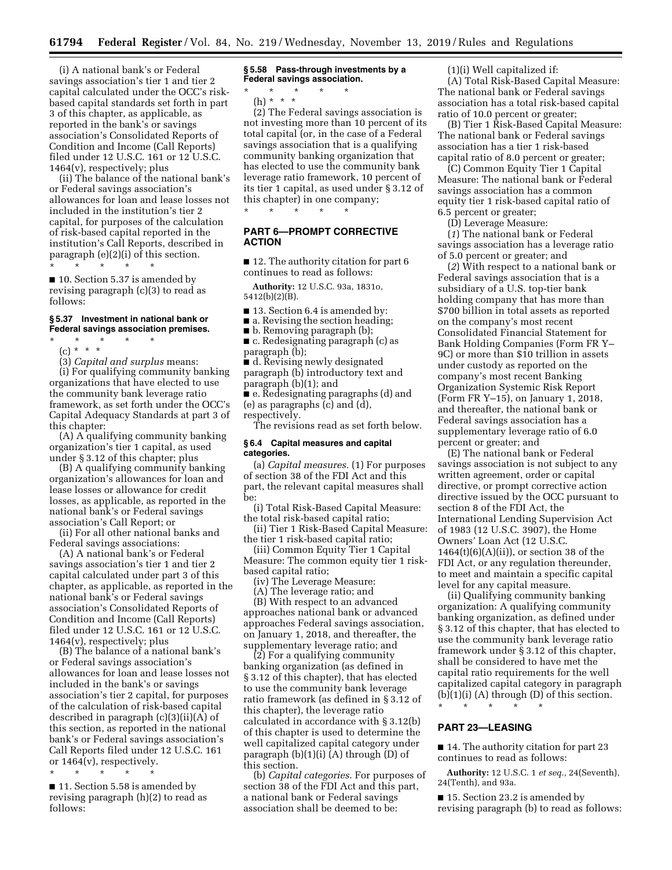(i) A national bank's or Federal savings association's tier 1 and tier 2 capital calculated under the OCC's riskbased capital standards set forth in part 3 of this chapter, as applicable, as reported in the bank's or savings association's Consolidated Reports of Condition and Income (Call Reports) filed under 12 U.S.C. 161 or 12 U.S.C. 1464(v), respectively; plus

(ii) The balance of the national bank's or Federal savings association's allowances for loan and lease losses not included in the institution's tier 2 capital, for purposes of the calculation of risk-based capital reported in the institution's Call Reports, described in paragraph (e)(2)(i) of this section. \* \* \* \* \*

■ 10. Section 5.37 is amended by revising paragraph (c)(3) to read as follows:

### **§ 5.37 Investment in national bank or Federal savings association premises.**

\* \* \* \* \*

(c) \* \* \*

(3) *Capital and surplus* means:

(i) For qualifying community banking organizations that have elected to use the community bank leverage ratio framework, as set forth under the OCC's Capital Adequacy Standards at part 3 of this chapter:

(A) A qualifying community banking organization's tier 1 capital, as used under § 3.12 of this chapter; plus

(B) A qualifying community banking organization's allowances for loan and lease losses or allowance for credit losses, as applicable, as reported in the national bank's or Federal savings association's Call Report; or

(ii) For all other national banks and Federal savings associations:

(A) A national bank's or Federal savings association's tier 1 and tier 2 capital calculated under part 3 of this chapter, as applicable, as reported in the national bank's or Federal savings association's Consolidated Reports of Condition and Income (Call Reports) filed under 12 U.S.C. 161 or 12 U.S.C. 1464(v), respectively; plus

(B) The balance of a national bank's or Federal savings association's allowances for loan and lease losses not included in the bank's or savings association's tier 2 capital, for purposes of the calculation of risk-based capital described in paragraph (c)(3)(ii)(A) of this section, as reported in the national bank's or Federal savings association's Call Reports filed under 12 U.S.C. 161 or 1464(v), respectively.

\* \* \* \* \*

■ 11. Section 5.58 is amended by revising paragraph (h)(2) to read as follows:

**§ 5.58 Pass-through investments by a Federal savings association.** 

\* \* \* \* \* (h) \* \* \*

(2) The Federal savings association is not investing more than 10 percent of its total capital (or, in the case of a Federal savings association that is a qualifying community banking organization that has elected to use the community bank leverage ratio framework, 10 percent of its tier 1 capital, as used under § 3.12 of this chapter) in one company; \* \* \* \* \*

# **PART 6—PROMPT CORRECTIVE ACTION**

■ 12. The authority citation for part 6 continues to read as follows:

**Authority:** 12 U.S.C. 93a, 1831o, 5412(b)(2)(B).

- 13. Section 6.4 is amended by:
- a. Revising the section heading;
- b. Removing paragraph (b);

■ c. Redesignating paragraph (c) as paragraph (b);

■ d. Revising newly designated paragraph (b) introductory text and paragraph (b)(1); and

■ e. Redesignating paragraphs (d) and (e) as paragraphs (c) and (d),

respectively.

The revisions read as set forth below.

#### **§ 6.4 Capital measures and capital categories.**

(a) *Capital measures.* (1) For purposes of section 38 of the FDI Act and this part, the relevant capital measures shall be:

(i) Total Risk-Based Capital Measure: the total risk-based capital ratio;

(ii) Tier 1 Risk-Based Capital Measure: the tier 1 risk-based capital ratio;

(iii) Common Equity Tier 1 Capital Measure: The common equity tier 1 riskbased capital ratio;

(iv) The Leverage Measure:

(A) The leverage ratio; and

(B) With respect to an advanced approaches national bank or advanced approaches Federal savings association, on January 1, 2018, and thereafter, the supplementary leverage ratio; and

(2) For a qualifying community banking organization (as defined in § 3.12 of this chapter), that has elected to use the community bank leverage ratio framework (as defined in § 3.12 of this chapter), the leverage ratio calculated in accordance with § 3.12(b) of this chapter is used to determine the well capitalized capital category under paragraph  $(b)(1)(i)$  (A) through  $(D)$  of this section.

(b) *Capital categories.* For purposes of section 38 of the FDI Act and this part, a national bank or Federal savings association shall be deemed to be:

(1)(i) Well capitalized if:

(A) Total Risk-Based Capital Measure: The national bank or Federal savings association has a total risk-based capital ratio of 10.0 percent or greater;

(B) Tier 1 Risk-Based Capital Measure: The national bank or Federal savings association has a tier 1 risk-based capital ratio of 8.0 percent or greater;

(C) Common Equity Tier 1 Capital Measure: The national bank or Federal savings association has a common equity tier 1 risk-based capital ratio of 6.5 percent or greater;

(D) Leverage Measure:

(*1*) The national bank or Federal savings association has a leverage ratio of 5.0 percent or greater; and

(*2*) With respect to a national bank or Federal savings association that is a subsidiary of a U.S. top-tier bank holding company that has more than \$700 billion in total assets as reported on the company's most recent Consolidated Financial Statement for Bank Holding Companies (Form FR Y– 9C) or more than \$10 trillion in assets under custody as reported on the company's most recent Banking Organization Systemic Risk Report (Form FR Y–15), on January 1, 2018, and thereafter, the national bank or Federal savings association has a supplementary leverage ratio of 6.0 percent or greater; and

(E) The national bank or Federal savings association is not subject to any written agreement, order or capital directive, or prompt corrective action directive issued by the OCC pursuant to section 8 of the FDI Act, the International Lending Supervision Act of 1983 (12 U.S.C. 3907), the Home Owners' Loan Act (12 U.S.C.  $1464(t)(6)(A)(ii)$ , or section 38 of the FDI Act, or any regulation thereunder, to meet and maintain a specific capital level for any capital measure.

(ii) Qualifying community banking organization: A qualifying community banking organization, as defined under § 3.12 of this chapter, that has elected to use the community bank leverage ratio framework under § 3.12 of this chapter, shall be considered to have met the capital ratio requirements for the well capitalized capital category in paragraph  $(b)(1)(i)$  (A) through  $(D)$  of this section. \* \* \* \* \*

#### **PART 23—LEASING**

■ 14. The authority citation for part 23 continues to read as follows:

**Authority:** 12 U.S.C. 1 *et seq.,* 24(Seventh), 24(Tenth), and 93a.

■ 15. Section 23.2 is amended by revising paragraph (b) to read as follows: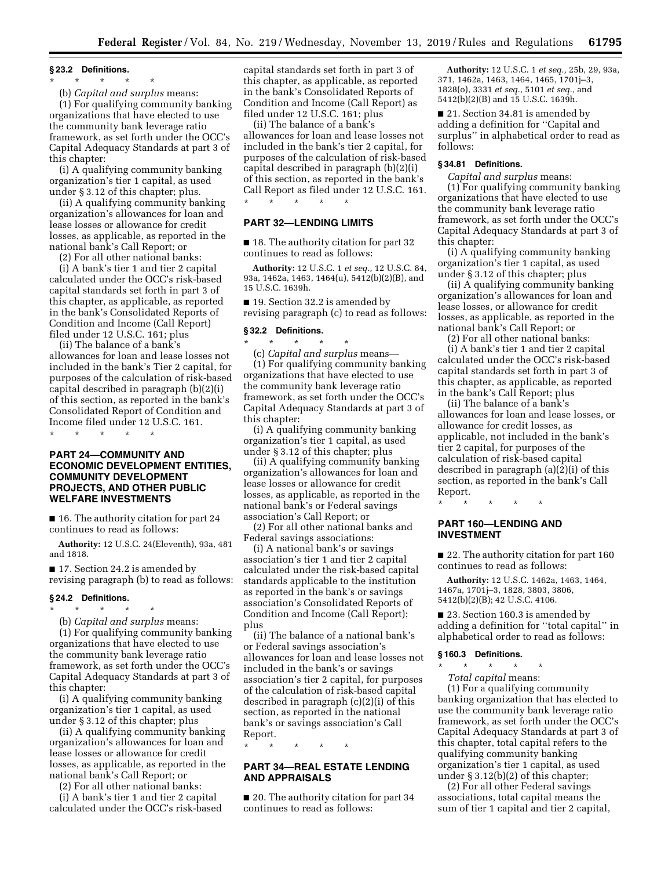#### **§ 23.2 Definitions.**

# \* \* \* \* \*

(b) *Capital and surplus* means:

(1) For qualifying community banking organizations that have elected to use the community bank leverage ratio framework, as set forth under the OCC's Capital Adequacy Standards at part 3 of this chapter:

(i) A qualifying community banking organization's tier 1 capital, as used under § 3.12 of this chapter; plus.

(ii) A qualifying community banking organization's allowances for loan and lease losses or allowance for credit losses, as applicable, as reported in the national bank's Call Report; or

(2) For all other national banks:

(i) A bank's tier 1 and tier 2 capital calculated under the OCC's risk-based capital standards set forth in part 3 of this chapter, as applicable, as reported in the bank's Consolidated Reports of Condition and Income (Call Report) filed under 12 U.S.C. 161; plus

(ii) The balance of a bank's allowances for loan and lease losses not included in the bank's Tier 2 capital, for purposes of the calculation of risk-based capital described in paragraph (b)(2)(i) of this section, as reported in the bank's Consolidated Report of Condition and Income filed under 12 U.S.C. 161.

\* \* \* \* \*

# **PART 24—COMMUNITY AND ECONOMIC DEVELOPMENT ENTITIES, COMMUNITY DEVELOPMENT PROJECTS, AND OTHER PUBLIC WELFARE INVESTMENTS**

■ 16. The authority citation for part 24 continues to read as follows:

**Authority:** 12 U.S.C. 24(Eleventh), 93a, 481 and 1818.

■ 17. Section 24.2 is amended by revising paragraph (b) to read as follows:

# **§ 24.2 Definitions.**

\* \* \* \* \* (b) *Capital and surplus* means: (1) For qualifying community banking organizations that have elected to use the community bank leverage ratio framework, as set forth under the OCC's Capital Adequacy Standards at part 3 of this chapter:

(i) A qualifying community banking organization's tier 1 capital, as used under § 3.12 of this chapter; plus

(ii) A qualifying community banking organization's allowances for loan and lease losses or allowance for credit losses, as applicable, as reported in the national bank's Call Report; or

(2) For all other national banks:

(i) A bank's tier 1 and tier 2 capital calculated under the OCC's risk-based

capital standards set forth in part 3 of this chapter, as applicable, as reported in the bank's Consolidated Reports of Condition and Income (Call Report) as filed under 12 U.S.C. 161; plus

(ii) The balance of a bank's allowances for loan and lease losses not included in the bank's tier 2 capital, for purposes of the calculation of risk-based capital described in paragraph (b)(2)(i) of this section, as reported in the bank's Call Report as filed under 12 U.S.C. 161.

\* \* \* \* \*

# **PART 32—LENDING LIMITS**

■ 18. The authority citation for part 32 continues to read as follows:

**Authority:** 12 U.S.C. 1 *et seq.,* 12 U.S.C. 84, 93a, 1462a, 1463, 1464(u), 5412(b)(2)(B), and 15 U.S.C. 1639h.

■ 19. Section 32.2 is amended by revising paragraph (c) to read as follows:

# **§ 32.2 Definitions.**

\* \* \* \* \* (c) *Capital and surplus* means— (1) For qualifying community banking organizations that have elected to use the community bank leverage ratio framework, as set forth under the OCC's Capital Adequacy Standards at part 3 of this chapter:

(i) A qualifying community banking organization's tier 1 capital, as used under § 3.12 of this chapter; plus

(ii) A qualifying community banking organization's allowances for loan and lease losses or allowance for credit losses, as applicable, as reported in the national bank's or Federal savings association's Call Report; or

(2) For all other national banks and Federal savings associations:

(i) A national bank's or savings association's tier 1 and tier 2 capital calculated under the risk-based capital standards applicable to the institution as reported in the bank's or savings association's Consolidated Reports of Condition and Income (Call Report); plus

(ii) The balance of a national bank's or Federal savings association's allowances for loan and lease losses not included in the bank's or savings association's tier 2 capital, for purposes of the calculation of risk-based capital described in paragraph (c)(2)(i) of this section, as reported in the national bank's or savings association's Call Report.

\* \* \* \* \*

# **PART 34—REAL ESTATE LENDING AND APPRAISALS**

■ 20. The authority citation for part 34 continues to read as follows:

**Authority:** 12 U.S.C. 1 *et seq.,* 25b, 29, 93a, 371, 1462a, 1463, 1464, 1465, 1701j–3, 1828(o), 3331 *et seq.,* 5101 *et seq.,* and 5412(b)(2)(B) and 15 U.S.C. 1639h.

■ 21. Section 34.81 is amended by adding a definition for ''Capital and surplus'' in alphabetical order to read as follows:

#### **§ 34.81 Definitions.**

*Capital and surplus* means:

(1) For qualifying community banking organizations that have elected to use the community bank leverage ratio framework, as set forth under the OCC's Capital Adequacy Standards at part 3 of this chapter:

(i) A qualifying community banking organization's tier 1 capital, as used under § 3.12 of this chapter; plus

(ii) A qualifying community banking organization's allowances for loan and lease losses, or allowance for credit losses, as applicable, as reported in the national bank's Call Report; or

(2) For all other national banks: (i) A bank's tier 1 and tier 2 capital calculated under the OCC's risk-based capital standards set forth in part 3 of this chapter, as applicable, as reported in the bank's Call Report; plus

(ii) The balance of a bank's allowances for loan and lease losses, or allowance for credit losses, as applicable, not included in the bank's tier 2 capital, for purposes of the calculation of risk-based capital described in paragraph (a)(2)(i) of this section, as reported in the bank's Call Report.

\* \* \* \* \*

# **PART 160—LENDING AND INVESTMENT**

■ 22. The authority citation for part 160 continues to read as follows:

**Authority:** 12 U.S.C. 1462a, 1463, 1464, 1467a, 1701j–3, 1828, 3803, 3806, 5412(b)(2)(B); 42 U.S.C. 4106.

■ 23. Section 160.3 is amended by adding a definition for ''total capital'' in alphabetical order to read as follows:

#### **§ 160.3 Definitions.**

\* \* \* \* \* *Total capital* means:

(1) For a qualifying community banking organization that has elected to use the community bank leverage ratio framework, as set forth under the OCC's Capital Adequacy Standards at part 3 of this chapter, total capital refers to the qualifying community banking organization's tier 1 capital, as used under § 3.12(b)(2) of this chapter;

(2) For all other Federal savings associations, total capital means the sum of tier 1 capital and tier 2 capital,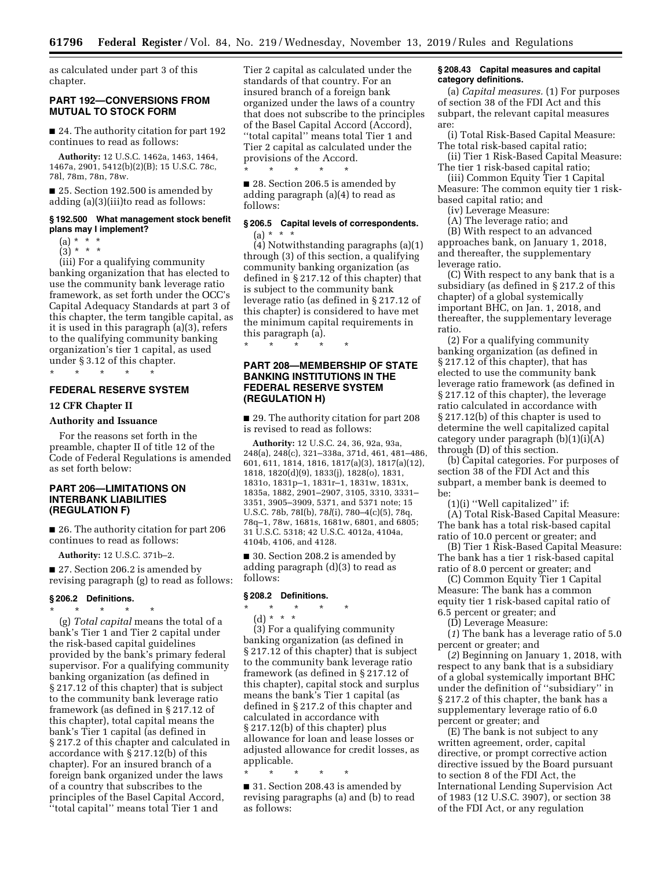as calculated under part 3 of this chapter.

# **PART 192—CONVERSIONS FROM MUTUAL TO STOCK FORM**

■ 24. The authority citation for part 192 continues to read as follows:

**Authority:** 12 U.S.C. 1462a, 1463, 1464, 1467a, 2901, 5412(b)(2)(B); 15 U.S.C. 78c, 78l, 78m, 78n, 78w.

■ 25. Section 192.500 is amended by adding (a)(3)(iii)to read as follows:

#### **§ 192.500 What management stock benefit plans may I implement?**

- $(a) * * * *$
- $(3) * * * *$

(iii) For a qualifying community banking organization that has elected to use the community bank leverage ratio framework, as set forth under the OCC's Capital Adequacy Standards at part 3 of this chapter, the term tangible capital, as it is used in this paragraph (a)(3), refers to the qualifying community banking organization's tier 1 capital, as used under § 3.12 of this chapter.

### **FEDERAL RESERVE SYSTEM**

#### **12 CFR Chapter II**

# **Authority and Issuance**

\* \* \* \* \*

For the reasons set forth in the preamble, chapter II of title 12 of the Code of Federal Regulations is amended as set forth below:

# **PART 206—LIMITATIONS ON INTERBANK LIABILITIES (REGULATION F)**

■ 26. The authority citation for part 206 continues to read as follows:

**Authority:** 12 U.S.C. 371b–2.

■ 27. Section 206.2 is amended by revising paragraph (g) to read as follows:

# **§ 206.2 Definitions.**

\* \* \* \* \*

(g) *Total capital* means the total of a bank's Tier 1 and Tier 2 capital under the risk-based capital guidelines provided by the bank's primary federal supervisor. For a qualifying community banking organization (as defined in § 217.12 of this chapter) that is subject to the community bank leverage ratio framework (as defined in § 217.12 of this chapter), total capital means the bank's Tier 1 capital (as defined in § 217.2 of this chapter and calculated in accordance with § 217.12(b) of this chapter). For an insured branch of a foreign bank organized under the laws of a country that subscribes to the principles of the Basel Capital Accord, ''total capital'' means total Tier 1 and

Tier 2 capital as calculated under the standards of that country. For an insured branch of a foreign bank organized under the laws of a country that does not subscribe to the principles of the Basel Capital Accord (Accord), ''total capital'' means total Tier 1 and Tier 2 capital as calculated under the provisions of the Accord.

\* \* \* \* \* ■ 28. Section 206.5 is amended by adding paragraph (a)(4) to read as follows:

# **§ 206.5 Capital levels of correspondents.**   $(a) * * *$

(4) Notwithstanding paragraphs (a)(1) through (3) of this section, a qualifying community banking organization (as defined in § 217.12 of this chapter) that is subject to the community bank leverage ratio (as defined in § 217.12 of this chapter) is considered to have met the minimum capital requirements in this paragraph (a).

# **PART 208—MEMBERSHIP OF STATE BANKING INSTITUTIONS IN THE FEDERAL RESERVE SYSTEM (REGULATION H)**

\* \* \* \* \*

■ 29. The authority citation for part 208 is revised to read as follows:

**Authority:** 12 U.S.C. 24, 36, 92a, 93a, 248(a), 248(c), 321–338a, 371d, 461, 481–486, 601, 611, 1814, 1816, 1817(a)(3), 1817(a)(12), 1818, 1820(d)(9), 1833(j), 1828(o), 1831, 1831o, 1831p–1, 1831r–1, 1831w, 1831x, 1835a, 1882, 2901–2907, 3105, 3310, 3331– 3351, 3905–3909, 5371, and 5371 note; 15 U.S.C. 78b, 78I(b), 78*l*(i), 780–4(c)(5), 78q, 78q–1, 78w, 1681s, 1681w, 6801, and 6805; 31 U.S.C. 5318; 42 U.S.C. 4012a, 4104a, 4104b, 4106, and 4128.

■ 30. Section 208.2 is amended by adding paragraph (d)(3) to read as follows:

#### **§ 208.2 Definitions.**

\* \* \* \* \*

(d) \* \* \* (3) For a qualifying community banking organization (as defined in § 217.12 of this chapter) that is subject to the community bank leverage ratio framework (as defined in § 217.12 of this chapter), capital stock and surplus means the bank's Tier 1 capital (as defined in § 217.2 of this chapter and calculated in accordance with § 217.12(b) of this chapter) plus allowance for loan and lease losses or adjusted allowance for credit losses, as applicable.

\* \* \* \* \*

■ 31. Section 208.43 is amended by revising paragraphs (a) and (b) to read as follows:

#### **§ 208.43 Capital measures and capital category definitions.**

(a) *Capital measures.* (1) For purposes of section 38 of the FDI Act and this subpart, the relevant capital measures are:

(i) Total Risk-Based Capital Measure: The total risk-based capital ratio;

(ii) Tier 1 Risk-Based Capital Measure: The tier 1 risk-based capital ratio;

(iii) Common Equity Tier 1 Capital Measure: The common equity tier 1 riskbased capital ratio; and

(iv) Leverage Measure:

(A) The leverage ratio; and

(B) With respect to an advanced approaches bank, on January 1, 2018, and thereafter, the supplementary leverage ratio.

(C) With respect to any bank that is a subsidiary (as defined in § 217.2 of this chapter) of a global systemically important BHC, on Jan. 1, 2018, and thereafter, the supplementary leverage ratio.

(2) For a qualifying community banking organization (as defined in § 217.12 of this chapter), that has elected to use the community bank leverage ratio framework (as defined in § 217.12 of this chapter), the leverage ratio calculated in accordance with § 217.12(b) of this chapter is used to determine the well capitalized capital category under paragraph (b)(1)(i)(A) through (D) of this section.

(b) Capital categories. For purposes of section 38 of the FDI Act and this subpart, a member bank is deemed to be:

(1)(i) ''Well capitalized'' if:

(A) Total Risk-Based Capital Measure: The bank has a total risk-based capital ratio of 10.0 percent or greater; and

(B) Tier 1 Risk-Based Capital Measure: The bank has a tier 1 risk-based capital ratio of 8.0 percent or greater; and

(C) Common Equity Tier 1 Capital Measure: The bank has a common equity tier 1 risk-based capital ratio of 6.5 percent or greater; and

(D) Leverage Measure:

(*1*) The bank has a leverage ratio of 5.0 percent or greater; and

(*2*) Beginning on January 1, 2018, with respect to any bank that is a subsidiary of a global systemically important BHC under the definition of ''subsidiary'' in § 217.2 of this chapter, the bank has a supplementary leverage ratio of 6.0 percent or greater; and

(E) The bank is not subject to any written agreement, order, capital directive, or prompt corrective action directive issued by the Board pursuant to section 8 of the FDI Act, the International Lending Supervision Act of 1983 (12 U.S.C. 3907), or section 38 of the FDI Act, or any regulation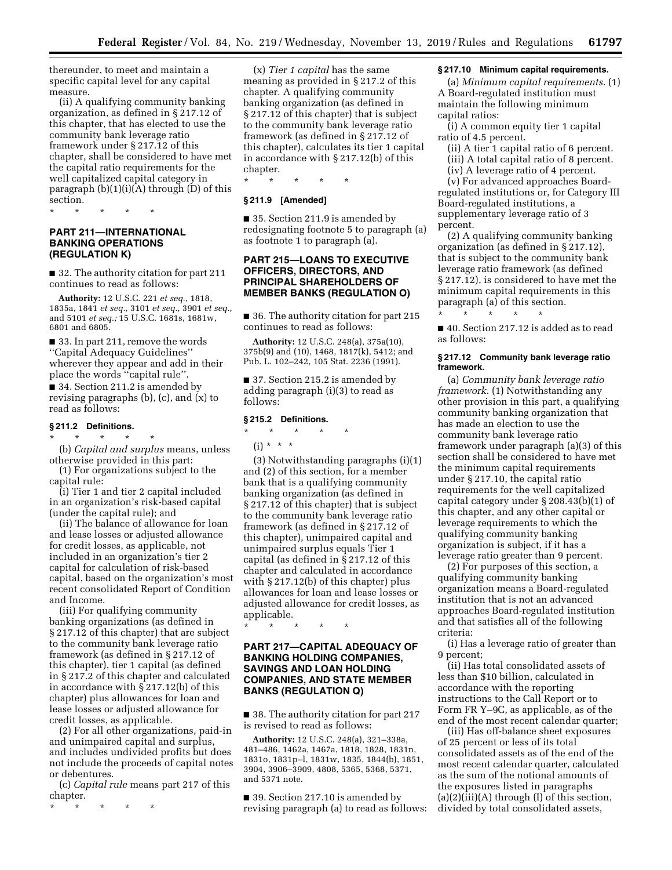thereunder, to meet and maintain a specific capital level for any capital measure.

(ii) A qualifying community banking organization, as defined in § 217.12 of this chapter, that has elected to use the community bank leverage ratio framework under § 217.12 of this chapter, shall be considered to have met the capital ratio requirements for the well capitalized capital category in paragraph  $(b)(1)(i)(A)$  through  $(D)$  of this section.

\* \* \* \* \*

# **PART 211—INTERNATIONAL BANKING OPERATIONS (REGULATION K)**

■ 32. The authority citation for part 211 continues to read as follows:

**Authority:** 12 U.S.C. 221 *et seq.,* 1818, 1835a, 1841 *et seq.,* 3101 *et seq.,* 3901 *et seq.,*  and 5101 *et seq.;* 15 U.S.C. 1681s, 1681w, 6801 and 6805.

■ 33. In part 211, remove the words ''Capital Adequacy Guidelines'' wherever they appear and add in their place the words ''capital rule''.

■ 34. Section 211.2 is amended by revising paragraphs (b), (c), and (x) to read as follows:

### **§ 211.2 Definitions.**

\* \* \* \* \* (b) *Capital and surplus* means, unless otherwise provided in this part:

(1) For organizations subject to the capital rule:

(i) Tier 1 and tier 2 capital included in an organization's risk-based capital (under the capital rule); and

(ii) The balance of allowance for loan and lease losses or adjusted allowance for credit losses, as applicable, not included in an organization's tier 2 capital for calculation of risk-based capital, based on the organization's most recent consolidated Report of Condition and Income.

(iii) For qualifying community banking organizations (as defined in § 217.12 of this chapter) that are subject to the community bank leverage ratio framework (as defined in § 217.12 of this chapter), tier 1 capital (as defined in § 217.2 of this chapter and calculated in accordance with § 217.12(b) of this chapter) plus allowances for loan and lease losses or adjusted allowance for credit losses, as applicable.

(2) For all other organizations, paid-in and unimpaired capital and surplus, and includes undivided profits but does not include the proceeds of capital notes or debentures.

(c) *Capital rule* means part 217 of this chapter.

\* \* \* \* \*

(x) *Tier 1 capital* has the same meaning as provided in § 217.2 of this chapter. A qualifying community banking organization (as defined in § 217.12 of this chapter) that is subject to the community bank leverage ratio framework (as defined in § 217.12 of this chapter), calculates its tier 1 capital in accordance with § 217.12(b) of this chapter.

\* \* \* \* \*

# **§ 211.9 [Amended]**

■ 35. Section 211.9 is amended by redesignating footnote 5 to paragraph (a) as footnote 1 to paragraph (a).

# **PART 215—LOANS TO EXECUTIVE OFFICERS, DIRECTORS, AND PRINCIPAL SHAREHOLDERS OF MEMBER BANKS (REGULATION O)**

■ 36. The authority citation for part 215 continues to read as follows:

**Authority:** 12 U.S.C. 248(a), 375a(10), 375b(9) and (10), 1468, 1817(k), 5412; and Pub. L. 102–242, 105 Stat. 2236 (1991).

■ 37. Section 215.2 is amended by adding paragraph (i)(3) to read as follows:

#### **§ 215.2 Definitions.**

# \* \* \* \* \*

(i) \* \* \*

(3) Notwithstanding paragraphs (i)(1) and (2) of this section, for a member bank that is a qualifying community banking organization (as defined in § 217.12 of this chapter) that is subject to the community bank leverage ratio framework (as defined in § 217.12 of this chapter), unimpaired capital and unimpaired surplus equals Tier 1 capital (as defined in § 217.12 of this chapter and calculated in accordance with § 217.12(b) of this chapter) plus allowances for loan and lease losses or adjusted allowance for credit losses, as applicable.

\* \* \* \* \*

# **PART 217—CAPITAL ADEQUACY OF BANKING HOLDING COMPANIES, SAVINGS AND LOAN HOLDING COMPANIES, AND STATE MEMBER BANKS (REGULATION Q)**

■ 38. The authority citation for part 217 is revised to read as follows:

**Authority:** 12 U.S.C. 248(a), 321–338a, 481–486, 1462a, 1467a, 1818, 1828, 1831n, 1831o, 1831p–l, 1831w, 1835, 1844(b), 1851, 3904, 3906–3909, 4808, 5365, 5368, 5371, and 5371 note.

■ 39. Section 217.10 is amended by revising paragraph (a) to read as follows:

# **§ 217.10 Minimum capital requirements.**

(a) *Minimum capital requirements.* (1) A Board-regulated institution must maintain the following minimum capital ratios:

(i) A common equity tier 1 capital ratio of 4.5 percent.

(ii) A tier 1 capital ratio of 6 percent.

(iii) A total capital ratio of 8 percent.

(iv) A leverage ratio of 4 percent. (v) For advanced approaches Board-

regulated institutions or, for Category III Board-regulated institutions, a supplementary leverage ratio of 3 percent.

(2) A qualifying community banking organization (as defined in § 217.12), that is subject to the community bank leverage ratio framework (as defined § 217.12), is considered to have met the minimum capital requirements in this paragraph (a) of this section.

■ 40. Section 217.12 is added as to read as follows:

\* \* \* \* \*

#### **§ 217.12 Community bank leverage ratio framework.**

(a) *Community bank leverage ratio framework.* (1) Notwithstanding any other provision in this part, a qualifying community banking organization that has made an election to use the community bank leverage ratio framework under paragraph (a)(3) of this section shall be considered to have met the minimum capital requirements under § 217.10, the capital ratio requirements for the well capitalized capital category under § 208.43(b)(1) of this chapter, and any other capital or leverage requirements to which the qualifying community banking organization is subject, if it has a leverage ratio greater than 9 percent.

(2) For purposes of this section, a qualifying community banking organization means a Board-regulated institution that is not an advanced approaches Board-regulated institution and that satisfies all of the following criteria:

(i) Has a leverage ratio of greater than 9 percent;

(ii) Has total consolidated assets of less than \$10 billion, calculated in accordance with the reporting instructions to the Call Report or to Form FR Y–9C, as applicable, as of the end of the most recent calendar quarter;

(iii) Has off-balance sheet exposures of 25 percent or less of its total consolidated assets as of the end of the most recent calendar quarter, calculated as the sum of the notional amounts of the exposures listed in paragraphs  $(a)(2)(iii)(A)$  through  $(I)$  of this section, divided by total consolidated assets,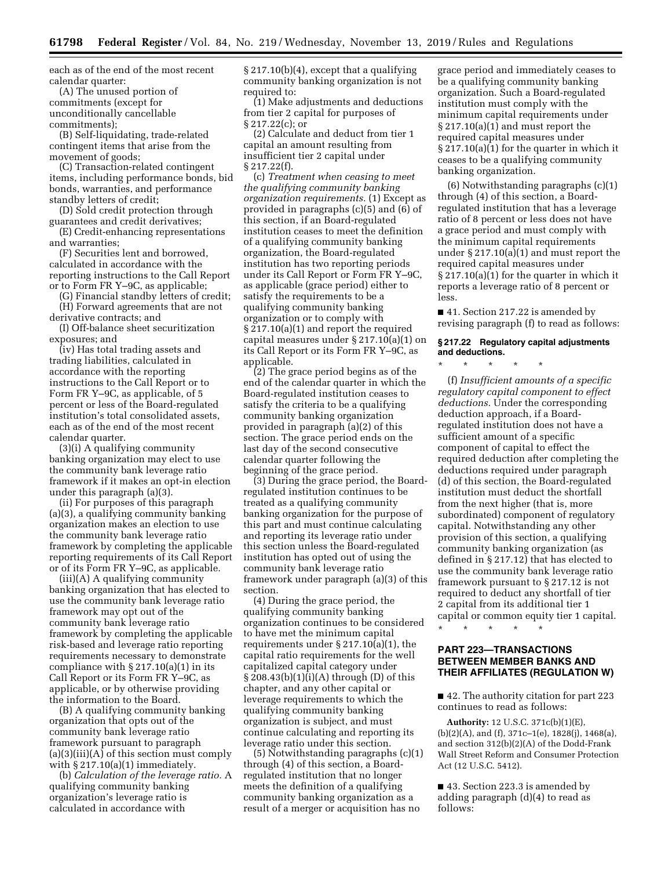each as of the end of the most recent calendar quarter:

(A) The unused portion of commitments (except for unconditionally cancellable commitments);

(B) Self-liquidating, trade-related contingent items that arise from the movement of goods;

(C) Transaction-related contingent items, including performance bonds, bid bonds, warranties, and performance standby letters of credit;

(D) Sold credit protection through guarantees and credit derivatives; (E) Credit-enhancing representations

and warranties;

(F) Securities lent and borrowed, calculated in accordance with the reporting instructions to the Call Report or to Form FR Y–9C, as applicable;

(G) Financial standby letters of credit; (H) Forward agreements that are not derivative contracts; and

(I) Off-balance sheet securitization exposures; and

(iv) Has total trading assets and trading liabilities, calculated in accordance with the reporting instructions to the Call Report or to Form FR Y–9C, as applicable, of 5 percent or less of the Board-regulated institution's total consolidated assets, each as of the end of the most recent calendar quarter.

(3)(i) A qualifying community banking organization may elect to use the community bank leverage ratio framework if it makes an opt-in election under this paragraph (a)(3).

(ii) For purposes of this paragraph (a)(3), a qualifying community banking organization makes an election to use the community bank leverage ratio framework by completing the applicable reporting requirements of its Call Report or of its Form FR Y–9C, as applicable.

(iii)(A) A qualifying community banking organization that has elected to use the community bank leverage ratio framework may opt out of the community bank leverage ratio framework by completing the applicable risk-based and leverage ratio reporting requirements necessary to demonstrate compliance with  $\S 217.10(a)(1)$  in its Call Report or its Form FR Y–9C, as applicable, or by otherwise providing the information to the Board.

(B) A qualifying community banking organization that opts out of the community bank leverage ratio framework pursuant to paragraph  $(a)(3)(iii)(A)$  of this section must comply with  $\S 217.10(a)(1)$  immediately.

(b) *Calculation of the leverage ratio.* A qualifying community banking organization's leverage ratio is calculated in accordance with

§ 217.10(b)(4), except that a qualifying community banking organization is not required to:

(1) Make adjustments and deductions from tier 2 capital for purposes of § 217.22(c); or

(2) Calculate and deduct from tier 1 capital an amount resulting from insufficient tier 2 capital under § 217.22(f).

(c) *Treatment when ceasing to meet the qualifying community banking organization requirements.* (1) Except as provided in paragraphs (c)(5) and (6) of this section, if an Board-regulated institution ceases to meet the definition of a qualifying community banking organization, the Board-regulated institution has two reporting periods under its Call Report or Form FR Y–9C, as applicable (grace period) either to satisfy the requirements to be a qualifying community banking organization or to comply with § 217.10(a)(1) and report the required capital measures under § 217.10(a)(1) on its Call Report or its Form FR Y–9C, as applicable.

(2) The grace period begins as of the end of the calendar quarter in which the Board-regulated institution ceases to satisfy the criteria to be a qualifying community banking organization provided in paragraph (a)(2) of this section. The grace period ends on the last day of the second consecutive calendar quarter following the beginning of the grace period.

(3) During the grace period, the Boardregulated institution continues to be treated as a qualifying community banking organization for the purpose of this part and must continue calculating and reporting its leverage ratio under this section unless the Board-regulated institution has opted out of using the community bank leverage ratio framework under paragraph (a)(3) of this section.

(4) During the grace period, the qualifying community banking organization continues to be considered to have met the minimum capital requirements under § 217.10(a)(1), the capital ratio requirements for the well capitalized capital category under § 208.43(b)(1)(i)(A) through (D) of this chapter, and any other capital or leverage requirements to which the qualifying community banking organization is subject, and must continue calculating and reporting its leverage ratio under this section.

(5) Notwithstanding paragraphs (c)(1) through (4) of this section, a Boardregulated institution that no longer meets the definition of a qualifying community banking organization as a result of a merger or acquisition has no

grace period and immediately ceases to be a qualifying community banking organization. Such a Board-regulated institution must comply with the minimum capital requirements under § 217.10(a)(1) and must report the required capital measures under § 217.10(a)(1) for the quarter in which it ceases to be a qualifying community banking organization.

(6) Notwithstanding paragraphs (c)(1) through (4) of this section, a Boardregulated institution that has a leverage ratio of 8 percent or less does not have a grace period and must comply with the minimum capital requirements under § 217.10(a)(1) and must report the required capital measures under § 217.10(a)(1) for the quarter in which it reports a leverage ratio of 8 percent or less.

■ 41. Section 217.22 is amended by revising paragraph (f) to read as follows:

# **§ 217.22 Regulatory capital adjustments and deductions.**

\* \* \* \* \*

(f) *Insufficient amounts of a specific regulatory capital component to effect deductions.* Under the corresponding deduction approach, if a Boardregulated institution does not have a sufficient amount of a specific component of capital to effect the required deduction after completing the deductions required under paragraph (d) of this section, the Board-regulated institution must deduct the shortfall from the next higher (that is, more subordinated) component of regulatory capital. Notwithstanding any other provision of this section, a qualifying community banking organization (as defined in § 217.12) that has elected to use the community bank leverage ratio framework pursuant to § 217.12 is not required to deduct any shortfall of tier 2 capital from its additional tier 1 capital or common equity tier 1 capital.

\* \* \* \* \*

# **PART 223—TRANSACTIONS BETWEEN MEMBER BANKS AND THEIR AFFILIATES (REGULATION W)**

■ 42. The authority citation for part 223 continues to read as follows:

**Authority:** 12 U.S.C. 371c(b)(1)(E), (b)(2)(A), and (f), 371c–1(e), 1828(j), 1468(a), and section 312(b)(2)(A) of the Dodd-Frank Wall Street Reform and Consumer Protection Act (12 U.S.C. 5412).

■ 43. Section 223.3 is amended by adding paragraph (d)(4) to read as follows: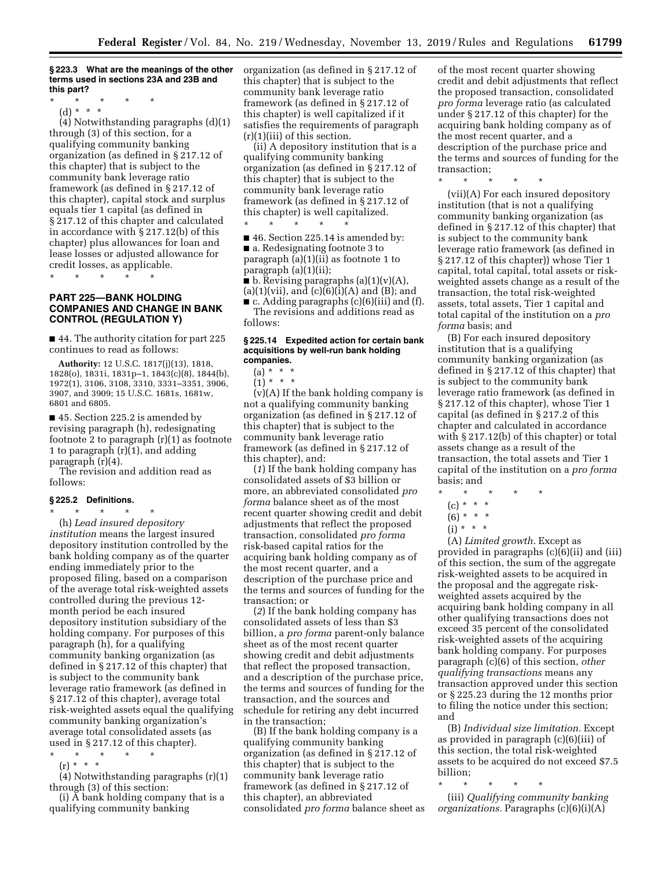#### **§ 223.3 What are the meanings of the other terms used in sections 23A and 23B and this part?**

\* \* \* \* \*

(d) \* \* \*

(4) Notwithstanding paragraphs (d)(1) through (3) of this section, for a qualifying community banking organization (as defined in § 217.12 of this chapter) that is subject to the community bank leverage ratio framework (as defined in § 217.12 of this chapter), capital stock and surplus equals tier 1 capital (as defined in § 217.12 of this chapter and calculated in accordance with § 217.12(b) of this chapter) plus allowances for loan and lease losses or adjusted allowance for credit losses, as applicable.

\* \* \* \* \*

# **PART 225—BANK HOLDING COMPANIES AND CHANGE IN BANK CONTROL (REGULATION Y)**

■ 44. The authority citation for part 225 continues to read as follows:

**Authority:** 12 U.S.C. 1817(j)(13), 1818, 1828(o), 1831i, 1831p–1, 1843(c)(8), 1844(b), 1972(1), 3106, 3108, 3310, 3331–3351, 3906, 3907, and 3909; 15 U.S.C. 1681s, 1681w, 6801 and 6805.

■ 45. Section 225.2 is amended by revising paragraph (h), redesignating footnote 2 to paragraph (r)(1) as footnote 1 to paragraph (r)(1), and adding paragraph (r)(4).

The revision and addition read as follows:

# **§ 225.2 Definitions.**

\* \* \* \* \* (h) *Lead insured depository institution* means the largest insured depository institution controlled by the bank holding company as of the quarter ending immediately prior to the proposed filing, based on a comparison of the average total risk-weighted assets controlled during the previous 12 month period be each insured depository institution subsidiary of the holding company. For purposes of this paragraph (h), for a qualifying community banking organization (as defined in § 217.12 of this chapter) that is subject to the community bank leverage ratio framework (as defined in § 217.12 of this chapter), average total risk-weighted assets equal the qualifying community banking organization's average total consolidated assets (as used in § 217.12 of this chapter).

\* \* \* \* \*  $(r) * * *$ 

(4) Notwithstanding paragraphs (r)(1) through (3) of this section:

(i)  $\overline{A}$  bank holding company that is a qualifying community banking

organization (as defined in § 217.12 of this chapter) that is subject to the community bank leverage ratio framework (as defined in § 217.12 of this chapter) is well capitalized if it satisfies the requirements of paragraph  $(r)(1)(iii)$  of this section.

(ii) A depository institution that is a qualifying community banking organization (as defined in § 217.12 of this chapter) that is subject to the community bank leverage ratio framework (as defined in § 217.12 of this chapter) is well capitalized.

\* \* \* \* \* ■ 46. Section 225.14 is amended by: ■ a. Redesignating footnote 3 to paragraph (a)(1)(ii) as footnote 1 to paragraph (a)(1)(ii);

 $\blacksquare$  b. Revising paragraphs (a)(1)(v)(A),  $(a)(1)(vii)$ , and  $(c)(6)(i)(A)$  and  $(B)$ ; and

 $c.$  Adding paragraphs  $(c)(6)(iii)$  and  $(f).$ The revisions and additions read as follows:

#### **§ 225.14 Expedited action for certain bank acquisitions by well-run bank holding companies.**

# $(a) * * * *$

 $(1) * * * *$ 

(v)(A) If the bank holding company is not a qualifying community banking organization (as defined in § 217.12 of this chapter) that is subject to the community bank leverage ratio framework (as defined in § 217.12 of this chapter), and:

(*1*) If the bank holding company has consolidated assets of \$3 billion or more, an abbreviated consolidated *pro forma* balance sheet as of the most recent quarter showing credit and debit adjustments that reflect the proposed transaction, consolidated *pro forma*  risk-based capital ratios for the acquiring bank holding company as of the most recent quarter, and a description of the purchase price and the terms and sources of funding for the transaction; or

(*2*) If the bank holding company has consolidated assets of less than \$3 billion, a *pro forma* parent-only balance sheet as of the most recent quarter showing credit and debit adjustments that reflect the proposed transaction, and a description of the purchase price, the terms and sources of funding for the transaction, and the sources and schedule for retiring any debt incurred in the transaction;

(B) If the bank holding company is a qualifying community banking organization (as defined in § 217.12 of this chapter) that is subject to the community bank leverage ratio framework (as defined in § 217.12 of this chapter), an abbreviated consolidated *pro forma* balance sheet as of the most recent quarter showing credit and debit adjustments that reflect the proposed transaction, consolidated *pro forma* leverage ratio (as calculated under § 217.12 of this chapter) for the acquiring bank holding company as of the most recent quarter, and a description of the purchase price and the terms and sources of funding for the transaction;<br>\* \* \* \*

\* \* \* \* \*

(vii)(A) For each insured depository institution (that is not a qualifying community banking organization (as defined in § 217.12 of this chapter) that is subject to the community bank leverage ratio framework (as defined in § 217.12 of this chapter)) whose Tier 1 capital, total capital, total assets or riskweighted assets change as a result of the transaction, the total risk-weighted assets, total assets, Tier 1 capital and total capital of the institution on a *pro forma* basis; and

(B) For each insured depository institution that is a qualifying community banking organization (as defined in § 217.12 of this chapter) that is subject to the community bank leverage ratio framework (as defined in § 217.12 of this chapter), whose Tier 1 capital (as defined in § 217.2 of this chapter and calculated in accordance with § 217.12(b) of this chapter) or total assets change as a result of the transaction, the total assets and Tier 1 capital of the institution on a *pro forma*  basis; and

- \* \* \* \* \*
	- $(c) * * * *$
- $(6) * * * *$
- $(i) * * * *$

(A) *Limited growth.* Except as provided in paragraphs (c)(6)(ii) and (iii) of this section, the sum of the aggregate risk-weighted assets to be acquired in the proposal and the aggregate riskweighted assets acquired by the acquiring bank holding company in all other qualifying transactions does not exceed 35 percent of the consolidated risk-weighted assets of the acquiring bank holding company. For purposes paragraph (c)(6) of this section, *other qualifying transactions* means any transaction approved under this section or § 225.23 during the 12 months prior to filing the notice under this section; and

(B) *Individual size limitation.* Except as provided in paragraph (c)(6)(iii) of this section, the total risk-weighted assets to be acquired do not exceed \$7.5 billion;

\* \* \* \* \*

(iii) *Qualifying community banking organizations.* Paragraphs (c)(6)(i)(A)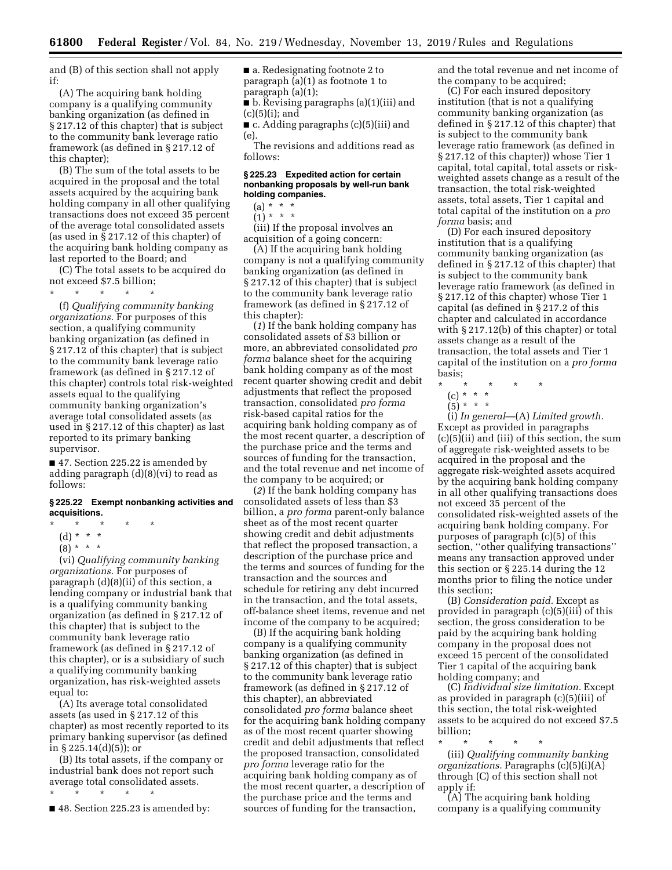and (B) of this section shall not apply if:

(A) The acquiring bank holding company is a qualifying community banking organization (as defined in § 217.12 of this chapter) that is subject to the community bank leverage ratio framework (as defined in § 217.12 of this chapter);

(B) The sum of the total assets to be acquired in the proposal and the total assets acquired by the acquiring bank holding company in all other qualifying transactions does not exceed 35 percent of the average total consolidated assets (as used in § 217.12 of this chapter) of the acquiring bank holding company as last reported to the Board; and

(C) The total assets to be acquired do not exceed \$7.5 billion;

\* \* \* \* \*

(f) *Qualifying community banking organizations.* For purposes of this section, a qualifying community banking organization (as defined in § 217.12 of this chapter) that is subject to the community bank leverage ratio framework (as defined in § 217.12 of this chapter) controls total risk-weighted assets equal to the qualifying community banking organization's average total consolidated assets (as used in § 217.12 of this chapter) as last reported to its primary banking supervisor.

■ 47. Section 225.22 is amended by adding paragraph (d)(8)(vi) to read as follows:

### **§ 225.22 Exempt nonbanking activities and acquisitions.**

- \* \* \* \* \*
	- (d) \* \* \*
	- $(8) * * * *$

(vi) *Qualifying community banking organizations.* For purposes of paragraph (d)(8)(ii) of this section, a lending company or industrial bank that is a qualifying community banking organization (as defined in § 217.12 of this chapter) that is subject to the community bank leverage ratio framework (as defined in § 217.12 of this chapter), or is a subsidiary of such a qualifying community banking organization, has risk-weighted assets equal to:

(A) Its average total consolidated assets (as used in § 217.12 of this chapter) as most recently reported to its primary banking supervisor (as defined in § 225.14(d)(5)); or

(B) Its total assets, if the company or industrial bank does not report such average total consolidated assets.

- \* \* \* \* \*
- 48. Section 225.23 is amended by:

■ a. Redesignating footnote 2 to paragraph (a)(1) as footnote 1 to paragraph (a)(1);

■ b. Revising paragraphs (a)(1)(iii) and (c)(5)(i); and

■ c. Adding paragraphs (c)(5)(iii) and (e).

The revisions and additions read as follows:

## **§ 225.23 Expedited action for certain nonbanking proposals by well-run bank holding companies.**

 $(1) * * * *$ 

(iii) If the proposal involves an acquisition of a going concern:

(A) If the acquiring bank holding company is not a qualifying community banking organization (as defined in § 217.12 of this chapter) that is subject to the community bank leverage ratio framework (as defined in § 217.12 of this chapter):

(*1*) If the bank holding company has consolidated assets of \$3 billion or more, an abbreviated consolidated *pro forma* balance sheet for the acquiring bank holding company as of the most recent quarter showing credit and debit adjustments that reflect the proposed transaction, consolidated *pro forma*  risk-based capital ratios for the acquiring bank holding company as of the most recent quarter, a description of the purchase price and the terms and sources of funding for the transaction, and the total revenue and net income of the company to be acquired; or

(*2*) If the bank holding company has consolidated assets of less than \$3 billion, a *pro forma* parent-only balance sheet as of the most recent quarter showing credit and debit adjustments that reflect the proposed transaction, a description of the purchase price and the terms and sources of funding for the transaction and the sources and schedule for retiring any debt incurred in the transaction, and the total assets, off-balance sheet items, revenue and net income of the company to be acquired;

(B) If the acquiring bank holding company is a qualifying community banking organization (as defined in § 217.12 of this chapter) that is subject to the community bank leverage ratio framework (as defined in § 217.12 of this chapter), an abbreviated consolidated *pro forma* balance sheet for the acquiring bank holding company as of the most recent quarter showing credit and debit adjustments that reflect the proposed transaction, consolidated *pro forma* leverage ratio for the acquiring bank holding company as of the most recent quarter, a description of the purchase price and the terms and sources of funding for the transaction,

and the total revenue and net income of the company to be acquired;

(C) For each insured depository institution (that is not a qualifying community banking organization (as defined in § 217.12 of this chapter) that is subject to the community bank leverage ratio framework (as defined in § 217.12 of this chapter)) whose Tier 1 capital, total capital, total assets or riskweighted assets change as a result of the transaction, the total risk-weighted assets, total assets, Tier 1 capital and total capital of the institution on a *pro forma* basis; and

(D) For each insured depository institution that is a qualifying community banking organization (as defined in § 217.12 of this chapter) that is subject to the community bank leverage ratio framework (as defined in § 217.12 of this chapter) whose Tier 1 capital (as defined in § 217.2 of this chapter and calculated in accordance with § 217.12(b) of this chapter) or total assets change as a result of the transaction, the total assets and Tier 1 capital of the institution on a *pro forma*  basis;

- \* \* \* \* \*
	- (c) \* \* \*
	- (5) \* \* \*

(i) *In general*—(A) *Limited growth.*  Except as provided in paragraphs (c)(5)(ii) and (iii) of this section, the sum of aggregate risk-weighted assets to be acquired in the proposal and the aggregate risk-weighted assets acquired by the acquiring bank holding company in all other qualifying transactions does not exceed 35 percent of the consolidated risk-weighted assets of the acquiring bank holding company. For purposes of paragraph (c)(5) of this section, ''other qualifying transactions'' means any transaction approved under this section or § 225.14 during the 12 months prior to filing the notice under this section;

(B) *Consideration paid.* Except as provided in paragraph (c)(5)(iii) of this section, the gross consideration to be paid by the acquiring bank holding company in the proposal does not exceed 15 percent of the consolidated Tier 1 capital of the acquiring bank holding company; and

(C) *Individual size limitation.* Except as provided in paragraph (c)(5)(iii) of this section, the total risk-weighted assets to be acquired do not exceed \$7.5 billion;

\* \* \* \* \* (iii) *Qualifying community banking organizations.* Paragraphs (c)(5)(i)(A) through (C) of this section shall not apply if:

(A) The acquiring bank holding company is a qualifying community

<sup>(</sup>a) \* \* \*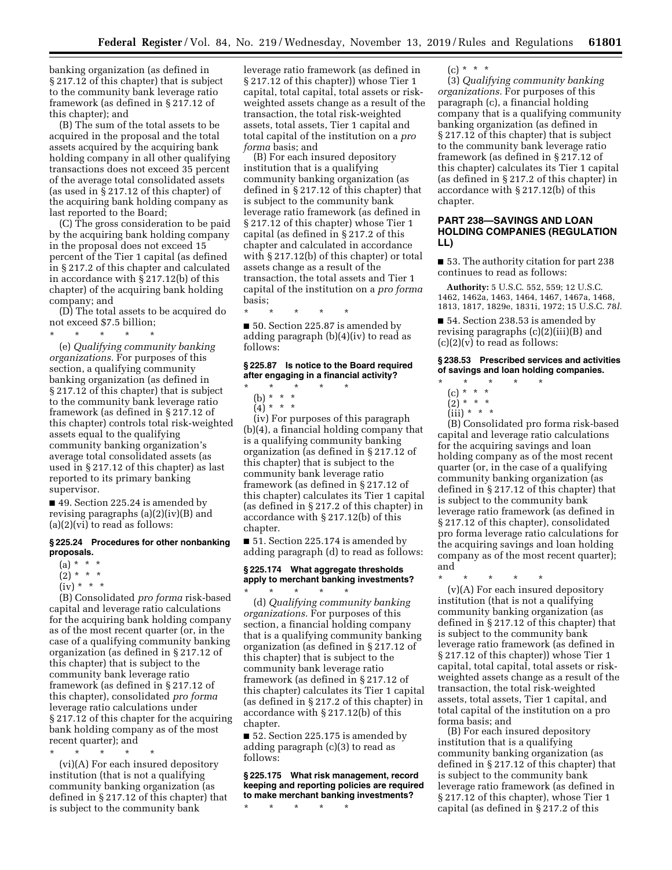banking organization (as defined in § 217.12 of this chapter) that is subject to the community bank leverage ratio framework (as defined in § 217.12 of this chapter); and

(B) The sum of the total assets to be acquired in the proposal and the total assets acquired by the acquiring bank holding company in all other qualifying transactions does not exceed 35 percent of the average total consolidated assets (as used in § 217.12 of this chapter) of the acquiring bank holding company as last reported to the Board;

(C) The gross consideration to be paid by the acquiring bank holding company in the proposal does not exceed 15 percent of the Tier 1 capital (as defined in § 217.2 of this chapter and calculated in accordance with § 217.12(b) of this chapter) of the acquiring bank holding company; and

(D) The total assets to be acquired do not exceed \$7.5 billion;

 $\star$   $\star$   $\star$ 

(e) *Qualifying community banking organizations.* For purposes of this section, a qualifying community banking organization (as defined in § 217.12 of this chapter) that is subject to the community bank leverage ratio framework (as defined in § 217.12 of this chapter) controls total risk-weighted assets equal to the qualifying community banking organization's average total consolidated assets (as used in § 217.12 of this chapter) as last reported to its primary banking supervisor.

■ 49. Section 225.24 is amended by revising paragraphs (a)(2)(iv)(B) and (a)(2)(vi) to read as follows:

#### **§ 225.24 Procedures for other nonbanking proposals.**

- $(a) * * * *$
- $(2) * * * *$
- $(iv) * * * *$

(B) Consolidated *pro forma* risk-based capital and leverage ratio calculations for the acquiring bank holding company as of the most recent quarter (or, in the case of a qualifying community banking organization (as defined in § 217.12 of this chapter) that is subject to the community bank leverage ratio framework (as defined in § 217.12 of this chapter), consolidated *pro forma*  leverage ratio calculations under § 217.12 of this chapter for the acquiring bank holding company as of the most recent quarter); and

\* \* \* \* \*

(vi)(A) For each insured depository institution (that is not a qualifying community banking organization (as defined in § 217.12 of this chapter) that is subject to the community bank

leverage ratio framework (as defined in § 217.12 of this chapter)) whose Tier 1 capital, total capital, total assets or riskweighted assets change as a result of the transaction, the total risk-weighted assets, total assets, Tier 1 capital and total capital of the institution on a *pro forma* basis; and

(B) For each insured depository institution that is a qualifying community banking organization (as defined in § 217.12 of this chapter) that is subject to the community bank leverage ratio framework (as defined in § 217.12 of this chapter) whose Tier 1 capital (as defined in § 217.2 of this chapter and calculated in accordance with § 217.12(b) of this chapter) or total assets change as a result of the transaction, the total assets and Tier 1 capital of the institution on a *pro forma*  basis;

\* \* \* \* \*

■ 50. Section 225.87 is amended by adding paragraph (b)(4)(iv) to read as follows:

## **§ 225.87 Is notice to the Board required after engaging in a financial activity?**

- \* \* \* \* \*
- (b) \* \* \*
- $(4)^*$  \* \* \*

(iv) For purposes of this paragraph (b)(4), a financial holding company that is a qualifying community banking organization (as defined in § 217.12 of this chapter) that is subject to the community bank leverage ratio framework (as defined in § 217.12 of this chapter) calculates its Tier 1 capital (as defined in § 217.2 of this chapter) in accordance with § 217.12(b) of this chapter.

■ 51. Section 225.174 is amended by adding paragraph (d) to read as follows:

# **§ 225.174 What aggregate thresholds apply to merchant banking investments?**

\* \* \* \* \* (d) *Qualifying community banking organizations.* For purposes of this section, a financial holding company that is a qualifying community banking organization (as defined in § 217.12 of this chapter) that is subject to the community bank leverage ratio framework (as defined in § 217.12 of this chapter) calculates its Tier 1 capital (as defined in § 217.2 of this chapter) in accordance with § 217.12(b) of this chapter.

■ 52. Section 225.175 is amended by adding paragraph (c)(3) to read as follows:

**§ 225.175 What risk management, record keeping and reporting policies are required to make merchant banking investments?** 

\* \* \* \* \*

 $(c) * * * *$ 

(3) *Qualifying community banking organizations.* For purposes of this paragraph (c), a financial holding company that is a qualifying community banking organization (as defined in § 217.12 of this chapter) that is subject to the community bank leverage ratio framework (as defined in § 217.12 of this chapter) calculates its Tier 1 capital (as defined in § 217.2 of this chapter) in accordance with § 217.12(b) of this chapter.

# **PART 238—SAVINGS AND LOAN HOLDING COMPANIES (REGULATION LL)**

■ 53. The authority citation for part 238 continues to read as follows:

**Authority:** 5 U.S.C. 552, 559; 12 U.S.C. 1462, 1462a, 1463, 1464, 1467, 1467a, 1468, 1813, 1817, 1829e, 1831i, 1972; 15 U.S.C. 78*l.* 

■ 54. Section 238.53 is amended by revising paragraphs (c)(2)(iii)(B) and  $(c)(2)(v)$  to read as follows:

**§ 238.53 Prescribed services and activities of savings and loan holding companies.** 

- \* \* \* \* \*
	- (c) \* \* \*  $(2)^*$  \* \* \*
	- $(iii) * * * *$

(B) Consolidated pro forma risk-based capital and leverage ratio calculations for the acquiring savings and loan holding company as of the most recent quarter (or, in the case of a qualifying community banking organization (as defined in § 217.12 of this chapter) that is subject to the community bank leverage ratio framework (as defined in § 217.12 of this chapter), consolidated pro forma leverage ratio calculations for the acquiring savings and loan holding company as of the most recent quarter); and

\* \* \* \* \*

(v)(A) For each insured depository institution (that is not a qualifying community banking organization (as defined in § 217.12 of this chapter) that is subject to the community bank leverage ratio framework (as defined in § 217.12 of this chapter)) whose Tier 1 capital, total capital, total assets or riskweighted assets change as a result of the transaction, the total risk-weighted assets, total assets, Tier 1 capital, and total capital of the institution on a pro forma basis; and

(B) For each insured depository institution that is a qualifying community banking organization (as defined in § 217.12 of this chapter) that is subject to the community bank leverage ratio framework (as defined in § 217.12 of this chapter), whose Tier 1 capital (as defined in § 217.2 of this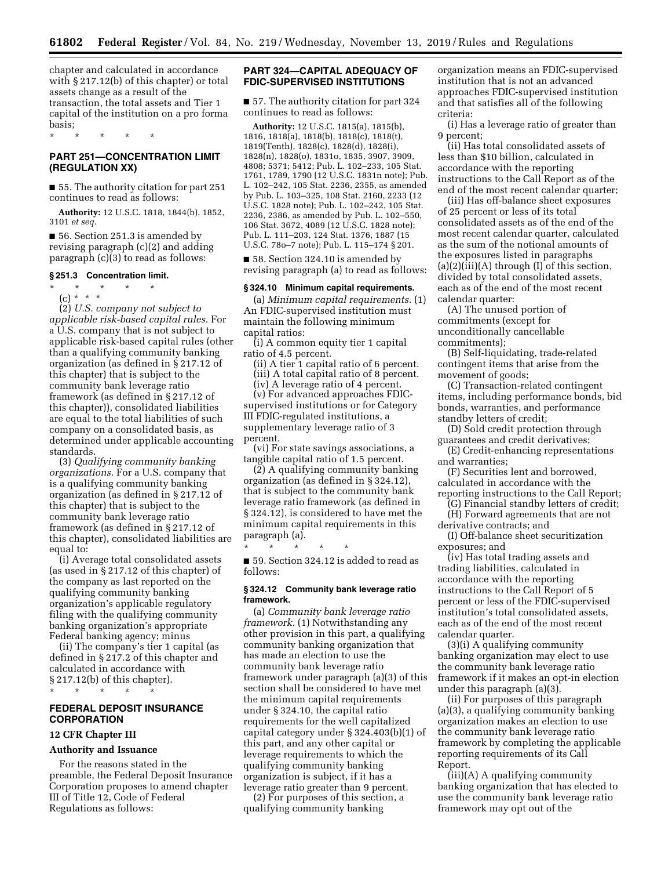chapter and calculated in accordance with § 217.12(b) of this chapter) or total assets change as a result of the transaction, the total assets and Tier 1 capital of the institution on a pro forma basis;

\* \* \* \* \*

# **PART 251—CONCENTRATION LIMIT (REGULATION XX)**

■ 55. The authority citation for part 251 continues to read as follows:

**Authority:** 12 U.S.C. 1818, 1844(b), 1852, 3101 *et seq.* 

■ 56. Section 251.3 is amended by revising paragraph (c)(2) and adding paragraph (c)(3) to read as follows:

## **§ 251.3 Concentration limit.**

## \* \* \* \* \*

(c) \* \* \*

(2) *U.S. company not subject to applicable risk-based capital rules.* For a U.S. company that is not subject to applicable risk-based capital rules (other than a qualifying community banking organization (as defined in § 217.12 of this chapter) that is subject to the community bank leverage ratio framework (as defined in § 217.12 of this chapter)), consolidated liabilities are equal to the total liabilities of such company on a consolidated basis, as determined under applicable accounting standards.

(3) *Qualifying community banking organizations.* For a U.S. company that is a qualifying community banking organization (as defined in § 217.12 of this chapter) that is subject to the community bank leverage ratio framework (as defined in § 217.12 of this chapter), consolidated liabilities are equal to:

(i) Average total consolidated assets (as used in § 217.12 of this chapter) of the company as last reported on the qualifying community banking organization's applicable regulatory filing with the qualifying community banking organization's appropriate Federal banking agency; minus

(ii) The company's tier 1 capital (as defined in § 217.2 of this chapter and calculated in accordance with § 217.12(b) of this chapter). \* \* \* \* \*

# **FEDERAL DEPOSIT INSURANCE CORPORATION**

#### **12 CFR Chapter III**

#### **Authority and Issuance**

For the reasons stated in the preamble, the Federal Deposit Insurance Corporation proposes to amend chapter III of Title 12, Code of Federal Regulations as follows:

# **PART 324—CAPITAL ADEQUACY OF FDIC-SUPERVISED INSTITUTIONS**

■ 57. The authority citation for part 324 continues to read as follows:

**Authority:** 12 U.S.C. 1815(a), 1815(b), 1816, 1818(a), 1818(b), 1818(c), 1818(t), 1819(Tenth), 1828(c), 1828(d), 1828(i), 1828(n), 1828(o), 1831o, 1835, 3907, 3909, 4808; 5371; 5412; Pub. L. 102–233, 105 Stat. 1761, 1789, 1790 (12 U.S.C. 1831n note); Pub. L. 102–242, 105 Stat. 2236, 2355, as amended by Pub. L. 103–325, 108 Stat. 2160, 2233 (12 U.S.C. 1828 note); Pub. L. 102–242, 105 Stat. 2236, 2386, as amended by Pub. L. 102–550, 106 Stat. 3672, 4089 (12 U.S.C. 1828 note); Pub. L. 111–203, 124 Stat. 1376, 1887 (15 U.S.C. 78o–7 note); Pub. L. 115–174 § 201.

■ 58. Section 324.10 is amended by revising paragraph (a) to read as follows:

## **§ 324.10 Minimum capital requirements.**

(a) *Minimum capital requirements.* (1) An FDIC-supervised institution must maintain the following minimum capital ratios:

(i) A common equity tier 1 capital ratio of 4.5 percent.

(ii) A tier 1 capital ratio of 6 percent. (iii) A total capital ratio of 8 percent.

(iv) A leverage ratio of 4 percent.

(v) For advanced approaches FDICsupervised institutions or for Category III FDIC-regulated institutions, a supplementary leverage ratio of 3 percent.

(vi) For state savings associations, a tangible capital ratio of 1.5 percent.

(2) A qualifying community banking organization (as defined in § 324.12), that is subject to the community bank leverage ratio framework (as defined in § 324.12), is considered to have met the minimum capital requirements in this paragraph (a).

■ 59. Section 324.12 is added to read as follows:

\* \* \* \* \*

# **§ 324.12 Community bank leverage ratio framework.**

(a) *Community bank leverage ratio framework.* (1) Notwithstanding any other provision in this part, a qualifying community banking organization that has made an election to use the community bank leverage ratio framework under paragraph (a)(3) of this section shall be considered to have met the minimum capital requirements under § 324.10, the capital ratio requirements for the well capitalized capital category under § 324.403(b)(1) of this part, and any other capital or leverage requirements to which the qualifying community banking organization is subject, if it has a leverage ratio greater than 9 percent.

(2) For purposes of this section, a qualifying community banking

organization means an FDIC-supervised institution that is not an advanced approaches FDIC-supervised institution and that satisfies all of the following criteria:

(i) Has a leverage ratio of greater than 9 percent;

(ii) Has total consolidated assets of less than \$10 billion, calculated in accordance with the reporting instructions to the Call Report as of the end of the most recent calendar quarter;

(iii) Has off-balance sheet exposures of 25 percent or less of its total consolidated assets as of the end of the most recent calendar quarter, calculated as the sum of the notional amounts of the exposures listed in paragraphs (a)(2)(iii)(A) through (I) of this section, divided by total consolidated assets, each as of the end of the most recent calendar quarter:

(A) The unused portion of commitments (except for unconditionally cancellable commitments);

(B) Self-liquidating, trade-related contingent items that arise from the movement of goods;

(C) Transaction-related contingent items, including performance bonds, bid bonds, warranties, and performance standby letters of credit;

(D) Sold credit protection through guarantees and credit derivatives;

(E) Credit-enhancing representations and warranties;

(F) Securities lent and borrowed, calculated in accordance with the reporting instructions to the Call Report;

(G) Financial standby letters of credit;

(H) Forward agreements that are not derivative contracts; and

(I) Off-balance sheet securitization exposures; and

(iv) Has total trading assets and trading liabilities, calculated in accordance with the reporting instructions to the Call Report of 5 percent or less of the FDIC-supervised institution's total consolidated assets, each as of the end of the most recent calendar quarter.

(3)(i) A qualifying community banking organization may elect to use the community bank leverage ratio framework if it makes an opt-in election under this paragraph (a)(3).

(ii) For purposes of this paragraph (a)(3), a qualifying community banking organization makes an election to use the community bank leverage ratio framework by completing the applicable reporting requirements of its Call Report.

(iii)(A) A qualifying community banking organization that has elected to use the community bank leverage ratio framework may opt out of the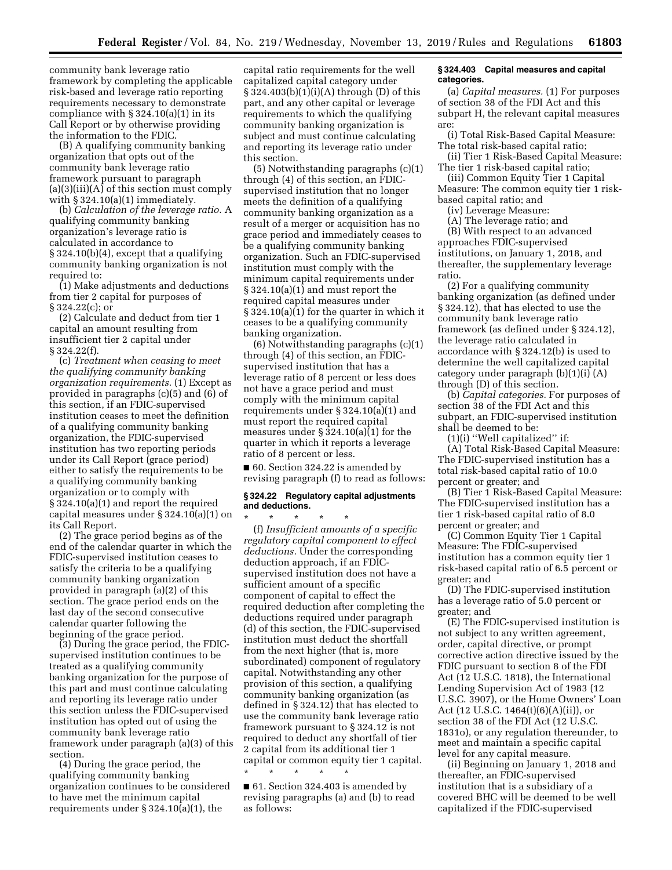community bank leverage ratio framework by completing the applicable risk-based and leverage ratio reporting requirements necessary to demonstrate compliance with  $\S 324.10(a)(1)$  in its Call Report or by otherwise providing the information to the FDIC.

(B) A qualifying community banking organization that opts out of the community bank leverage ratio framework pursuant to paragraph (a)(3)(iii)(A) of this section must comply with  $\S 324.10(a)(1)$  immediately.

(b) *Calculation of the leverage ratio.* A qualifying community banking organization's leverage ratio is calculated in accordance to § 324.10(b)(4), except that a qualifying community banking organization is not required to:

(1) Make adjustments and deductions from tier 2 capital for purposes of § 324.22(c); or

(2) Calculate and deduct from tier 1 capital an amount resulting from insufficient tier 2 capital under § 324.22(f).

(c) *Treatment when ceasing to meet the qualifying community banking organization requirements.* (1) Except as provided in paragraphs (c)(5) and (6) of this section, if an FDIC-supervised institution ceases to meet the definition of a qualifying community banking organization, the FDIC-supervised institution has two reporting periods under its Call Report (grace period) either to satisfy the requirements to be a qualifying community banking organization or to comply with § 324.10(a)(1) and report the required capital measures under § 324.10(a)(1) on its Call Report.

(2) The grace period begins as of the end of the calendar quarter in which the FDIC-supervised institution ceases to satisfy the criteria to be a qualifying community banking organization provided in paragraph (a)(2) of this section. The grace period ends on the last day of the second consecutive calendar quarter following the beginning of the grace period.

(3) During the grace period, the FDICsupervised institution continues to be treated as a qualifying community banking organization for the purpose of this part and must continue calculating and reporting its leverage ratio under this section unless the FDIC-supervised institution has opted out of using the community bank leverage ratio framework under paragraph (a)(3) of this section.

(4) During the grace period, the qualifying community banking organization continues to be considered to have met the minimum capital requirements under § 324.10(a)(1), the

capital ratio requirements for the well capitalized capital category under  $§ 324.403(b)(1)(i)(A)$  through (D) of this part, and any other capital or leverage requirements to which the qualifying community banking organization is subject and must continue calculating and reporting its leverage ratio under this section.

(5) Notwithstanding paragraphs (c)(1) through (4) of this section, an FDICsupervised institution that no longer meets the definition of a qualifying community banking organization as a result of a merger or acquisition has no grace period and immediately ceases to be a qualifying community banking organization. Such an FDIC-supervised institution must comply with the minimum capital requirements under § 324.10(a)(1) and must report the required capital measures under § 324.10(a)(1) for the quarter in which it ceases to be a qualifying community banking organization.

(6) Notwithstanding paragraphs (c)(1) through (4) of this section, an FDICsupervised institution that has a leverage ratio of 8 percent or less does not have a grace period and must comply with the minimum capital requirements under § 324.10(a)(1) and must report the required capital measures under § 324.10(a)(1) for the quarter in which it reports a leverage ratio of 8 percent or less.

■ 60. Section 324.22 is amended by revising paragraph (f) to read as follows:

#### **§ 324.22 Regulatory capital adjustments and deductions.**

\* \* \* \* \* (f) *Insufficient amounts of a specific regulatory capital component to effect deductions.* Under the corresponding deduction approach, if an FDICsupervised institution does not have a sufficient amount of a specific component of capital to effect the required deduction after completing the deductions required under paragraph (d) of this section, the FDIC-supervised institution must deduct the shortfall from the next higher (that is, more subordinated) component of regulatory capital. Notwithstanding any other provision of this section, a qualifying community banking organization (as defined in § 324.12) that has elected to use the community bank leverage ratio framework pursuant to § 324.12 is not required to deduct any shortfall of tier 2 capital from its additional tier 1 capital or common equity tier 1 capital.

■ 61. Section 324.403 is amended by revising paragraphs (a) and (b) to read as follows:

\* \* \* \* \*

#### **§ 324.403 Capital measures and capital categories.**

(a) *Capital measures.* (1) For purposes of section 38 of the FDI Act and this subpart H, the relevant capital measures are:

(i) Total Risk-Based Capital Measure: The total risk-based capital ratio;

(ii) Tier 1 Risk-Based Capital Measure: The tier 1 risk-based capital ratio;

(iii) Common Equity Tier 1 Capital Measure: The common equity tier 1 riskbased capital ratio; and

(iv) Leverage Measure:

(A) The leverage ratio; and

(B) With respect to an advanced approaches FDIC-supervised institutions, on January 1, 2018, and thereafter, the supplementary leverage ratio.

(2) For a qualifying community banking organization (as defined under § 324.12), that has elected to use the community bank leverage ratio framework (as defined under § 324.12), the leverage ratio calculated in accordance with § 324.12(b) is used to determine the well capitalized capital category under paragraph (b)(1)(i) (A) through (D) of this section.

(b) *Capital categories.* For purposes of section 38 of the FDI Act and this subpart, an FDIC-supervised institution shall be deemed to be:

(1)(i) ''Well capitalized'' if:

(A) Total Risk-Based Capital Measure: The FDIC-supervised institution has a total risk-based capital ratio of 10.0 percent or greater; and

(B) Tier 1 Risk-Based Capital Measure: The FDIC-supervised institution has a tier 1 risk-based capital ratio of 8.0 percent or greater; and

(C) Common Equity Tier 1 Capital Measure: The FDIC-supervised institution has a common equity tier 1 risk-based capital ratio of 6.5 percent or greater; and

(D) The FDIC-supervised institution has a leverage ratio of 5.0 percent or greater; and

(E) The FDIC-supervised institution is not subject to any written agreement, order, capital directive, or prompt corrective action directive issued by the FDIC pursuant to section 8 of the FDI Act (12 U.S.C. 1818), the International Lending Supervision Act of 1983 (12 U.S.C. 3907), or the Home Owners' Loan Act (12 U.S.C. 1464(t)(6)(A)(ii)), or section 38 of the FDI Act (12 U.S.C. 1831o), or any regulation thereunder, to meet and maintain a specific capital level for any capital measure.

(ii) Beginning on January 1, 2018 and thereafter, an FDIC-supervised institution that is a subsidiary of a covered BHC will be deemed to be well capitalized if the FDIC-supervised